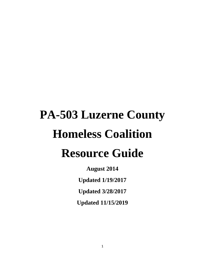# **PA-503 Luzerne County Homeless Coalition Resource Guide**

**August 2014**

**Updated 1/19/2017**

**Updated 3/28/2017**

**Updated 11/15/2019**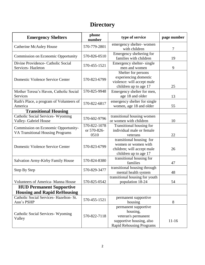# **Directory**

| <b>Emergency Shelters</b>                                                      | phone<br>number                     | type of service                                                                                                        | page number |
|--------------------------------------------------------------------------------|-------------------------------------|------------------------------------------------------------------------------------------------------------------------|-------------|
| <b>Catherine McAuley House</b>                                                 | 570-779-2801                        | emergency shelter-women<br>with children                                                                               | 7           |
| <b>Commission on Economic Opportunity</b>                                      | 570-826-0510                        | Emergency sheltering for<br>families with children                                                                     | 19          |
| Divine Providence- Catholic Social<br>Services-Hazleton                        | 570-455-1521                        | Emergency shelter-single<br>men and women                                                                              | 9           |
| Domestic Violence Service Center                                               | 570-823-6799                        | Shelter for persons<br>experiencing domestic<br>violence: will accept male<br>children up to age 17                    | 25          |
| Mother Teresa's Haven, Catholic Social<br><b>Services</b>                      | 570-825-9948                        | Emergency shelter for men,<br>age 18 and older                                                                         | 13          |
| Ruth's Place, a program of Volunteers of<br>America                            | 570-822-6817                        | emergency shelter for single<br>women, age 18 and older                                                                | 55          |
| <b>Transitional Housing</b>                                                    |                                     |                                                                                                                        |             |
| <b>Catholic Social Services- Wyoming</b><br><b>Valley-Gabriel House</b>        | 570-602-9796                        | transitional housing women<br>or women with children                                                                   | 10          |
| Commission on Economic Opportunity-<br><b>VA Transitional Housing Programs</b> | 570-822-1078<br>or 570-826-<br>0510 | Transitional housing for<br>individual male or female<br>veterans                                                      | 22          |
| Domestic Violence Service Center                                               | 570-823-6799                        | transitional housing for<br>women or women with<br>children; will accept male<br>children up to age 17                 | 26          |
| <b>Salvation Army-Kirby Family House</b>                                       | 570-824-8380                        | transitional housing for<br>families                                                                                   | 47          |
| Step By Step                                                                   | 570-829-3477                        | transitional housing through<br>mental health system                                                                   | 48          |
| <b>Volunteers of America- Manna House</b>                                      | 570-825-0542                        | transitional housing for youth<br>population 18-24                                                                     | 54          |
| <b>HUD Permanent Supportive</b><br><b>Housing and Rapid ReHousing</b>          |                                     |                                                                                                                        |             |
| Catholic Social Services- Hazelton- St.<br>Ann's PSHP                          | 570-455-1521                        | permanent supportive<br>housing                                                                                        | 8           |
| Catholic Social Services - Wyoming<br>Valley                                   | 570-822-7118                        | permanent supportive<br>housing,<br>veteran's permanent<br>supportive housing, also<br><b>Rapid Rehousing Programs</b> | $11-16$     |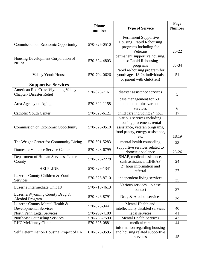|                                                                      | <b>Phone</b><br>number | <b>Type of Service</b>                                                                                                              | Page<br><b>Number</b> |
|----------------------------------------------------------------------|------------------------|-------------------------------------------------------------------------------------------------------------------------------------|-----------------------|
| <b>Commission on Economic Opportunity</b>                            | 570-826-0510           | <b>Permanent Supportive</b><br>Housing, Rapid Rehousing<br>programs including for<br>Veterans                                       | $20 - 22$             |
| Housing Development Corporation of<br><b>NEPA</b>                    | 570-824-4803           | permanent supportive housing,<br>also Rapid Rehousing<br>programs                                                                   | 33-34                 |
| <b>Valley Youth House</b>                                            | 570-704-0626           | Rapid re-housing program for<br>youth ages 18-24 individuals<br>or parent with child(ren)                                           | 51                    |
| <b>Supportive Services</b>                                           |                        |                                                                                                                                     |                       |
| American Red Cross Wyoming Valley<br><b>Chapter- Disaster Relief</b> | 570-823-7161           | disaster assistance services                                                                                                        | 5                     |
| Area Agency on Aging                                                 | 570-822-1158           | case management for 60+<br>population plus various<br>services                                                                      | 6                     |
| <b>Catholic Youth Center</b>                                         | 570-823-6121           | child care including 24 hour                                                                                                        | 17                    |
| <b>Commission on Economic Opportunity</b>                            | 570-826-0510           | various services including<br>housing placement, rental<br>assistance, veteran programs,<br>food pantry, energy assistance,<br>etc. | 18,19                 |
| The Wright Center for Community Living                               | 570-591-5283           | mental health counseling                                                                                                            | 23                    |
| Domestic Violence Service Center                                     | 570-823-6799           | supportive services related to<br>domestic violence                                                                                 | $25 - 26$             |
| Department of Human Services- Luzerne<br>County                      | 570-826-2278           | SNAP, medical assistance,<br>cash assistance, LIHEAP                                                                                | 24                    |
| <b>HELPLINE</b>                                                      | 570-829-1341           | 24 hour information and<br>referral                                                                                                 | $27\,$                |
| Luzerne County Children & Youth<br>Services                          | 570-826-8710           | independent living services                                                                                                         | 35                    |
| Luzerne Intermediate Unit 18                                         | 570-718-4613           | Various services - please<br>contact                                                                                                | 37                    |
| Luzerne/Wyoming County Drug &<br><b>Alcohol Program</b>              | 570-826-8791           | Drug & Alcohol services                                                                                                             | 39                    |
| Luzerne County Mental Health &<br><b>Developmental Services</b>      | 570-825-9441           | Mental Health and<br>intellectually disabled services                                                                               | 40                    |
| North Penn Legal Services                                            | 570-299-4100           | legal services                                                                                                                      | 41                    |
| Northeast Counseling Services                                        | 570-735-7590           | <b>Mental Health Services</b>                                                                                                       | 42                    |
| <b>RHC McKinney Clinic</b>                                           | 570-825-0881           | medical care                                                                                                                        | 44                    |
| Self Determination Housing Project of PA                             | 610-873-9595           | information regarding housing<br>and housing related supportive<br>services                                                         | 45                    |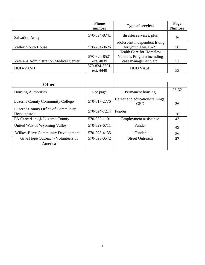|                                               | <b>Phone</b><br>number     | <b>Type of services</b>         | Page<br><b>Number</b> |
|-----------------------------------------------|----------------------------|---------------------------------|-----------------------|
| <b>Salvation Army</b>                         | 570-824-8741               | disaster services, plus         | 46                    |
|                                               |                            | adolescent independent living   |                       |
| <b>Valley Youth House</b>                     | 570-704-0626               | for youth ages 16-21            | 50                    |
|                                               |                            | <b>Health Care for Homeless</b> |                       |
|                                               | 570-824-8521               | Veterans Program including      |                       |
| <b>Veterans Administration Medical Center</b> | ext. 4039                  | case management, etc.           | 52                    |
| <b>HUD-VASH</b>                               | 570-824-3521,<br>ext. 4449 | <b>HUD VASH</b>                 | 53                    |

| <b>Other</b>                                      |              |                                               |       |
|---------------------------------------------------|--------------|-----------------------------------------------|-------|
| <b>Housing Authorities</b>                        | See page     | Permanent housing                             | 28-32 |
| <b>Luzerne County Community College</b>           | 570-817-2776 | Career and education/trainings,<br><b>GED</b> | 36    |
| Luzerne County Office of Community<br>Development | 570-824-7214 | Funder                                        | 38    |
| PA CareerLink@ Luzerne County                     | 570-822-1101 | Employment assistance                         | 43    |
| United Way of Wyoming Valley                      | 570-829-6711 | Funder                                        | 49    |
| <b>Wilkes-Barre Community Development</b>         | 570-208-4135 | Funder                                        | 56    |
| Give Hope Outreach - Volunteers of<br>America     | 570-825-0542 | <b>Street Outreach</b>                        | 57    |
|                                                   |              |                                               |       |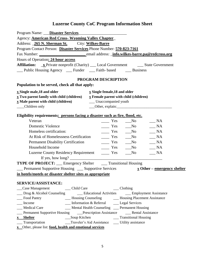| Program Name: <b>Disaster Services</b>                                                                                  |                                                                          |                                                                                                                                                                                                                                                                                                                                                                                                                                   |                                                  |  |
|-------------------------------------------------------------------------------------------------------------------------|--------------------------------------------------------------------------|-----------------------------------------------------------------------------------------------------------------------------------------------------------------------------------------------------------------------------------------------------------------------------------------------------------------------------------------------------------------------------------------------------------------------------------|--------------------------------------------------|--|
| Agency: <b>American Red Cross- Wyoming Valley Chapter</b>                                                               |                                                                          |                                                                                                                                                                                                                                                                                                                                                                                                                                   |                                                  |  |
| Address: 265 N. Sherman St. City: Wilkes-Barre                                                                          |                                                                          |                                                                                                                                                                                                                                                                                                                                                                                                                                   |                                                  |  |
| Program Contact Person: Disaster Services Phone Number: 570-823-7161                                                    |                                                                          |                                                                                                                                                                                                                                                                                                                                                                                                                                   |                                                  |  |
|                                                                                                                         |                                                                          |                                                                                                                                                                                                                                                                                                                                                                                                                                   |                                                  |  |
| Hours of Operation: 24 hour access                                                                                      |                                                                          |                                                                                                                                                                                                                                                                                                                                                                                                                                   |                                                  |  |
| <b>Affiliation:</b> x Private nonprofit (Charity) ___ Local Government ________ State Government                        |                                                                          |                                                                                                                                                                                                                                                                                                                                                                                                                                   |                                                  |  |
| __ Public Housing Agency __ Funder __ Faith- based __ Business                                                          |                                                                          |                                                                                                                                                                                                                                                                                                                                                                                                                                   |                                                  |  |
|                                                                                                                         | PROGRAM DESCRIPTION                                                      |                                                                                                                                                                                                                                                                                                                                                                                                                                   |                                                  |  |
| Population to be served, check all that apply:                                                                          |                                                                          |                                                                                                                                                                                                                                                                                                                                                                                                                                   |                                                  |  |
| $\underline{x}$ Single male, 18 and older                                                                               | $\underline{x}$ Single female, 18 and older                              |                                                                                                                                                                                                                                                                                                                                                                                                                                   |                                                  |  |
| <b>x</b> Two parent family with child (children)                                                                        | $\underline{x}$ Female parent with child (children)                      |                                                                                                                                                                                                                                                                                                                                                                                                                                   |                                                  |  |
| <b>x</b> Male parent with child (children)                                                                              | __ Unaccompanied youth                                                   |                                                                                                                                                                                                                                                                                                                                                                                                                                   |                                                  |  |
| __Children only                                                                                                         |                                                                          |                                                                                                                                                                                                                                                                                                                                                                                                                                   |                                                  |  |
| Eligibility requirements: persons facing a disaster such as fire, flood, etc.                                           |                                                                          |                                                                                                                                                                                                                                                                                                                                                                                                                                   |                                                  |  |
| Veteran                                                                                                                 |                                                                          | $\frac{1}{\sqrt{1-\frac{1}{2}}}$ Yes $\frac{1}{\sqrt{1-\frac{1}{2}}}$ No                                                                                                                                                                                                                                                                                                                                                          | NA                                               |  |
| <b>Domestic Violence</b>                                                                                                | $\frac{1}{\sqrt{1-\frac{1}{2}}}$ Yes $\frac{1}{\sqrt{1-\frac{1}{2}}}$ No |                                                                                                                                                                                                                                                                                                                                                                                                                                   | $\_\_$ NA                                        |  |
| Homeless certification:                                                                                                 |                                                                          | $\frac{1}{\sqrt{1-\frac{1}{\sqrt{1-\frac{1}{\sqrt{1-\frac{1}{\sqrt{1-\frac{1}{\sqrt{1-\frac{1}{\sqrt{1-\frac{1}{\sqrt{1-\frac{1}{\sqrt{1-\frac{1}{\sqrt{1-\frac{1}{\sqrt{1-\frac{1}{\sqrt{1-\frac{1}{\sqrt{1-\frac{1}{\sqrt{1-\frac{1}{\sqrt{1-\frac{1}{\sqrt{1-\frac{1}{\sqrt{1-\frac{1}{\sqrt{1-\frac{1}{\sqrt{1-\frac{1}{\sqrt{1-\frac{1}{\sqrt{1-\frac{1}{\sqrt{1-\frac{1}{\sqrt{1-\frac{1}{\sqrt{1-\frac{1}{\sqrt{1-\frac{1$ | $\_ NA$                                          |  |
| At Risk of Homelessness Certification __________ Yes _______No                                                          |                                                                          |                                                                                                                                                                                                                                                                                                                                                                                                                                   | $\_\_$ NA                                        |  |
|                                                                                                                         |                                                                          |                                                                                                                                                                                                                                                                                                                                                                                                                                   | $\sqrt{\phantom{a}}$ NA                          |  |
| Household Income                                                                                                        |                                                                          | $Yes$ No                                                                                                                                                                                                                                                                                                                                                                                                                          | $-NA$                                            |  |
| Luzerne County Residency Requirement _________ Yes _______No                                                            |                                                                          |                                                                                                                                                                                                                                                                                                                                                                                                                                   | $\_ NA$                                          |  |
|                                                                                                                         |                                                                          |                                                                                                                                                                                                                                                                                                                                                                                                                                   |                                                  |  |
| <b>TYPE OF PROJECT:</b> __ Emergency Shelter ___ Transitional Housing                                                   |                                                                          |                                                                                                                                                                                                                                                                                                                                                                                                                                   |                                                  |  |
| __ Permanent Supportive Housing __ Supportive Services                                                                  |                                                                          |                                                                                                                                                                                                                                                                                                                                                                                                                                   | $\underline{x}$ Other – <u>emergency shelter</u> |  |
| in hotels/motels or disaster shelter sites as appropriate                                                               |                                                                          |                                                                                                                                                                                                                                                                                                                                                                                                                                   |                                                  |  |
| <b>SERVICE/ASSISTANCE:</b>                                                                                              |                                                                          |                                                                                                                                                                                                                                                                                                                                                                                                                                   |                                                  |  |
| Case Management<br>__ Child Care                                                                                        |                                                                          | $\_\_$ Clothing                                                                                                                                                                                                                                                                                                                                                                                                                   |                                                  |  |
| $\Box$ Drug & Alcohol Counseling                                                                                        | <b>Educational Activities Employment Assistance</b>                      |                                                                                                                                                                                                                                                                                                                                                                                                                                   |                                                  |  |
| Food Pantry                                                                                                             |                                                                          |                                                                                                                                                                                                                                                                                                                                                                                                                                   |                                                  |  |
| __ Housing Counseling ________ Housing Placement Assistance<br>__ Information & Referral _____ Legal Services<br>Income |                                                                          |                                                                                                                                                                                                                                                                                                                                                                                                                                   |                                                  |  |
| Medical Care<br>__ Mental Health Counseling __ Permanent Housing                                                        |                                                                          |                                                                                                                                                                                                                                                                                                                                                                                                                                   |                                                  |  |
| Permanent Supportive Housing _____Prescription Assistance ___________Rental Assistance                                  |                                                                          |                                                                                                                                                                                                                                                                                                                                                                                                                                   |                                                  |  |
| x Shelter                                                                                                               |                                                                          |                                                                                                                                                                                                                                                                                                                                                                                                                                   |                                                  |  |
| ___ Transportation                                                                                                      | __Traveler's Aid Assistance ___ Utility assistance                       |                                                                                                                                                                                                                                                                                                                                                                                                                                   |                                                  |  |
| x Other, please list: food, health and emotional services                                                               |                                                                          |                                                                                                                                                                                                                                                                                                                                                                                                                                   |                                                  |  |
|                                                                                                                         |                                                                          |                                                                                                                                                                                                                                                                                                                                                                                                                                   |                                                  |  |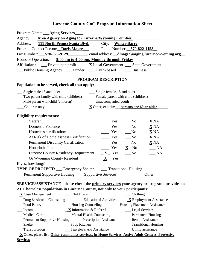| Program Name: <u>Aging Services</u>                                                                                                                                                                                                                                                        |  |  |  |  |
|--------------------------------------------------------------------------------------------------------------------------------------------------------------------------------------------------------------------------------------------------------------------------------------------|--|--|--|--|
| Agency: <b>Area Agency on Aging for Luzerne/Wyoming Counties</b>                                                                                                                                                                                                                           |  |  |  |  |
| Address: 111 North Pennsylvania Blvd. City: Wilkes-Barre                                                                                                                                                                                                                                   |  |  |  |  |
| Program Contact Person: Doris Magee Phone Number: 570-822-1158                                                                                                                                                                                                                             |  |  |  |  |
| Fax Number: 570-823-9129 email address: dmagee@aging.luzerne/wyoming.org                                                                                                                                                                                                                   |  |  |  |  |
| Hours of Operation: 8:00 am to 4:00 pm. Monday through Friday                                                                                                                                                                                                                              |  |  |  |  |
| <b>Affiliation:</b> ___ Private non profit $X$ Local Government ___ State Government                                                                                                                                                                                                       |  |  |  |  |
| __ Public Housing Agency ___ Funder ___ Faith- based ____ Business                                                                                                                                                                                                                         |  |  |  |  |
| PROGRAM DESCRIPTION                                                                                                                                                                                                                                                                        |  |  |  |  |
| Population to be served, check all that apply:                                                                                                                                                                                                                                             |  |  |  |  |
| __ Single male, 18 and older<br>__ Single female, 18 and older                                                                                                                                                                                                                             |  |  |  |  |
| __ Two parent family with child (children) _______ Female parent with child (children)                                                                                                                                                                                                     |  |  |  |  |
| __ Male parent with child (children)<br>__ Unaccompanied youth                                                                                                                                                                                                                             |  |  |  |  |
| X Other, explain: persons age 60 or older<br>Children only                                                                                                                                                                                                                                 |  |  |  |  |
|                                                                                                                                                                                                                                                                                            |  |  |  |  |
| <b>Eligibility requirements:</b><br>Veteran<br>$\equiv$ Yes<br>$\sqrt{N}$<br>$\underline{\mathbf{X}}$ NA                                                                                                                                                                                   |  |  |  |  |
| <b>Domestic Violence</b><br>$\equiv$ Yes<br>$\sqrt{N_0}$<br>$\underline{\mathbf{X}}$ NA                                                                                                                                                                                                    |  |  |  |  |
| Homeless certification:<br>$\frac{1}{1}$ Yes<br>$\underline{\mathbf{X}}$ NA<br>$\sqrt{N}$                                                                                                                                                                                                  |  |  |  |  |
| At Risk of Homelessness Certification<br>$\frac{1}{1}$ Yes<br>$\underline{\mathbf{X}}$ NA<br>N <sub>0</sub>                                                                                                                                                                                |  |  |  |  |
| $\equiv$ Yes<br>$\underline{\mathbf{X}}$ NA<br><b>Permanent Disability Certification</b><br>$\sqrt{N}$                                                                                                                                                                                     |  |  |  |  |
| $\frac{1}{1}$ Yes<br>Household Income<br>$\equiv$ NA<br>$\underline{\mathbf{X}}$ No                                                                                                                                                                                                        |  |  |  |  |
| Luzerne County Residency Requirement $X_$ Yes<br>$\sqrt{N}$<br>$R_{\text{max}}$ NA                                                                                                                                                                                                         |  |  |  |  |
| $X$ Yes<br>Or Wyoming County Resident                                                                                                                                                                                                                                                      |  |  |  |  |
| If yes, how long? $\frac{1}{2}$ and $\frac{1}{2}$ and $\frac{1}{2}$ and $\frac{1}{2}$ and $\frac{1}{2}$ and $\frac{1}{2}$ and $\frac{1}{2}$ and $\frac{1}{2}$ and $\frac{1}{2}$ and $\frac{1}{2}$ and $\frac{1}{2}$ and $\frac{1}{2}$ and $\frac{1}{2}$ and $\frac{1}{2}$ and $\frac{1}{2$ |  |  |  |  |
| <b>TYPE OF PROJECT:</b> __ Emergency Shelter ___ Transitional Housing                                                                                                                                                                                                                      |  |  |  |  |
| Permanent Supportive Housing __ Supportive Services<br>Other                                                                                                                                                                                                                               |  |  |  |  |
|                                                                                                                                                                                                                                                                                            |  |  |  |  |
| SERVICE/ASSISTANCE- please check the primary services your agency or program provides to                                                                                                                                                                                                   |  |  |  |  |
| ALL homeless populations in Luzerne County, not only to your participants:                                                                                                                                                                                                                 |  |  |  |  |
| $X \text{ Case Management}$ Child Care<br>$\_\_$ Clothing                                                                                                                                                                                                                                  |  |  |  |  |
| $\Box$ Drug & Alcohol Counseling $\Box$ Educational Activities $\Box$ Employment Assistance                                                                                                                                                                                                |  |  |  |  |
| Food Pantry<br>__ Housing Counseling ________ Housing Placement Assistance                                                                                                                                                                                                                 |  |  |  |  |
| $\underline{\mathbf{X}}$ Information & Referral<br>__ Legal Services<br>Income                                                                                                                                                                                                             |  |  |  |  |
| __ Mental Health Counseling<br>__ Medical Care<br>__ Permanent Housing                                                                                                                                                                                                                     |  |  |  |  |
| __ Permanent Supportive Housing _____ Prescription Assistance ______ Rental Assistance                                                                                                                                                                                                     |  |  |  |  |
| __ Transitional Housing<br>__ Shelter<br>__Soup Kitchen                                                                                                                                                                                                                                    |  |  |  |  |
| ____ Transportation                                                                                                                                                                                                                                                                        |  |  |  |  |
| _X Other, please list: Other community services, In-Home Services, Active Adult Centers, Protective                                                                                                                                                                                        |  |  |  |  |
| <b>Services</b>                                                                                                                                                                                                                                                                            |  |  |  |  |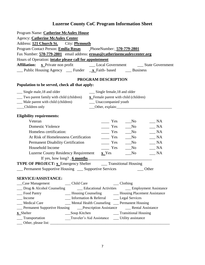| Program Name: Catherine McAuley House                                                     |                                                                                                                       |
|-------------------------------------------------------------------------------------------|-----------------------------------------------------------------------------------------------------------------------|
| <b>Agency: Catherine McAuley Center</b>                                                   |                                                                                                                       |
| Address: 121 Church St. City: Plymouth                                                    |                                                                                                                       |
| Program Contact Person: Emilia Rosas PhoneNumber: 570-779-2801                            |                                                                                                                       |
| Fax Number: 570-779-2801 email address: erosas@catherinemcauleycenter.org                 |                                                                                                                       |
| Hours of Operation: <i>intake please call for appointment</i>                             |                                                                                                                       |
|                                                                                           |                                                                                                                       |
| __ Public Housing Agency ___ Funder _x_Faith- based ______ Business                       |                                                                                                                       |
|                                                                                           | PROGRAM DESCRIPTION                                                                                                   |
| Population to be served, check all that apply:                                            |                                                                                                                       |
| __ Single male, 18 and older                                                              | __ Single female, 18 and older                                                                                        |
| __ Two parent family with child (children)                                                | x Female parent with child (children)                                                                                 |
| __ Male parent with child (children)                                                      | __ Unaccompanied youth                                                                                                |
| Children only                                                                             | Other, explain: 0.000 million and 0.000 million and 0.000 million and 0.000 million and 0.000 million and 0.00        |
| <b>Eligibility requirements:</b>                                                          |                                                                                                                       |
| Veteran                                                                                   | Yes<br>NA<br>$\mathbf{N}\mathbf{o}$                                                                                   |
| <b>Domestic Violence</b>                                                                  | $\equiv$ Yes<br>NA<br>N <sub>0</sub>                                                                                  |
| Homeless certification:                                                                   | $\_NA$<br>$\overline{\phantom{a}}$ Yes<br>$\sqrt{N}$                                                                  |
| At Risk of Homelessness Certification                                                     | $\_ NA$<br>Yes<br>$\sqrt{N}$                                                                                          |
| Permanent Disability Certification                                                        | NA<br>$\equiv$ Yes<br>$\mathbf{N}\mathbf{o}$                                                                          |
| Household Income                                                                          | $\equiv$ Yes<br>No_<br>$\_ NA$                                                                                        |
| <b>Luzerne County Residency Requirement</b>                                               | $\underline{\mathbf{x}}$ Yes<br>$\_ NA$<br>No                                                                         |
| If yes, how long? $6$ months                                                              | <u> 1989 - Johann Barbara, martin amerikan basar dan berasal dalam basar dalam basar dalam basar dalam basar dala</u> |
| <b>TYPE OF PROJECT:</b> x_Emergency Shelter _______Transitional Housing                   |                                                                                                                       |
| Permanent Supportive Housing __ Supportive Services                                       | Other                                                                                                                 |
|                                                                                           |                                                                                                                       |
| <b>SERVICE/ASSISTANCE:</b>                                                                |                                                                                                                       |
| _____ Child Care<br>__Case Management                                                     | $\_\_$ Clothing                                                                                                       |
|                                                                                           | __ Drug & Alcohol Counseling ____ Educational Activities ____ Employment Assistance                                   |
| Food Pantry                                                                               | __ Housing Counseling _________ Housing Placement Assistance                                                          |
| Income                                                                                    | __ Information & Referral _______ Legal Services                                                                      |
| _Medical Care                                                                             | __ Mental Health Counseling __ Permanent Housing                                                                      |
| __ Permanent Supportive Housing ______Prescription Assistance _________ Rental Assistance |                                                                                                                       |
| <b>x</b> Shelter                                                                          |                                                                                                                       |
| ____ Transportation                                                                       | __Traveler's Aid Assistance ____ Utility assistance                                                                   |
|                                                                                           |                                                                                                                       |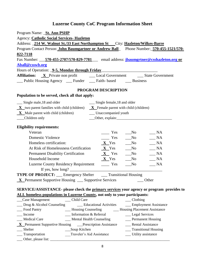| Program Name: <b>_St. Ann PSHP</b>                                                                                                                                                                                                                                               |  |  |  |
|----------------------------------------------------------------------------------------------------------------------------------------------------------------------------------------------------------------------------------------------------------------------------------|--|--|--|
| <b>Agency: Catholic Social Services- Hazleton</b>                                                                                                                                                                                                                                |  |  |  |
| Address: _214 W. Walnut St./33 East Northampton St __City: Hazleton/Wilkes-Barre                                                                                                                                                                                                 |  |  |  |
| Program Contact Person: John Baumgartner or Andrew Ball Phone Number: 570-455-1521/570-                                                                                                                                                                                          |  |  |  |
| 822-7118                                                                                                                                                                                                                                                                         |  |  |  |
| Fax Number: 570-455-2707/570-829-7781 email address: jbaumgrtner@csshazleton.org or                                                                                                                                                                                              |  |  |  |
| Aball@csswb.org                                                                                                                                                                                                                                                                  |  |  |  |
| Hours of Operation: <b>9-5, Monday through Friday</b>                                                                                                                                                                                                                            |  |  |  |
|                                                                                                                                                                                                                                                                                  |  |  |  |
| __ Public Housing Agency __ Funder __ Faith- based ___ Business                                                                                                                                                                                                                  |  |  |  |
| PROGRAM DESCRIPTION                                                                                                                                                                                                                                                              |  |  |  |
| Population to be served, check all that apply:                                                                                                                                                                                                                                   |  |  |  |
| __ Single male, 18 and older<br>Single female, 18 and older                                                                                                                                                                                                                      |  |  |  |
| $X$ two parent families with child (children) $X$ Female parent with child (children)                                                                                                                                                                                            |  |  |  |
| X Male parent with child (children) _______ Unaccompanied youth                                                                                                                                                                                                                  |  |  |  |
| __Children only                                                                                                                                                                                                                                                                  |  |  |  |
|                                                                                                                                                                                                                                                                                  |  |  |  |
| <b>Eligibility requirements:</b>                                                                                                                                                                                                                                                 |  |  |  |
| Veteran<br>$Yes$ No<br>$\_\_$ NA                                                                                                                                                                                                                                                 |  |  |  |
| $\frac{1}{\sqrt{1-\frac{1}{2}}}$ Yes $\frac{1}{\sqrt{1-\frac{1}{2}}}$ No<br>Domestic Violence<br>$\_\_$ NA                                                                                                                                                                       |  |  |  |
| $X$ Yes No $N_A$<br>Homeless certification:                                                                                                                                                                                                                                      |  |  |  |
| At Risk of Homelessness Certification $X$ Yes ___No<br>$\sqrt{\phantom{a}}$ NA                                                                                                                                                                                                   |  |  |  |
| Permanent Disability Certification $X$ Yes ___No<br>$\frac{1}{2}$ NA                                                                                                                                                                                                             |  |  |  |
| $X$ Yes No<br>Household Income<br>$\_\_$ NA                                                                                                                                                                                                                                      |  |  |  |
| Luzerne County Residency Requirement _________ Yes<br>$\_\_$ NA<br>N <sub>0</sub>                                                                                                                                                                                                |  |  |  |
| If yes, how long? $\sqrt{2}$ and $\sqrt{2}$ and $\sqrt{2}$ and $\sqrt{2}$ and $\sqrt{2}$ and $\sqrt{2}$ and $\sqrt{2}$ and $\sqrt{2}$ and $\sqrt{2}$ and $\sqrt{2}$ and $\sqrt{2}$ and $\sqrt{2}$ and $\sqrt{2}$ and $\sqrt{2}$ and $\sqrt{2}$ and $\sqrt{2}$ and $\sqrt{2}$ and |  |  |  |
| <b>TYPE OF PROJECT:</b> ___ Emergency Shelter ____ Transitional Housing                                                                                                                                                                                                          |  |  |  |
| $X$ Permanent Supportive Housing $\_\_$ Supportive Services $\_\_$ Other                                                                                                                                                                                                         |  |  |  |
| SERVICE/ASSISTANCE- please check the primary services your agency or program provides to                                                                                                                                                                                         |  |  |  |
| ALL homeless populations in Luzerne County, not only to your participants:                                                                                                                                                                                                       |  |  |  |
| Case Management<br>_____ Child Care<br>Clothing                                                                                                                                                                                                                                  |  |  |  |
| Drug & Alcohol Counseling Educational Activities<br>__ Employment Assistance                                                                                                                                                                                                     |  |  |  |
| - Housing Counseling - Housing Placement Assistance<br>Food Pantry                                                                                                                                                                                                               |  |  |  |
| Income<br>Information & Referral<br>__ Legal Services                                                                                                                                                                                                                            |  |  |  |
| Medical Care<br>__ Mental Health Counseling<br>__ Permanent Housing                                                                                                                                                                                                              |  |  |  |
| <b>X</b> Permanent Supportive Housing ___Prescription Assistance<br>__ Rental Assistance                                                                                                                                                                                         |  |  |  |
| Shelter<br>__Soup Kitchen<br>__ Transitional Housing                                                                                                                                                                                                                             |  |  |  |
| __Traveler's Aid Assistance<br>Transportation<br>___ Utility assistance                                                                                                                                                                                                          |  |  |  |
|                                                                                                                                                                                                                                                                                  |  |  |  |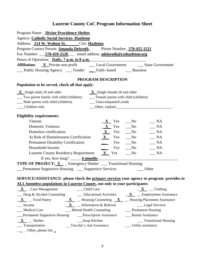| Program Name: _Divine Providence Shelter                                                                                    |                                          |                                                                                                                                                                                                                                |  |
|-----------------------------------------------------------------------------------------------------------------------------|------------------------------------------|--------------------------------------------------------------------------------------------------------------------------------------------------------------------------------------------------------------------------------|--|
| <b>Agency: Catholic Social Services- Hazleton</b>                                                                           |                                          |                                                                                                                                                                                                                                |  |
| Address: 214 W. Walnut St. City: Hazleton                                                                                   |                                          |                                                                                                                                                                                                                                |  |
| Program Contact Person: <b>Amanda Deisroth</b> Phone Number: 570-455-1521                                                   |                                          |                                                                                                                                                                                                                                |  |
| Fax Number: 570-459-2528 email address: adeisroth@csshazleton.org                                                           |                                          |                                                                                                                                                                                                                                |  |
| Hours of Operation: <i>Daily</i> , 7 p.m. to 8 a.m.                                                                         |                                          |                                                                                                                                                                                                                                |  |
|                                                                                                                             |                                          |                                                                                                                                                                                                                                |  |
| __ Public Housing Agency ___ Funder ___ Faith- based ____ Business                                                          |                                          |                                                                                                                                                                                                                                |  |
|                                                                                                                             | PROGRAM DESCRIPTION                      |                                                                                                                                                                                                                                |  |
| Population to be served, check all that apply:                                                                              |                                          |                                                                                                                                                                                                                                |  |
| $\bf{X}$ Single male, 18 and older                                                                                          | $\mathbf{X}$ Single female, 18 and older |                                                                                                                                                                                                                                |  |
| __ Two parent family with child (children)                                                                                  | __ Female parent with child (children)   |                                                                                                                                                                                                                                |  |
| __ Male parent with child (children)                                                                                        | __ Unaccompanied youth                   |                                                                                                                                                                                                                                |  |
| Children only                                                                                                               |                                          | Other, explain: Contact Delayer and Delayer and Delayer and Delayer and Delayer and Delayer and Delayer and Delayer and Delayer and Delayer and Delayer and Delayer and Delayer and Delayer and Delayer and Delayer and Delaye |  |
|                                                                                                                             |                                          |                                                                                                                                                                                                                                |  |
| <b>Eligibility requirements:</b>                                                                                            |                                          |                                                                                                                                                                                                                                |  |
| Veteran                                                                                                                     | $\mathbf{X}$ Yes                         | $\_\_$ NA<br>$\sqrt{N_0}$                                                                                                                                                                                                      |  |
| <b>Domestic Violence</b>                                                                                                    | $\mathbf{X}$ Yes                         | NA<br>N <sub>0</sub>                                                                                                                                                                                                           |  |
| Homeless certification:                                                                                                     | $X$ Yes                                  | $\sqrt{N}$<br>$\_\_$ NA                                                                                                                                                                                                        |  |
| At Risk of Homelessness Certification                                                                                       | $X - Yes$ No                             | $\_\_$ NA                                                                                                                                                                                                                      |  |
| <b>Permanent Disability Certification</b>                                                                                   | Yes                                      | $\_ NA$<br>N <sub>0</sub>                                                                                                                                                                                                      |  |
| Household Income                                                                                                            | Yes                                      | $\_\_$ NA<br>$\sqrt{N}$                                                                                                                                                                                                        |  |
| <b>Luzerne County Residency Requirement</b>                                                                                 | $X$ Yes                                  | $\_\_$ NA<br>$\sqrt{N}$                                                                                                                                                                                                        |  |
|                                                                                                                             |                                          |                                                                                                                                                                                                                                |  |
| <b>TYPE OF PROJECT: X</b> Emergency Shelter __ Transitional Housing                                                         |                                          |                                                                                                                                                                                                                                |  |
| <b>Permanent Supportive Housing __ Supportive Services</b>                                                                  |                                          | $\qquad$ Other                                                                                                                                                                                                                 |  |
|                                                                                                                             |                                          |                                                                                                                                                                                                                                |  |
| SERVICE/ASSISTANCE- please check the primary services your agency or program provides to                                    |                                          |                                                                                                                                                                                                                                |  |
| ALL homeless populations in Luzerne County, not only to your participants:                                                  |                                          |                                                                                                                                                                                                                                |  |
| $\mathbf{X}$ $\mathbf{C}$ ase Management<br>Child Care                                                                      |                                          | $\underline{\mathbf{X}}$ _ Clothing                                                                                                                                                                                            |  |
| $\Box$ Drug & Alcohol Counseling $\Box$ Educational Activities $\Box$ $\underline{\mathbf{X}}$ $\Box$ Employment Assistance |                                          |                                                                                                                                                                                                                                |  |
| $\mathbf{X}$ _ Food Pantry                                                                                                  |                                          | $\underline{\mathbf{X}}$ _ Housing Counseling $\underline{\mathbf{X}}$ _ Housing Placement Assistance                                                                                                                          |  |
| Income                                                                                                                      | $X \quad$ Information & Referral         | __ Legal Services                                                                                                                                                                                                              |  |
| _Medical Care                                                                                                               | __ Mental Health Counseling              | __ Permanent Housing                                                                                                                                                                                                           |  |
| <b>Example 1</b> Permanent Supportive Housing <b>CONFIDENT</b> Prescription Assistance                                      |                                          | __ Rental Assistance                                                                                                                                                                                                           |  |
| $\mathbf{X}$ _ Shelter<br>__Soup Kitchen                                                                                    |                                          | __ Transitional Housing                                                                                                                                                                                                        |  |
| __ Transportation                                                                                                           | Traveler's Aid Assistance                | ___ Utility assistance                                                                                                                                                                                                         |  |
| $\frac{1}{\sqrt{2}}$ _ Other, please list: _                                                                                |                                          |                                                                                                                                                                                                                                |  |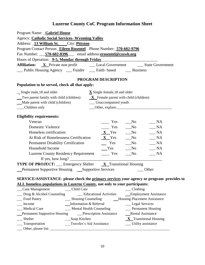| Program Name: Gabriel House                                                                                                                    |  |  |  |  |
|------------------------------------------------------------------------------------------------------------------------------------------------|--|--|--|--|
| <b>Agency: Catholic Social Services- Wyoming Valley</b>                                                                                        |  |  |  |  |
| Address: 13 William St. City: Pittston                                                                                                         |  |  |  |  |
| Program Contact Person: Eileen Rosentel Phone Number: 570-602-9796                                                                             |  |  |  |  |
| Fax Number: 570-602-8396 email address:erosentel@csswb.org                                                                                     |  |  |  |  |
| Hours of Operation: <b>9-5, Monday through Friday</b>                                                                                          |  |  |  |  |
| Affiliation: X Private non profit _________ Local Government _________ State Government                                                        |  |  |  |  |
| __ Public Housing Agency __ Funder __ Faith- based __ Business                                                                                 |  |  |  |  |
| PROGRAM DESCRIPTION                                                                                                                            |  |  |  |  |
| Population to be served, check all that apply:                                                                                                 |  |  |  |  |
| Single male, 18 and older<br>$\underline{\mathbf{X}}$ Single female, 18 and older                                                              |  |  |  |  |
| $\frac{1}{\sqrt{2}}$ Two parent family with child (children) $\frac{X}{X}$ Female parent with child (children)                                 |  |  |  |  |
| Male parent with child (children)<br>___ Unaccompanied youth                                                                                   |  |  |  |  |
| __Children only                                                                                                                                |  |  |  |  |
| <b>Eligibility requirements:</b>                                                                                                               |  |  |  |  |
| Veteran<br>$\frac{1}{1}$ Yes<br>$\_\_$ NA<br>$\sqrt{N}$                                                                                        |  |  |  |  |
| <b>Domestic Violence</b><br>$\frac{1}{1}$ Yes<br>N <sub>0</sub><br>$\_\_$ NA                                                                   |  |  |  |  |
| $X$ Yes No<br>Homeless certification:<br>$\_ NA$                                                                                               |  |  |  |  |
| At Risk of Homelessness Certification $X$ Yes ___No<br>$\overline{\phantom{A}}$ NA                                                             |  |  |  |  |
| $\begin{array}{cccc}\n\mathbf{Y} & \mathbf{S} \\ \mathbf{S} & \mathbf{S}\n\end{array}$<br>$\_ NA$<br><b>Permanent Disability Certification</b> |  |  |  |  |
| Household Income<br>Yes<br>$\sqrt{N}$<br>$\_\_$ NA                                                                                             |  |  |  |  |
| Luzerne County Residency Requirement ________ Yes<br>$\frac{1}{2}$ NA<br>$\sqrt{N_0}$                                                          |  |  |  |  |
|                                                                                                                                                |  |  |  |  |
| <b>TYPE OF PROJECT:</b> __ Emergency Shelter <b>X</b> Transitional Housing                                                                     |  |  |  |  |
| <b>_Permanent Supportive Housing ___ Supportive Services</b><br>$\qquad$ Other                                                                 |  |  |  |  |
|                                                                                                                                                |  |  |  |  |
| SERVICE/ASSISTANCE- please check the primary services your agency or program provides to                                                       |  |  |  |  |
| ALL homeless populations in Luzerne County, not only to your participants:                                                                     |  |  |  |  |
| Case Management<br>__ Child Care<br>Clothing<br>Drug & Alcohol Counseling<br>__ Educational Activities<br><b>Employment Assistance</b>         |  |  |  |  |
| <b>Housing Placement Assistance</b><br>Food Pantry<br>__ Housing Counseling                                                                    |  |  |  |  |
| Information & Referral<br>Income<br>__ Legal Services                                                                                          |  |  |  |  |
| <b>Medical Care</b><br>__ Permanent Housing<br><b>Mental Health Counseling</b>                                                                 |  |  |  |  |
| _Prescription Assistance<br>Rental Assistance<br><b>Permanent Supportive Housing</b>                                                           |  |  |  |  |
| Shelter<br>$X$ Transitional Housing<br>Soup Kitchen                                                                                            |  |  |  |  |
| Transportation<br>Traveler's Aid Assistance<br>Utility assistance                                                                              |  |  |  |  |
| Other, please list:                                                                                                                            |  |  |  |  |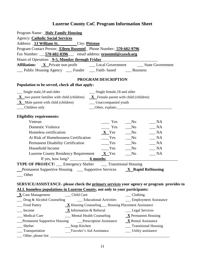| Program Name: Holy Family Housing                                                                                                                                      |                                             |
|------------------------------------------------------------------------------------------------------------------------------------------------------------------------|---------------------------------------------|
| <b>Agency: Catholic Social Services</b>                                                                                                                                |                                             |
| Address: 13 William St. City: Pittston                                                                                                                                 |                                             |
| Program Contact Person: Eileen Rosentel Phone Number: 570-602-9796                                                                                                     |                                             |
| Fax Number: 570-602-8396 email address: erosentel@csswb.org                                                                                                            |                                             |
| Hours of Operation: <b>9-5, Monday through Friday</b>                                                                                                                  |                                             |
|                                                                                                                                                                        |                                             |
| __ Public Housing Agency __ Funder __ Faith- based ___ Business                                                                                                        |                                             |
| PROGRAM DESCRIPTION                                                                                                                                                    |                                             |
| Population to be served, check all that apply:                                                                                                                         |                                             |
| __ Single male, 18 and older<br>______ Single female, 18 and older                                                                                                     |                                             |
| $X$ two parent families with child (children) $X$ Female parent with child (children)                                                                                  |                                             |
| $\bf{X}$ Male parent with child (children)<br>__ Unaccompanied youth                                                                                                   |                                             |
| __Children only                                                                                                                                                        | Other, explain:                             |
| <b>Eligibility requirements:</b>                                                                                                                                       |                                             |
| $\equiv$ Yes<br>Veteran                                                                                                                                                | N <sub>0</sub><br>$\_ NA$                   |
| <b>Domestic Violence</b><br>Yes                                                                                                                                        | NA<br>$\sqrt{N}$                            |
| Homeless certification:<br>$X$ Yes                                                                                                                                     | $\_ NA$<br>$\sqrt{N_0}$                     |
| At Risk of Homelessness Certification<br>Yes                                                                                                                           | N <sub>0</sub><br>$\_ NA$                   |
| Yes<br><b>Permanent Disability Certification</b>                                                                                                                       | $\_ NA$<br>$\sqrt{N}$                       |
| Household Income<br>Yes                                                                                                                                                | $\mathbf{N}\mathbf{o}$<br>$\blacksquare$ NA |
| Luzerne County Residency Requirement $X$ Yes                                                                                                                           | $\_ NA$<br>N <sub>0</sub>                   |
|                                                                                                                                                                        |                                             |
| <b>TYPE OF PROJECT:</b> __ Emergency Shelter ____ Transitional Housing                                                                                                 |                                             |
| Permanent Supportive Housing _____ Supportive Services _________ <b>X___Rapid ReHousing</b>                                                                            |                                             |
| Other                                                                                                                                                                  |                                             |
|                                                                                                                                                                        |                                             |
| SERVICE/ASSISTANCE- please check the primary services your agency or program provides to<br>ALL homeless populations in Luzerne County, not only to your participants: |                                             |
| __ Child Care<br>$X$ Case Management                                                                                                                                   | $\_\_$ Clothing                             |
| __ Educational Activities<br>Drug & Alcohol Counseling                                                                                                                 | __ Employment Assistance                    |
| Food Pantry<br>$\underline{\mathbf{X}}$ Housing Counseling ___ Housing Placement Assistance                                                                            |                                             |
| $X$ Information & Referral<br>Income                                                                                                                                   | __ Legal Services                           |
| __ Mental Health Counseling<br><b>Medical Care</b>                                                                                                                     | $X$ Permanent Housing                       |
| Prescription Assistance<br><b>Permanent Supportive Housing</b>                                                                                                         | $X$ Rental Assistance                       |
| __Soup Kitchen<br>Shelter                                                                                                                                              | <b>Transitional Housing</b>                 |
| _Transportation<br>Traveler's Aid Assistance                                                                                                                           | ___ Utility assistance                      |
|                                                                                                                                                                        |                                             |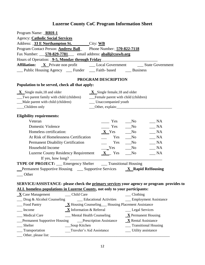| Program Name: RRH-1                                                                        |                                                          |           |
|--------------------------------------------------------------------------------------------|----------------------------------------------------------|-----------|
| <b>Agency: Catholic Social Services</b>                                                    |                                                          |           |
| Address: 33 E Northampton St. City: WB                                                     |                                                          |           |
| Program Contact Person: <b>Andrew Ball</b> Phone Number: 570-822-7118                      |                                                          |           |
| Fax Number: 570-829-7781 email address: aball@csswb.org                                    |                                                          |           |
| Hours of Operation: <b>9-5, Monday through Friday</b>                                      |                                                          |           |
|                                                                                            |                                                          |           |
| __ Public Housing Agency __ Funder __ Faith- based ___ Business                            |                                                          |           |
|                                                                                            | PROGRAM DESCRIPTION                                      |           |
| Population to be served, check all that apply:                                             |                                                          |           |
| $\bf{X}$ Single male, 18 and older                                                         | $\mathbf{X}$ Single female, 18 and older                 |           |
| Two parent family with child (children)                                                    | __Female parent with child (children)                    |           |
| Male parent with child (children)                                                          | __ Unaccompanied youth                                   |           |
| __Children only                                                                            | Other, explain:                                          |           |
|                                                                                            |                                                          |           |
| <b>Eligibility requirements:</b>                                                           |                                                          |           |
| Veteran                                                                                    | Yes<br>$\sqrt{N}$                                        | NA        |
| <b>Domestic Violence</b>                                                                   | $\equiv$ Yes<br>$\sqrt{N}$                               | $\_\_$ NA |
| Homeless certification:                                                                    | $X$ Yes<br>$\sqrt{\ }$                                   | $\_\_$ NA |
| At Risk of Homelessness Certification                                                      | $\sqrt{\text{No}}$<br>Yes                                | $\_ NA$   |
| <b>Permanent Disability Certification</b>                                                  | Yes<br>$\sqrt{N}$                                        | NA        |
| Household Income                                                                           | Yes<br>No_                                               | $\_ NA$   |
| Luzerne County Residency Requirement $X$ Yes                                               | No                                                       | $\_ NA$   |
|                                                                                            |                                                          |           |
| <b>TYPE OF PROJECT:</b> __ Emergency Shelter ___ Transitional Housing                      |                                                          |           |
| Permanent Supportive Housing _____ Supportive Services ________ <b>X___Rapid ReHousing</b> |                                                          |           |
| Other                                                                                      |                                                          |           |
|                                                                                            |                                                          |           |
| SERVICE/ASSISTANCE- please check the primary services your agency or program provides to   |                                                          |           |
| ALL homeless populations in Luzerne County, not only to your participants:                 |                                                          |           |
| $X$ Case Management<br>__ Child Care                                                       | $\_\_$ Clothing                                          |           |
| __ Drug & Alcohol Counseling ____ Educational Activities                                   | __ Employment Assistance                                 |           |
| Food Pantry                                                                                | <b>X</b> Housing Counseling Housing Placement Assistance |           |
| $X$ Information & Referral<br>Income                                                       | __ Legal Services                                        |           |
| _Medical Care<br>__ Mental Health Counseling                                               | $\underline{\mathbf{X}}$ Permanent Housing               |           |
| <b>Permanent Supportive Housing</b>                                                        | $X$ Rental Assistance<br>Prescription Assistance         |           |
| Shelter<br>__Soup Kitchen                                                                  | <b>Transitional Housing</b>                              |           |
| Transportation                                                                             | Traveler's Aid Assistance<br>__ Utility assistance       |           |
|                                                                                            |                                                          |           |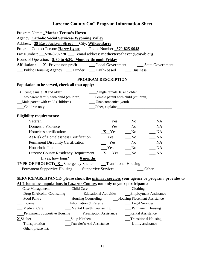| Program Name: _Mother Teresa's Haven                                                     |                                        |                                     |                 |                              |  |
|------------------------------------------------------------------------------------------|----------------------------------------|-------------------------------------|-----------------|------------------------------|--|
| Agency: Catholic Social Services- Wyoming Valley                                         |                                        |                                     |                 |                              |  |
| Address: 39 East Jackson Street City: Wilkes-Barre                                       |                                        |                                     |                 |                              |  |
| Program Contact Person: Harry Lyons Phone Number: 570-825-9948                           |                                        |                                     |                 |                              |  |
| Fax Number: 570-829-7781 email address: mothertereahaven@csswb.org                       |                                        |                                     |                 |                              |  |
| Hours of Operation: <b>8:30 to 4:30, Monday through Friday</b>                           |                                        |                                     |                 |                              |  |
|                                                                                          |                                        |                                     |                 |                              |  |
| __ Public Housing Agency __ Funder __ Faith- based ___ Business                          |                                        |                                     |                 |                              |  |
|                                                                                          |                                        | PROGRAM DESCRIPTION                 |                 |                              |  |
| Population to be served, check all that apply:                                           |                                        |                                     |                 |                              |  |
| $X$ Single male, 18 and older                                                            |                                        | Single female, 18 and older         |                 |                              |  |
| Two parent family with child (children)                                                  |                                        | Female parent with child (children) |                 |                              |  |
| Male parent with child (children)                                                        |                                        | __ Unaccompanied youth              |                 |                              |  |
| __Children only                                                                          |                                        |                                     |                 |                              |  |
| <b>Eligibility requirements:</b>                                                         |                                        |                                     |                 |                              |  |
| Veteran                                                                                  |                                        | Yes                                 | N <sub>0</sub>  | $\_ NA$                      |  |
| <b>Domestic Violence</b>                                                                 |                                        | $\frac{1}{1}$ Yes                   | $\sqrt{N}$      | $\_\_$ NA                    |  |
| Homeless certification:                                                                  |                                        | $X$ Yes No                          |                 | $\_\_$ NA                    |  |
|                                                                                          |                                        |                                     |                 | $\_ NA$                      |  |
| <b>Permanent Disability Certification</b>                                                |                                        | Yes                                 | $\sqrt{N}$      | $\_\_$ NA                    |  |
| Household Income                                                                         |                                        | Yes                                 | $\sqrt{N}$      | $\_ NA$                      |  |
| Luzerne County Residency Requirement $X$ Yes                                             |                                        |                                     | $\sqrt{N_0}$    | $\_\_$ NA                    |  |
|                                                                                          | If yes, how $\log$ ? $\qquad 6$ months |                                     |                 |                              |  |
| <b>TYPE OF PROJECT:</b> X Emergency Shelter __Transitional Housing                       |                                        |                                     |                 |                              |  |
| <b>Example 1</b> Permanent Supportive Housing <b>Supportive Services</b>                 |                                        |                                     |                 | $\qquad$ Other               |  |
| SERVICE/ASSISTANCE- please check the primary services your agency or program provides to |                                        |                                     |                 |                              |  |
| ALL homeless populations in Luzerne County, not only to your participants:               |                                        |                                     |                 |                              |  |
| Case Management                                                                          | __ Child Care                          |                                     | $\Box$ Clothing |                              |  |
| $\Box$ Drug & Alcohol Counseling                                                         | __ Educational Activities              |                                     |                 | <b>Employment Assistance</b> |  |
| - Housing Counseling<br><b>__Housing Placement Assistance</b><br>Food Pantry             |                                        |                                     |                 |                              |  |
| Information & Referral<br>Income<br>__ Legal Services                                    |                                        |                                     |                 |                              |  |
| Medical Care<br>_ Mental Health Counseling<br>__ Permanent Housing                       |                                        |                                     |                 |                              |  |
| Rental Assistance<br><b>Permanent Supportive Housing Prescription Assistance</b>         |                                        |                                     |                 |                              |  |
| <b>X</b> Shelter                                                                         | Soup Kitchen                           |                                     |                 | <b>Transitional Housing</b>  |  |

- \_\_\_ Transportation \_\_\_Traveler's Aid Assistance \_\_\_ Utility assistance
- \_\_\_ Other, please list: \_\_\_\_\_\_\_\_\_\_\_\_\_\_\_\_\_\_\_\_\_\_\_\_\_\_\_\_\_\_\_\_\_\_\_\_\_\_\_\_\_\_\_\_\_\_\_\_\_\_\_\_\_\_\_\_\_\_\_\_\_\_\_\_\_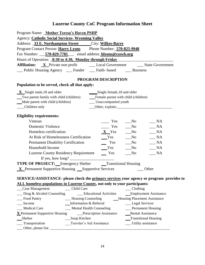| SERVICE/ASSISTANCE- please check the primary services your agency or program provides to |
|------------------------------------------------------------------------------------------|
|                                                                                          |
|                                                                                          |

| Case Management                | Child Care                      | Clothing                            |
|--------------------------------|---------------------------------|-------------------------------------|
| Drug & Alcohol Counseling      | <b>Educational Activities</b>   | <b>Employment Assistance</b>        |
| Food Pantry                    | <b>Housing Counseling</b>       | <b>Housing Placement Assistance</b> |
| Income                         | Information & Referral          | __ Legal Services                   |
| <b>Medical Care</b>            | <b>Mental Health Counseling</b> | <b>Permanent Housing</b>            |
| X Permanent Supportive Housing | <b>Prescription Assistance</b>  | <b>Rental Assistance</b>            |
| Shelter                        | Soup Kitchen                    | __Transitional Housing              |
| __ Transportation              | Traveler's Aid Assistance       | Utility assistance                  |
| Other, please list:            |                                 |                                     |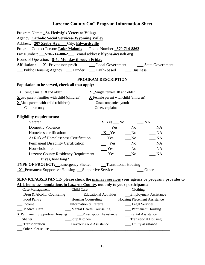| Program Name: _St. Hedwig's Veterans Village                                                                                                                                                                                                                                                                      |  |  |  |  |  |
|-------------------------------------------------------------------------------------------------------------------------------------------------------------------------------------------------------------------------------------------------------------------------------------------------------------------|--|--|--|--|--|
| <b>Agency: Catholic Social Services- Wyoming Valley</b>                                                                                                                                                                                                                                                           |  |  |  |  |  |
| Address: _207 Zerby Ave. __City: Edwardsville                                                                                                                                                                                                                                                                     |  |  |  |  |  |
| Program Contact Person: Luke Malonis Phone Number: 570-714-8862                                                                                                                                                                                                                                                   |  |  |  |  |  |
| Fax Number: 570-714-8862 email address: hlyons@csswb.org                                                                                                                                                                                                                                                          |  |  |  |  |  |
| Hours of Operation: <b>9-5, Monday through Friday</b>                                                                                                                                                                                                                                                             |  |  |  |  |  |
|                                                                                                                                                                                                                                                                                                                   |  |  |  |  |  |
| __ Public Housing Agency __ Funder __ Faith- based __ Business                                                                                                                                                                                                                                                    |  |  |  |  |  |
| PROGRAM DESCRIPTION                                                                                                                                                                                                                                                                                               |  |  |  |  |  |
| Population to be served, check all that apply:                                                                                                                                                                                                                                                                    |  |  |  |  |  |
| $\mathbf{X}$ Single male, 18 and older<br>$X$ Single female, 18 and older                                                                                                                                                                                                                                         |  |  |  |  |  |
| $\underline{\mathbf{X}}$ two parent families with child (children)<br>$X$ Female parent with child (children)                                                                                                                                                                                                     |  |  |  |  |  |
| X Male parent with child (children)<br>__ Unaccompanied youth                                                                                                                                                                                                                                                     |  |  |  |  |  |
| __Children only                                                                                                                                                                                                                                                                                                   |  |  |  |  |  |
| <b>Eligibility requirements:</b>                                                                                                                                                                                                                                                                                  |  |  |  |  |  |
| $\underline{\mathbf{X}}$ Yes $\underline{\hspace{1cm}}$ No $\underline{\hspace{1cm}}$ NA<br>Veteran                                                                                                                                                                                                               |  |  |  |  |  |
| $\frac{1}{\sqrt{1-\frac{1}{2}}}$ Yes $\frac{1}{\sqrt{1-\frac{1}{2}}}$ No<br><b>Domestic Violence</b><br>$\_\_$ NA                                                                                                                                                                                                 |  |  |  |  |  |
| Homeless certification:<br>$X$ Yes No $NA$                                                                                                                                                                                                                                                                        |  |  |  |  |  |
| $Y$ es $N$ o $N$ A<br>At Risk of Homelessness Certification                                                                                                                                                                                                                                                       |  |  |  |  |  |
| <b>Permanent Disability Certification</b>                                                                                                                                                                                                                                                                         |  |  |  |  |  |
| $\begin{tabular}{llll} \bf \textit{Yes} & \bf \textit{No} & \bf \textit{NA} \\ \bf \textit{Yes} & \bf \textit{No} & \bf \textit{NA} \\ \end{tabular}$<br>Household Income                                                                                                                                         |  |  |  |  |  |
| $\equiv$ Yes<br>$R_{\text{max}}$<br>N <sub>0</sub><br><b>Luzerne County Residency Requirement</b>                                                                                                                                                                                                                 |  |  |  |  |  |
| If yes, how long? $\frac{1}{2}$ $\frac{1}{2}$ $\frac{1}{2}$ $\frac{1}{2}$ $\frac{1}{2}$ $\frac{1}{2}$ $\frac{1}{2}$ $\frac{1}{2}$ $\frac{1}{2}$ $\frac{1}{2}$ $\frac{1}{2}$ $\frac{1}{2}$ $\frac{1}{2}$ $\frac{1}{2}$ $\frac{1}{2}$ $\frac{1}{2}$ $\frac{1}{2}$ $\frac{1}{2}$ $\frac{1}{2}$ $\frac{1}{2}$ $\frac$ |  |  |  |  |  |
| <b>TYPE OF PROJECT:</b> Emergency Shelter <b>CENTE INCIDENT</b> Transitional Housing                                                                                                                                                                                                                              |  |  |  |  |  |
| <b>X</b> Permanent Supportive Housing Supportive Services<br>Other                                                                                                                                                                                                                                                |  |  |  |  |  |
| SERVICE/ASSISTANCE- please check the primary services your agency or program provides to                                                                                                                                                                                                                          |  |  |  |  |  |
| ALL homeless populations in Luzerne County, not only to your participants:                                                                                                                                                                                                                                        |  |  |  |  |  |
| Case Management<br>__ Child Care<br>Clothing                                                                                                                                                                                                                                                                      |  |  |  |  |  |
| Drug & Alcohol Counseling<br><b>Employment Assistance</b><br><b>Educational Activities</b>                                                                                                                                                                                                                        |  |  |  |  |  |
| <b>Housing Placement Assistance</b><br>Food Pantry<br>__ Housing Counseling                                                                                                                                                                                                                                       |  |  |  |  |  |
| Information & Referral<br>Income<br>__ Legal Services                                                                                                                                                                                                                                                             |  |  |  |  |  |
| Medical Care<br><b>Mental Health Counseling</b><br><b>Permanent Housing</b>                                                                                                                                                                                                                                       |  |  |  |  |  |
| X Permanent Supportive Housing<br>Rental Assistance<br>__Prescription Assistance                                                                                                                                                                                                                                  |  |  |  |  |  |
| <b>Transitional Housing</b><br>Shelter<br>Soup Kitchen                                                                                                                                                                                                                                                            |  |  |  |  |  |

- \_\_\_ Transportation \_\_\_Traveler's Aid Assistance \_\_\_ Utility assistance
- \_\_\_ Other, please list: \_\_\_\_\_\_\_\_\_\_\_\_\_\_\_\_\_\_\_\_\_\_\_\_\_\_\_\_\_\_\_\_\_\_\_\_\_\_\_\_\_\_\_\_\_\_\_\_\_\_\_\_\_\_\_\_\_\_\_\_\_\_\_\_\_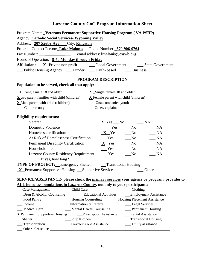| Program Name: Veterans Permanent Supportive Housing Program (VA PSHP)                                                               |                                                                                                   |                                                                                                              |  |  |  |
|-------------------------------------------------------------------------------------------------------------------------------------|---------------------------------------------------------------------------------------------------|--------------------------------------------------------------------------------------------------------------|--|--|--|
| <b>Agency: Catholic Social Services- Wyoming Valley</b>                                                                             |                                                                                                   |                                                                                                              |  |  |  |
| Address: _207 Zerby Ave ___City: Kingston                                                                                           |                                                                                                   |                                                                                                              |  |  |  |
| Program Contact Person: Luke Malonis Phone Number: 570-906-0764                                                                     |                                                                                                   |                                                                                                              |  |  |  |
|                                                                                                                                     |                                                                                                   |                                                                                                              |  |  |  |
| Hours of Operation: <u>9-5, Monday through Friday</u>                                                                               |                                                                                                   |                                                                                                              |  |  |  |
|                                                                                                                                     | <b>Affiliation:</b> X Private non profit __________ Local Government ___________ State Government |                                                                                                              |  |  |  |
| __ Public Housing Agency __ Funder __ Faith- based __ Business                                                                      |                                                                                                   |                                                                                                              |  |  |  |
|                                                                                                                                     | PROGRAM DESCRIPTION                                                                               |                                                                                                              |  |  |  |
| Population to be served, check all that apply:                                                                                      |                                                                                                   |                                                                                                              |  |  |  |
| $\bf{X}$ Single male, 18 and older                                                                                                  | $X$ Single female, 18 and older                                                                   |                                                                                                              |  |  |  |
| $\underline{\mathbf{X}}$ two parent families with child (children) $\underline{\mathbf{X}}$ Female parent with child (children)     |                                                                                                   |                                                                                                              |  |  |  |
| $\underline{\mathbf{X}}$ Male parent with child (children)                                                                          | __ Unaccompanied youth                                                                            |                                                                                                              |  |  |  |
| __Children only                                                                                                                     |                                                                                                   | Other, explain:                                                                                              |  |  |  |
| <b>Eligibility requirements:</b>                                                                                                    |                                                                                                   |                                                                                                              |  |  |  |
| Veteran                                                                                                                             | $\underline{\mathbf{X}}$ Yes $\underline{\hspace{1cm}}$ No $\underline{\hspace{1cm}}$ NA          |                                                                                                              |  |  |  |
| <b>Domestic Violence</b>                                                                                                            |                                                                                                   | $\frac{1}{\sqrt{1-\frac{1}{2}}}$ Yes $\frac{1}{\sqrt{1-\frac{1}{2}}}$ No $\frac{1}{\sqrt{1-\frac{1}{2}}}$ NA |  |  |  |
| Homeless certification:                                                                                                             |                                                                                                   | $X$ Yes ___No ____NA                                                                                         |  |  |  |
|                                                                                                                                     |                                                                                                   |                                                                                                              |  |  |  |
|                                                                                                                                     |                                                                                                   |                                                                                                              |  |  |  |
|                                                                                                                                     |                                                                                                   |                                                                                                              |  |  |  |
| Luzerne County Residency Requirement _______ Yes _______ No                                                                         |                                                                                                   | $\_$ NA                                                                                                      |  |  |  |
| If yes, how long? $\frac{1}{\sqrt{1-\frac{1}{2}}}\left\{\cos \frac{2\pi}{3} + \cos \frac{2\pi}{3} + \cos \frac{2\pi}{3}\right\}$    |                                                                                                   |                                                                                                              |  |  |  |
| <b>TYPE OF PROJECT:</b> Emergency Shelter <b>CENTE INCIDENT</b> Transitional Housing                                                |                                                                                                   |                                                                                                              |  |  |  |
| <b>X</b> Permanent Supportive Housing Supportive Services                                                                           |                                                                                                   | ___ Other                                                                                                    |  |  |  |
|                                                                                                                                     |                                                                                                   |                                                                                                              |  |  |  |
| SERVICE/ASSISTANCE- please check the primary services your agency or program provides to                                            |                                                                                                   |                                                                                                              |  |  |  |
| ALL homeless populations in Luzerne County, not only to your participants:                                                          |                                                                                                   |                                                                                                              |  |  |  |
| Case Management<br>Child Care                                                                                                       |                                                                                                   | $\_\_$ Clothing                                                                                              |  |  |  |
| Drug & Alcohol Counseling<br>__ Educational Activities<br><b>Employment Assistance</b>                                              |                                                                                                   |                                                                                                              |  |  |  |
| <b>Housing Placement Assistance</b><br>Food Pantry<br>- Housing Counseling<br>Information & Referral<br>__ Legal Services<br>Income |                                                                                                   |                                                                                                              |  |  |  |
| <b>Medical Care</b><br><b>Mental Health Counseling</b><br>Permanent Housing                                                         |                                                                                                   |                                                                                                              |  |  |  |
| <b>X</b> Permanent Supportive Housing                                                                                               | __Prescription Assistance                                                                         | __Rental Assistance                                                                                          |  |  |  |
| Shelter<br>Soup Kitchen                                                                                                             |                                                                                                   | <b>Transitional Housing</b>                                                                                  |  |  |  |
| Traveler's Aid Assistance<br><b>Utility</b> assistance<br>Transportation                                                            |                                                                                                   |                                                                                                              |  |  |  |
| Other, please list:                                                                                                                 |                                                                                                   |                                                                                                              |  |  |  |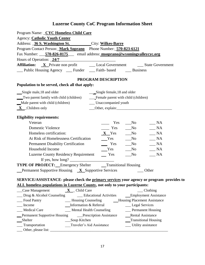| Program Name: _CYC Homeless Child Care                                                                                                                                                                                                                                                                            |                                        |                |                             |
|-------------------------------------------------------------------------------------------------------------------------------------------------------------------------------------------------------------------------------------------------------------------------------------------------------------------|----------------------------------------|----------------|-----------------------------|
| <b>Agency: Catholic Youth Center</b>                                                                                                                                                                                                                                                                              |                                        |                |                             |
| Address: 36 S. Washington St. City: Wilkes-Barre                                                                                                                                                                                                                                                                  |                                        |                |                             |
| Program Contact Person: Mark Soprano Phone Number: 570-823-6121                                                                                                                                                                                                                                                   |                                        |                |                             |
| Fax Number: 570-826-0175 email address: msoprano@wyomingvalleycyc.org                                                                                                                                                                                                                                             |                                        |                |                             |
| Hours of Operation: 24/7                                                                                                                                                                                                                                                                                          |                                        |                |                             |
| Affiliation: X Private non profit _________ Local Government __________ State Government                                                                                                                                                                                                                          |                                        |                |                             |
| __ Public Housing Agency __ Funder __ Faith- based __ Business                                                                                                                                                                                                                                                    |                                        |                |                             |
|                                                                                                                                                                                                                                                                                                                   | PROGRAM DESCRIPTION                    |                |                             |
| Population to be served, check all that apply:                                                                                                                                                                                                                                                                    |                                        |                |                             |
| Single male, 18 and older                                                                                                                                                                                                                                                                                         | ___Single female, 18 and older         |                |                             |
| Two parent family with child (children)                                                                                                                                                                                                                                                                           | ___Female parent with child (children) |                |                             |
| Male parent with child (children)                                                                                                                                                                                                                                                                                 | __ Unaccompanied youth                 |                |                             |
| $X$ Children only                                                                                                                                                                                                                                                                                                 |                                        |                |                             |
|                                                                                                                                                                                                                                                                                                                   |                                        |                |                             |
| <b>Eligibility requirements:</b>                                                                                                                                                                                                                                                                                  |                                        |                |                             |
| Veteran                                                                                                                                                                                                                                                                                                           | Yes                                    | $\rm No$       | NA                          |
| <b>Domestic Violence</b>                                                                                                                                                                                                                                                                                          | $\frac{1}{1}$ Yes                      | N <sub>0</sub> | $\frac{\ }{}$ NA            |
| Homeless certification:                                                                                                                                                                                                                                                                                           | $X$ Yes No                             |                | $\_\_$ NA                   |
| At Risk of Homelessness Certification<br>Permanent Disability Certification<br>Yes Mo                                                                                                                                                                                                                             |                                        |                | $\_ NA$                     |
|                                                                                                                                                                                                                                                                                                                   |                                        |                | $\overline{\phantom{A}}$ NA |
| Household Income                                                                                                                                                                                                                                                                                                  | $Yes$ No                               |                | $\_ NA$                     |
| Luzerne County Residency Requirement Tes                                                                                                                                                                                                                                                                          |                                        | $\sqrt{N_0}$   | $\_ NA$                     |
| If yes, how long? $\frac{1}{2}$ $\frac{1}{2}$ $\frac{1}{2}$ $\frac{1}{2}$ $\frac{1}{2}$ $\frac{1}{2}$ $\frac{1}{2}$ $\frac{1}{2}$ $\frac{1}{2}$ $\frac{1}{2}$ $\frac{1}{2}$ $\frac{1}{2}$ $\frac{1}{2}$ $\frac{1}{2}$ $\frac{1}{2}$ $\frac{1}{2}$ $\frac{1}{2}$ $\frac{1}{2}$ $\frac{1}{2}$ $\frac{1}{2}$ $\frac$ |                                        |                |                             |
| <b>TYPE OF PROJECT:</b> Emergency Shelter <b>CENTE INCIDENT</b> Transitional Housing                                                                                                                                                                                                                              |                                        |                |                             |
| <b>Example 1</b> Permanent Supportive Housing $\overline{X}$ Supportive Services $\overline{X}$ Other                                                                                                                                                                                                             |                                        |                |                             |
|                                                                                                                                                                                                                                                                                                                   |                                        |                |                             |
| SERVICE/ASSISTANCE- please check the primary services your agency or program provides to<br>ALL homeless populations in Luzerne County, not only to your participants:                                                                                                                                            |                                        |                |                             |
| $\frac{\mathbf{X}}{\mathbf{X}}$ Case Management $\frac{\mathbf{X}}{\mathbf{X}}$ Child Care                                                                                                                                                                                                                        | Clothing                               |                |                             |
| __ Drug & Alcohol Counseling ______ Educational Activities _____ Employment Assistance                                                                                                                                                                                                                            |                                        |                |                             |
| Eood Pantry Housing Counseling Housing Placement Assistance                                                                                                                                                                                                                                                       |                                        |                |                             |

| Food Pantry                         | _Housing Counseling            | Housing Placement Assistance |
|-------------------------------------|--------------------------------|------------------------------|
| Income                              | Information & Referral         | __ Legal Services            |
| <b>Medical Care</b>                 | Mental Health Counseling       | _Permanent Housing           |
| <b>Permanent Supportive Housing</b> | <b>Prescription Assistance</b> | <b>Rental Assistance</b>     |
| Shelter                             | Soup Kitchen                   | Transitional Housing         |
| Transportation                      | Traveler's Aid Assistance      | _Utility assistance          |
| Other, please list:                 |                                |                              |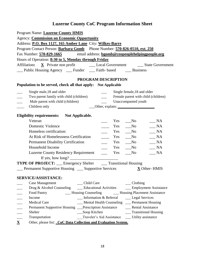| Program Name: Luzerne County HMIS                                                              |
|------------------------------------------------------------------------------------------------|
| <b>Agency: Commission on Economic Opportunity</b>                                              |
| Address: P.O. Box 1127, 165 Amber Lane City: Wilkes-Barre                                      |
| Program Contact Person: <b>Barbara Gomb</b> Phone Number: 570-826-0510, ext. 250               |
| Fax Number: 570-829-1665 email address: bgomb@ceopeoplehelpingpeople.org                       |
| Hours of Operation: 8:30 to 5, Monday through Friday                                           |
|                                                                                                |
| _Public Housing Agency __ Funder __ Faith- based __ Business                                   |
|                                                                                                |
| PROGRAM DESCRIPTION                                                                            |
| Population to be served, check all that apply: Not Applicable                                  |
| Single male, 18 and older<br>Single female, 18 and older<br>$\frac{1}{2}$                      |
| Female parent with child (children)<br>Two parent family with child (children)                 |
| Male parent with child (children)<br>Unaccompanied youth                                       |
| Children only                                                                                  |
|                                                                                                |
| Eligibility requirements: Not Applicable.                                                      |
| Veteran<br>$\mathbb{A}$<br>Yes<br>$\sqrt{N}$                                                   |
| <b>Domestic Violence</b><br>Yes<br>$\_ NA$<br>$\sqrt{N}$                                       |
| Homeless certification:<br>NA<br>Yes<br>$\mathbf{N}\mathbf{o}$                                 |
| At Risk of Homelessness Certification<br>$\_ NA$<br>$\equiv$ Yes<br>$\sqrt{N}$                 |
| <b>Permanent Disability Certification</b><br>$\_ NA$<br>Yes<br>$\sqrt{N}$                      |
| Household Income<br>$\mathbf{N}\mathbf{o}$<br>$\_ NA$<br>Yes                                   |
| <b>Luzerne County Residency Requirement</b><br>$\_ NA$<br>$\equiv$ Yes<br>No                   |
|                                                                                                |
| TYPE OF PROJECT: __ Emergency Shelter ___ Transitional Housing                                 |
| Permanent Supportive Housing ______ Supportive Services<br>$\underline{\mathbf{X}}$ Other-HMIS |
|                                                                                                |
| <b>SERVICE/ASSISTANCE:</b>                                                                     |
| <b>Case Management</b><br>Child Care<br>Clothing                                               |
| __ Employment Assistance<br>Drug & Alcohol Counseling<br>__ Educational Activities             |
| - Housing Counseling<br>- Housing Placement Assistance<br>Food Pantry                          |
| __ Information & Referral<br>Legal Services<br>Income                                          |
| <b>Medical Care</b><br>__ Mental Health Counseling __ Permanent Housing                        |
| Permanent Supportive Housing Prescription Assistance<br>__ Rental Assistance<br>Shelter        |
| __Soup Kitchen<br>__ Transitional Housing                                                      |
| Traveler's Aid Assistance<br>Transportation<br>__ Utility assistance                           |
| $\mathbf{\underline{X}}$<br>Other, please list: _CoC Data Collection and Evaluation System.    |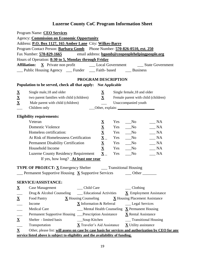|                          | Program Name: CEO Services                                                                                    |                                                                                                                                 |                                       |     |                                             |                                     |
|--------------------------|---------------------------------------------------------------------------------------------------------------|---------------------------------------------------------------------------------------------------------------------------------|---------------------------------------|-----|---------------------------------------------|-------------------------------------|
|                          | Agency: Commission on Economic Opportunity                                                                    |                                                                                                                                 |                                       |     |                                             |                                     |
|                          | Address: P.O. Box 1127, 165 Amber Lane City: Wilkes-Barre                                                     |                                                                                                                                 |                                       |     |                                             |                                     |
|                          | Program Contact Person: <b>Barbara Gomb</b> Phone Number: 570-826-0510, ext. 250                              |                                                                                                                                 |                                       |     |                                             |                                     |
|                          | Fax Number: 570-829-1665                                                                                      | email address: bgomb@ceopeoplehelpingpeople.org                                                                                 |                                       |     |                                             |                                     |
|                          | Hours of Operation: 8:30 to 5, Monday through Friday                                                          |                                                                                                                                 |                                       |     |                                             |                                     |
|                          |                                                                                                               |                                                                                                                                 |                                       |     |                                             |                                     |
|                          | Public Housing Agency ____ Funder ____ Faith- based _____ Business                                            |                                                                                                                                 |                                       |     |                                             |                                     |
|                          |                                                                                                               | PROGRAM DESCRIPTION                                                                                                             |                                       |     |                                             |                                     |
|                          | Population to be served, check all that apply: Not Applicable                                                 |                                                                                                                                 |                                       |     |                                             |                                     |
| $\underline{\mathbf{X}}$ | Single male, 18 and older                                                                                     |                                                                                                                                 | $\underline{\mathbf{X}}$              |     | Single female, 18 and older                 |                                     |
| $\mathbf{\underline{X}}$ | two parent families with child (children)                                                                     |                                                                                                                                 | $\mathbf{\underline{X}}$              |     |                                             | Female parent with child (children) |
| $\overline{\mathbf{X}}$  | Male parent with child (children)                                                                             |                                                                                                                                 |                                       |     | Unaccompanied youth                         |                                     |
|                          | Children only                                                                                                 |                                                                                                                                 |                                       |     |                                             |                                     |
|                          | <b>Eligibility requirements:</b>                                                                              |                                                                                                                                 |                                       |     |                                             |                                     |
|                          | Veteran                                                                                                       |                                                                                                                                 | $\underline{\mathbf{X}}$              | Yes | $\mathbf{N}\mathbf{o}$                      | NA                                  |
|                          | <b>Domestic Violence</b>                                                                                      |                                                                                                                                 | $\underline{\mathbf{X}}$              | Yes | $\sqrt{N_0}$                                | $\_ NA$                             |
|                          | Homeless certification:                                                                                       |                                                                                                                                 |                                       | Yes | $\sqrt{N}$                                  | NA                                  |
|                          | At Risk of Homelessness Certification                                                                         |                                                                                                                                 |                                       | Yes | $\sqrt{N_0}$                                | $\_ NA$                             |
|                          |                                                                                                               |                                                                                                                                 | $\frac{\overline{X}}{\underline{X}}$  | Yes | $\sqrt{N}$                                  | $\_ NA$                             |
|                          | <b>Permanent Disability Certification</b><br>$\overline{\mathbf{X}}$<br>Household Income<br>Yes<br>$\sqrt{N}$ |                                                                                                                                 |                                       |     |                                             | $\_ NA$                             |
|                          | <b>Luzerne County Residency Requirement</b>                                                                   |                                                                                                                                 | $\underline{\mathbf{X}}$ <sub>-</sub> | Yes | $\sqrt{\ }$                                 | $\_ NA$                             |
|                          | If yes, how long? <b>At least one year</b>                                                                    |                                                                                                                                 |                                       |     |                                             |                                     |
|                          |                                                                                                               |                                                                                                                                 |                                       |     |                                             |                                     |
|                          | <b>TYPE OF PROJECT:</b> X Emergency Shelter _______ Transitional Housing                                      |                                                                                                                                 |                                       |     |                                             |                                     |
|                          | Permanent Supportive Housing $\overline{X}$ Supportive Services                                               |                                                                                                                                 |                                       |     | <b>Other</b>                                |                                     |
|                          | SERVICE/ASSISTANCE:                                                                                           |                                                                                                                                 |                                       |     |                                             |                                     |
| $\overline{\mathbf{X}}$  | <b>Case Management</b>                                                                                        | Child Care                                                                                                                      |                                       |     | Clothing                                    |                                     |
|                          | Drug & Alcohol Counseling                                                                                     | <b>Educational Activities</b>                                                                                                   |                                       |     |                                             | X Employment Assistance             |
| $\underline{\mathbf{X}}$ | Food Pantry                                                                                                   | $\underline{\mathbf{X}}$ Housing Counseling                                                                                     |                                       |     | <b>X</b> Housing Placement Assistance       |                                     |
|                          | Income                                                                                                        |                                                                                                                                 |                                       |     |                                             |                                     |
|                          | <b>Medical Care</b>                                                                                           | <b>X</b> Information & Referral<br>__ Legal Services<br>$\frac{1}{2}$ Mental Health Counseling $\overline{X}$ Permanent Housing |                                       |     |                                             |                                     |
|                          | Permanent Supportive Housing __Prescription Assistance                                                        |                                                                                                                                 |                                       |     | <b>X</b> Rental Assistance                  |                                     |
| $\underline{\mathbf{X}}$ | Shelter - limited basis                                                                                       | __Soup Kitchen                                                                                                                  |                                       |     | __ Transitional Housing                     |                                     |
|                          | Transportation                                                                                                | X Traveler's Aid Assistance                                                                                                     |                                       |     | $\underline{\mathbf{X}}$ Utility assistance |                                     |
| $\mathbf X$              | Other, please list: will assess on case by case basis for services and authorization by CEO for any           |                                                                                                                                 |                                       |     |                                             |                                     |
|                          | service listed above is subject to eligibility and the availability of funding.                               |                                                                                                                                 |                                       |     |                                             |                                     |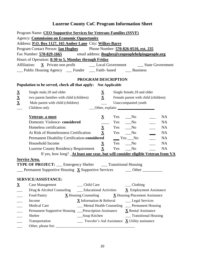| <b>Agency: Commission on Economic Opportunity</b>                                                                            |  |
|------------------------------------------------------------------------------------------------------------------------------|--|
| Address: P.O. Box 1127, 165 Amber Lane City: Wilkes-Barre                                                                    |  |
| Program Contact Person: <b>Ian Hughes</b> Phone Number: 570-826-0510, ext. 235                                               |  |
| Fax Number: 570-829-1665 email address: ihughes@ceopeoplehelpingpeople.org                                                   |  |
| Hours of Operation: 8:30 to 5, Monday through Friday                                                                         |  |
| Affiliation:                                                                                                                 |  |
| ___ Public Housing Agency ____ Funder ____ Faith- based _____ Business                                                       |  |
| PROGRAM DESCRIPTION                                                                                                          |  |
| Population to be served, check all that apply: Not Applicable                                                                |  |
| $\mathbf{\underline{X}}$<br>Single male, 18 and older<br>Single female, 18 and older<br>$\underline{\mathbf{X}}$             |  |
| $\underline{\mathbf{X}}$<br>$\mathbf{X}$<br>two parent families with child (children)<br>Female parent with child (children) |  |
| $\underline{\mathbf{X}}$<br>Male parent with child (children)<br>Unaccompanied youth                                         |  |
| Children only                                                                                                                |  |
|                                                                                                                              |  |
| Veteran- a must<br>$\mathbf{X}$<br>$\sqrt{N}$<br><b>NA</b><br>Yes                                                            |  |
| Domestic Violence-considered<br>Yes No<br><b>NA</b>                                                                          |  |
| $\underline{\mathbf{X}}$ Yes __No<br>Homeless certification:<br><b>NA</b>                                                    |  |
| $\mathbf X$<br>At Risk of Homelessness Certification<br>Yes<br>$\sqrt{N}$<br><b>NA</b>                                       |  |
| <b>Permanent Disability Certification-considered</b><br><b>NA</b><br>$Yes$ No                                                |  |
| Household Income<br>Yes No<br><b>NA</b><br>$\mathbf{X}$                                                                      |  |
| $\mathbf{X}$<br><b>Luzerne County Residency Requirement</b><br><b>NA</b><br>Yes<br>$\mathbf{N}\mathbf{o}$                    |  |
| If yes, how long? <b>At least one year, but will consider eligible Veteran from VA</b>                                       |  |
| <b>Service Area.</b>                                                                                                         |  |
| <b>TYPE OF PROJECT:</b> __ Emergency Shelter ___ Transitional Housing                                                        |  |
| <b>Example 1</b> Permanent Supportive Housing X Supportive Services <u>Services</u> Cuber                                    |  |
|                                                                                                                              |  |
| SERVICE/ASSISTANCE:<br>Child Care<br>Clothing                                                                                |  |
| $\overline{\mathbf{X}}$<br>Case Management                                                                                   |  |
| $\underline{\mathbf{X}}$ Employment Assistance<br>Drug & Alcohol Counseling<br>__ Educational Activities                     |  |
| Food Pantry<br>$\underline{\mathbf{X}}$ Housing Counseling<br><b>X</b> Housing Placement Assistance                          |  |
| Income<br><b>X</b> Information & Referral<br>__ Legal Services                                                               |  |
| <b>Medical Care</b><br><b>Mental Health Counseling</b><br>__ Permanent Housing                                               |  |
| <b>X</b> Rental Assistance<br>Permanent Supportive Housing __Prescription Assistance                                         |  |
| __Soup Kitchen<br><b>Transitional Housing</b><br>Shelter                                                                     |  |
| Traveler's Aid Assistance $\overline{\mathbf{X}}$ Utility assistance<br>Transportation<br>Other, please list: _              |  |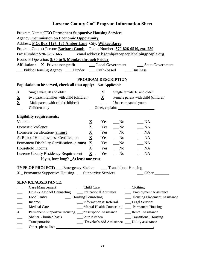| Program Name: CEO Permanent Supportive Housing Services<br><b>Agency: Commission on Economic Opportunity</b><br>Address: P.O. Box 1127, 165 Amber Lane City: Wilkes-Barre<br>Program Contact Person: Barbara Gomb Phone Number: 570-826-0510, ext. 250<br>Fax Number: 570-829-1665 email address: bgomb@ceopeoplehelpingpeople.org<br>Hours of Operation: 8:30 to 5, Monday through Friday<br>__ Public Housing Agency __ Funder __ Faith- based ___ Business |                                                                                                                                                                     |                                                                                            |                                                                                               |                                                                                                                                                                                                                                                    |
|---------------------------------------------------------------------------------------------------------------------------------------------------------------------------------------------------------------------------------------------------------------------------------------------------------------------------------------------------------------------------------------------------------------------------------------------------------------|---------------------------------------------------------------------------------------------------------------------------------------------------------------------|--------------------------------------------------------------------------------------------|-----------------------------------------------------------------------------------------------|----------------------------------------------------------------------------------------------------------------------------------------------------------------------------------------------------------------------------------------------------|
|                                                                                                                                                                                                                                                                                                                                                                                                                                                               |                                                                                                                                                                     |                                                                                            | PROGRAM DESCRIPTION                                                                           |                                                                                                                                                                                                                                                    |
| Population to be served, check all that apply: Not Applicable<br>$\underline{\mathbf{X}}$<br>Single male, 18 and older<br>$\mathbf{\underline{X}}$<br>two parent families with child (children)<br>$\underline{\mathbf{X}}$<br>Male parent with child (children)<br>Children only                                                                                                                                                                             |                                                                                                                                                                     | $\mathbf{\underline{X}}$<br>$\mathbf X$                                                    | Unaccompanied youth                                                                           | Single female, 18 and older<br>Female parent with child (children)<br>Other, explain:                                                                                                                                                              |
| <b>Eligibility requirements:</b><br>Veteran<br>Domestic Violence<br>Homeless certification- a must<br>At Risk of Homelessness Certification<br>Permanent Disability Certification- a must<br>Household Income<br>Luzerne County Residency Requirement $\underline{\mathbf{X}}$<br>If yes, how long? <b>At least one year</b><br><b>TYPE OF PROJECT:</b> ___ Emergency Shelter ____ Transitional Housing                                                       | $\underline{\mathbf{X}}$<br>$\overline{\mathbf{X}}$<br>$\underline{\mathbf{X}}$<br>$\underline{\mathbf{X}}$<br>$\mathbf{\underline{X}}$<br>$\underline{\mathbf{X}}$ | Yes<br>Yes<br>Yes<br>Yes<br>Yes                                                            | $\sqrt{N}$<br>$\sqrt{N}$<br>Yes __No<br>$\sqrt{a}$ No<br>Yes No<br>$\sqrt{N}$<br>$\sqrt{N_0}$ | $\_\_$ NA<br>$\_ NA$<br>NA<br>$\_ NA$<br>$\_\_$ NA<br>$\_\_$ NA<br>$\_ NA$                                                                                                                                                                         |
| $\underline{\mathbf{X}}$ Permanent Supportive Housing ___Supportive Services<br>SERVICE/ASSISTANCE:<br><b>Case Management</b><br>Drug & Alcohol Counseling<br>- Housing Counseling<br>Food Pantry<br>Income<br><b>Medical Care</b><br>$\mathbf{\underline{X}}$<br>Permanent Supportive Housing __Prescription Assistance<br>Shelter - limited basis<br>Transportation<br>$\frac{1}{2}$<br>Other, please list:                                                 | Child Care<br>__Soup Kitchen                                                                                                                                        | <b>Educational Activities</b><br>Information & Referral<br><b>Mental Health Counseling</b> |                                                                                               | Other<br>$\_\_$ Clothing<br>__ Employment Assistance<br>- Housing Placement Assistance<br>__ Legal Services<br>___ Permanent Housing<br><b>Rental Assistance</b><br><b>Transitional Housing</b><br>Traveler's Aid Assistance __ Utility assistance |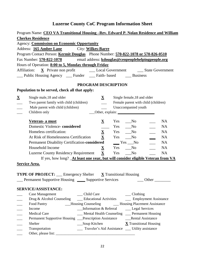|                          | Program Name: CEO VA Transitional Housing -Rev. Edward P. Nolan Residence and William |                          |                                                  |                                       |
|--------------------------|---------------------------------------------------------------------------------------|--------------------------|--------------------------------------------------|---------------------------------------|
|                          | <b>Cherkes Residence</b>                                                              |                          |                                                  |                                       |
|                          | <b>Agency: Commission on Economic Opportunity</b>                                     |                          |                                                  |                                       |
|                          | Address: <b>165 Amber Lane</b> City: <b>Wilkes-Barre</b>                              |                          |                                                  |                                       |
|                          | Program Contact Person: Kermit Douglas Phone Number: 570-822-1078 or 570-826-0510     |                          |                                                  |                                       |
|                          | Fax Number: 570-822-1078 email address: kdouglas@ceopeoplehelpingpeople.org           |                          |                                                  |                                       |
|                          | Hours of Operation: 8:00 to 5, Monday through Friday                                  |                          |                                                  |                                       |
|                          |                                                                                       |                          |                                                  |                                       |
|                          | __ Public Housing Agency ___ Funder ___ Faith- based ____ Business                    |                          |                                                  |                                       |
|                          |                                                                                       |                          |                                                  |                                       |
|                          | PROGRAM DESCRIPTION                                                                   |                          |                                                  |                                       |
|                          | Population to be served, check all that apply:                                        |                          |                                                  |                                       |
| $\mathbf{\underline{X}}$ | Single male, 18 and older                                                             | $\mathbf{X}$             | Single female, 18 and older                      |                                       |
|                          | Two parent family with child (children)                                               |                          |                                                  | Female parent with child (children)   |
|                          | Male parent with child (children)                                                     |                          | Unaccompanied youth                              |                                       |
|                          | Children only                                                                         |                          |                                                  |                                       |
|                          | Veteran- a must                                                                       |                          |                                                  | <b>NA</b>                             |
|                          |                                                                                       | $\mathbf{\underline{X}}$ | $Yes \t_{N0}$                                    |                                       |
|                          | Domestic Violence-considered                                                          |                          | Yes __No                                         | <b>NA</b>                             |
|                          | Homeless certification:                                                               | $\mathbf{\underline{X}}$ | Yes No                                           | <b>NA</b>                             |
|                          | At Risk of Homelessness Certification                                                 | $\underline{\mathbf{X}}$ | Yes No                                           | NA                                    |
|                          | Permanent Disability Certification-considered _______ Yes ____No                      |                          |                                                  | $\overline{\phantom{a}}$<br><b>NA</b> |
|                          | Household Income                                                                      | $\mathbf{X}$             | Yes No                                           | <b>NA</b>                             |
|                          | <b>Luzerne County Residency Requirement</b>                                           | $\mathbf{\underline{X}}$ | Yes No                                           | NA                                    |
|                          | If yes, how long? _At least one year, but will consider eligible Veteran from VA      |                          |                                                  |                                       |
|                          | <b>Service Area.</b>                                                                  |                          |                                                  |                                       |
|                          |                                                                                       |                          |                                                  |                                       |
|                          | <b>TYPE OF PROJECT:</b> __ Emergency Shelter <b>X</b> Transitional Housing            |                          |                                                  |                                       |
|                          | __ Permanent Supportive Housing _____ Supportive Services ________ Other ________     |                          |                                                  |                                       |
|                          | <b>SERVICE/ASSISTANCE:</b>                                                            |                          |                                                  |                                       |
|                          | <b>Case Management</b><br>__ Child Care                                               |                          | $\_\_$ Clothing                                  |                                       |
|                          | Drug & Alcohol Counseling<br>__ Educational Activities                                |                          |                                                  | __ Employment Assistance              |
|                          | __Housing Counseling<br>Food Pantry                                                   |                          |                                                  | - Housing Placement Assistance        |
|                          | Income<br>$\Box$ Information & Referral                                               |                          | __ Legal Services                                |                                       |
|                          | <b>Medical Care</b>                                                                   |                          | Mental Health Counseling __ Permanent Housing    |                                       |
|                          | Permanent Supportive Housing __Prescription Assistance _________Rental Assistance     |                          |                                                  |                                       |
|                          | Soup Kitchen<br>Shelter                                                               |                          | $\underline{\mathbf{X}}$ Transitional Housing    |                                       |
|                          | Transportation                                                                        |                          | Traveler's Aid Assistance ___ Utility assistance |                                       |
|                          |                                                                                       |                          |                                                  |                                       |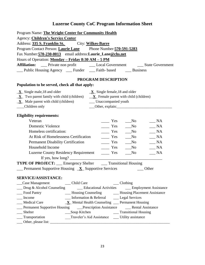| Program Name: The Wright Center for Community Health<br>Agency: Children's Service Center<br>Address: 335 S. Franklin St. City: Wilkes-Barre<br>Program Contact Person: Laurie Lane Phone Number: 570-591-5283<br>Fax Number: 570-230-0013 email address: Laurie_Lane@chs.net<br>Hours of Operation: Monday - Friday 8:30 AM - 5 PM<br><b>Affiliation:</b><br>__ Private non profit _________ Local Government _______ State Government<br>__ Public Housing Agency __ Funder __ Faith- based __ Business |
|-----------------------------------------------------------------------------------------------------------------------------------------------------------------------------------------------------------------------------------------------------------------------------------------------------------------------------------------------------------------------------------------------------------------------------------------------------------------------------------------------------------|
| PROGRAM DESCRIPTION                                                                                                                                                                                                                                                                                                                                                                                                                                                                                       |
| Population to be served, check all that apply:                                                                                                                                                                                                                                                                                                                                                                                                                                                            |
| $\underline{\mathbf{X}}$ Single male, 18 and older<br>$\underline{\mathbf{X}}$ Single female, 18 and older<br>$X$ Two parent family with child (children) $X$ Female parent with child (children)<br>$\underline{\mathbf{X}}$ Male parent with child (children)    _____ Unaccompanied youth<br>Children only                                                                                                                                                                                             |
| <b>Eligibility requirements:</b>                                                                                                                                                                                                                                                                                                                                                                                                                                                                          |
| Veteran<br>$\frac{1}{1}$ Yes<br>NA<br>No                                                                                                                                                                                                                                                                                                                                                                                                                                                                  |
| <b>Domestic Violence</b><br>$\equiv$ Yes<br>$\mathbb{N}$ A<br>$\sqrt{N}$                                                                                                                                                                                                                                                                                                                                                                                                                                  |
| Homeless certification:<br>$\equiv$ Yes<br>NA<br>$\sqrt{N}$                                                                                                                                                                                                                                                                                                                                                                                                                                               |
| At Risk of Homelessness Certification<br>$\equiv$ Yes<br>NA<br>$\sqrt{N}$                                                                                                                                                                                                                                                                                                                                                                                                                                 |
| <b>Permanent Disability Certification</b><br>$\_ NA$<br>$\frac{1}{\sqrt{1-\frac{1}{2}}}$ Yes<br>$\sqrt{N}$                                                                                                                                                                                                                                                                                                                                                                                                |
| Household Income<br>$\equiv$ Yes<br>$\_ NA$<br>$\sqrt{N}$                                                                                                                                                                                                                                                                                                                                                                                                                                                 |
| Luzerne County Residency Requirement ________ Yes<br>$\_ NA$<br>No                                                                                                                                                                                                                                                                                                                                                                                                                                        |
|                                                                                                                                                                                                                                                                                                                                                                                                                                                                                                           |
| <b>TYPE OF PROJECT:</b> ___ Emergency Shelter ____ Transitional Housing                                                                                                                                                                                                                                                                                                                                                                                                                                   |
| $\frac{1}{2}$ Permanent Supportive Housing $\frac{X}{X}$ Supportive Services<br>Other                                                                                                                                                                                                                                                                                                                                                                                                                     |
| <b>SERVICE/ASSISTANCE:</b>                                                                                                                                                                                                                                                                                                                                                                                                                                                                                |
| $\_\_$ Clothing                                                                                                                                                                                                                                                                                                                                                                                                                                                                                           |
| __ Drug & Alcohol Counseling ________ Educational Activities _______ Employment Assistance                                                                                                                                                                                                                                                                                                                                                                                                                |
| __ Food Pantry<br>- Housing Counseling - Housing Placement Assistance                                                                                                                                                                                                                                                                                                                                                                                                                                     |
| Information & Referral _______ Legal Services<br>Income                                                                                                                                                                                                                                                                                                                                                                                                                                                   |
| $\underline{\mathbf{X}}$ Mental Health Counseling __ Permanent Housing<br><b>Medical Care</b>                                                                                                                                                                                                                                                                                                                                                                                                             |
| _Permanent Supportive Housing _____Prescription Assistance ___________Rental Assistance                                                                                                                                                                                                                                                                                                                                                                                                                   |
| Shelter<br>___Soup Kitchen ____________________________Transitional Housing                                                                                                                                                                                                                                                                                                                                                                                                                               |
| __ Transportation<br>__Traveler's Aid Assistance ___ Utility assistance                                                                                                                                                                                                                                                                                                                                                                                                                                   |
|                                                                                                                                                                                                                                                                                                                                                                                                                                                                                                           |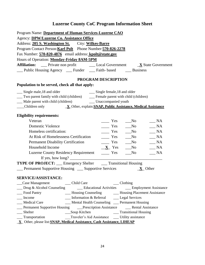| Program Name: Department of Human Services-Luzerne CAO                                                                                                                                                                                                                                                            |
|-------------------------------------------------------------------------------------------------------------------------------------------------------------------------------------------------------------------------------------------------------------------------------------------------------------------|
| Agency: DPW/Luzerne Co. Assistance Office                                                                                                                                                                                                                                                                         |
| Address: 205 S. Washington St. City: Wilkes-Barre                                                                                                                                                                                                                                                                 |
| Program Contact Person: Karl Polt Phone Number: 570-826-2278                                                                                                                                                                                                                                                      |
| Fax Number: 570-820-4876 email address: kpolt@state.gov                                                                                                                                                                                                                                                           |
| Hours of Operation: Monday-Friday 8AM-5PM                                                                                                                                                                                                                                                                         |
| <b>Affiliation:</b><br><u>State Government</u> Consumers Consumers Consumers Consumers Consumers Consumers Consumers Consumers Consumers Consumers Consumers Consumers Consumers Consumers Consumers Consumers Consumers Consumers Consumers Consumers Con                                                        |
| __ Public Housing Agency ___ Funder ___ Faith- based ____ Business                                                                                                                                                                                                                                                |
| PROGRAM DESCRIPTION                                                                                                                                                                                                                                                                                               |
| Population to be served, check all that apply:                                                                                                                                                                                                                                                                    |
| __ Single male, 18 and older<br>__ Single female, 18 and older                                                                                                                                                                                                                                                    |
| __ Two parent family with child (children) ________ Female parent with child (children)                                                                                                                                                                                                                           |
| __ Male parent with child (children) _____ Unaccompanied youth                                                                                                                                                                                                                                                    |
|                                                                                                                                                                                                                                                                                                                   |
| <b>Eligibility requirements:</b>                                                                                                                                                                                                                                                                                  |
| Veteran<br>NA<br>Yes<br>$\sqrt{N}$                                                                                                                                                                                                                                                                                |
| <b>Domestic Violence</b><br>$\_ NA$<br>$\equiv$ Yes<br>$\sqrt{N}$                                                                                                                                                                                                                                                 |
| Homeless certification:<br>$\sqrt{a}$ No<br>$\sqrt{\mathsf{NA}}$<br>$\frac{1}{1}$ Yes                                                                                                                                                                                                                             |
| At Risk of Homelessness Certification<br>$\equiv$ Yes<br>$\_ NA$<br>$\sqrt{N}$                                                                                                                                                                                                                                    |
| $\frac{1}{1}$ Yes<br><b>Permanent Disability Certification</b><br>$\sqrt{N}$<br>$\_ NA$                                                                                                                                                                                                                           |
| Household Income<br>$\_ NA$<br>$X$ Yes<br>$\sqrt{N}$                                                                                                                                                                                                                                                              |
| Luzerne County Residency Requirement ________ Yes<br>$\sqrt{N}$<br>$\_\_$ NA                                                                                                                                                                                                                                      |
| If yes, how long? $\frac{1}{2}$ $\frac{1}{2}$ $\frac{1}{2}$ $\frac{1}{2}$ $\frac{1}{2}$ $\frac{1}{2}$ $\frac{1}{2}$ $\frac{1}{2}$ $\frac{1}{2}$ $\frac{1}{2}$ $\frac{1}{2}$ $\frac{1}{2}$ $\frac{1}{2}$ $\frac{1}{2}$ $\frac{1}{2}$ $\frac{1}{2}$ $\frac{1}{2}$ $\frac{1}{2}$ $\frac{1}{2}$ $\frac{1}{2}$ $\frac$ |
| <b>TYPE OF PROJECT:</b> __ Emergency Shelter ___ Transitional Housing                                                                                                                                                                                                                                             |
| Permanent Supportive Housing __ Supportive Services<br>$X$ Other                                                                                                                                                                                                                                                  |
| <b>SERVICE/ASSISTANCE:</b>                                                                                                                                                                                                                                                                                        |
| __ Child Care<br>$\_\_$ Clothing<br>__Case Management                                                                                                                                                                                                                                                             |
| __ Drug & Alcohol Counseling _______ Educational Activities ______ Employment Assistance                                                                                                                                                                                                                          |
| _Food Pantry<br>__ Housing Counseling<br>- Housing Placement Assistance                                                                                                                                                                                                                                           |
| Income<br>$\frac{1}{2}$ Information & Referral<br>__ Legal Services                                                                                                                                                                                                                                               |
| Medical Care<br>__ Mental Health Counseling __ Permanent Housing                                                                                                                                                                                                                                                  |
| _Permanent Supportive Housing _____Prescription Assistance _________Rental Assistance                                                                                                                                                                                                                             |
| __ Transitional Housing<br>$S$ helter<br>Soup Kitchen                                                                                                                                                                                                                                                             |
| Traveler's Aid Assistance<br>__ Transportation<br>___ Utility assistance                                                                                                                                                                                                                                          |
| X Other, please list: SNAP, Medical Assistance, Cash Assistance, LIHEAP                                                                                                                                                                                                                                           |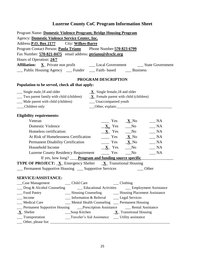| Program Name: Domestic Violence Program; Bridge Housing Program                                                  |                                                                                                                                                                 |
|------------------------------------------------------------------------------------------------------------------|-----------------------------------------------------------------------------------------------------------------------------------------------------------------|
| <b>Agency: Domestic Violence Service Center, Inc.</b>                                                            |                                                                                                                                                                 |
| Address: <b>P.O. Box 2177</b> City: Wilkes-Barre                                                                 |                                                                                                                                                                 |
| Program Contact Person: Paula Triano Phone Number: 570 823 6799                                                  |                                                                                                                                                                 |
| Fax Number: 570-821-0475 email address: ptriano@dvsclc.org                                                       |                                                                                                                                                                 |
| Hours of Operation: 24/7                                                                                         |                                                                                                                                                                 |
|                                                                                                                  |                                                                                                                                                                 |
| __ Public Housing Agency __ Funder __ Faith- based __ Business                                                   |                                                                                                                                                                 |
|                                                                                                                  |                                                                                                                                                                 |
|                                                                                                                  | PROGRAM DESCRIPTION                                                                                                                                             |
| Population to be served, check all that apply:                                                                   |                                                                                                                                                                 |
| __ Single male, 18 and older                                                                                     | $\underline{\mathbf{X}}$ Single female, 18 and older                                                                                                            |
| $\frac{1}{\sqrt{2}}$ Two parent family with child (children) $\frac{X}{X}$ Female parent with child (children)   |                                                                                                                                                                 |
| __ Male parent with child (children)                                                                             | __ Unaccompanied youth                                                                                                                                          |
| __Children only                                                                                                  | Other, explain:                                                                                                                                                 |
| <b>Eligibility requirements:</b>                                                                                 |                                                                                                                                                                 |
| Veteran                                                                                                          | Yes<br>$\_ NA$<br>$\underline{\mathbf{X}}$ No                                                                                                                   |
| <b>Domestic Violence</b>                                                                                         | $X$ Yes No<br>$\_ NA$                                                                                                                                           |
| Homeless certification:                                                                                          | $\underline{\mathbf{X}}$ Yes $\underline{\mathbf{N}}$ o<br>$\_ NA$                                                                                              |
| At Risk of Homelessness Certification                                                                            | $\frac{\mathbf{X}}{\mathbf{X}}$ No<br>$\_\_$ NA                                                                                                                 |
| <b>Permanent Disability Certification</b>                                                                        | $\frac{\mathbf{X}}{\mathbf{X}}$ Yes $\frac{\mathbf{X}}{\mathbf{X}}$ No<br>$\frac{1}{2}$ NA                                                                      |
| Household Income                                                                                                 | $X$ Yes<br>N <sub>0</sub><br>$\_$ NA                                                                                                                            |
| Luzerne County Residency Requirement _________ Yes                                                               | $\_\_$ NA<br>$\sqrt{a}$ No                                                                                                                                      |
|                                                                                                                  | If yes, how long? <u>Program and funding source specific</u>                                                                                                    |
| <b>TYPE OF PROJECT:</b> $\underline{\mathbf{X}}$ Emergency Shelter $\underline{\mathbf{X}}$ Transitional Housing |                                                                                                                                                                 |
| Permanent Supportive Housing __ Supportive Services                                                              | Other                                                                                                                                                           |
|                                                                                                                  |                                                                                                                                                                 |
| SERVICE/ASSISTANCE:                                                                                              |                                                                                                                                                                 |
| _Case Management<br>_Child Care                                                                                  | $\_\_$ Clothing                                                                                                                                                 |
| Drug & Alcohol Counseling                                                                                        | <b>Educational Activities Employment Assistance</b>                                                                                                             |
| Food Pantry                                                                                                      | __ Housing Counseling __________ Housing Placement Assistance                                                                                                   |
| Income                                                                                                           | __ Information & Referral ______ Legal Services                                                                                                                 |
| <b>Medical Care</b>                                                                                              | __ Mental Health Counseling __ Permanent Housing                                                                                                                |
|                                                                                                                  | <b>Example 1</b> Permanent Supportive Housing <b>Example 2 Prescription Assistance Example 2 Permanent Supportive Housing Example 2 Prescription Assistance</b> |
| $X$ <sub>Shelter</sub>                                                                                           | ___Soup Kitchen<br>$\mathbf{X}$ Transitional Housing                                                                                                            |
| __ Transportation                                                                                                | Traveler's Aid Assistance ______ Utility assistance                                                                                                             |
|                                                                                                                  |                                                                                                                                                                 |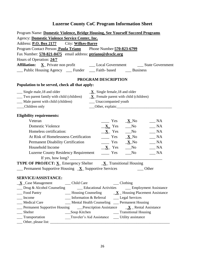| Program Name: Domestic Violence, Bridge Housing, See Yourself Succeed Programs                                                                                                                                                                                                             |
|--------------------------------------------------------------------------------------------------------------------------------------------------------------------------------------------------------------------------------------------------------------------------------------------|
| Agency: Domestic Violence Service Center, Inc.                                                                                                                                                                                                                                             |
| Address: <b>P.O. Box 2177</b> City: Wilkes-Barre                                                                                                                                                                                                                                           |
| Program Contact Person: Paula Triano Phone Number: 570-823-6799                                                                                                                                                                                                                            |
| Fax Number: 570-821-0475 email address: ptriano@dvsclc.org                                                                                                                                                                                                                                 |
| Hours of Operation: 24/7                                                                                                                                                                                                                                                                   |
|                                                                                                                                                                                                                                                                                            |
| _Public Housing Agency __ Funder __ Faith- based __ Business                                                                                                                                                                                                                               |
| PROGRAM DESCRIPTION                                                                                                                                                                                                                                                                        |
| Population to be served, check all that apply:                                                                                                                                                                                                                                             |
| __ Single male, 18 and older<br>$\underline{\mathbf{X}}$ Single female, 18 and older                                                                                                                                                                                                       |
| $\frac{1}{\sqrt{2}}$ Two parent family with child (children) $\frac{X}{X}$ Female parent with child (children)                                                                                                                                                                             |
|                                                                                                                                                                                                                                                                                            |
| Children only                                                                                                                                                                                                                                                                              |
| <b>Eligibility requirements:</b>                                                                                                                                                                                                                                                           |
| Veteran<br>$\frac{\mathbf{X}}{\mathbf{X}}$ $\frac{\mathbf{X}}{\mathbf{X}}$ No<br>$\_\_$ NA                                                                                                                                                                                                 |
| <b>Domestic Violence</b><br>$X \text{ Yes} \longrightarrow N$<br>NA                                                                                                                                                                                                                        |
| Homeless certification:<br>$\underline{\mathbf{X}}$ Yes $\underline{\mathbf{N}}$ o<br>$\_\_$ NA                                                                                                                                                                                            |
| At Risk of Homelessness Certification<br>$\frac{\mathbf{X}}{\mathbf{X}}$ $\frac{\mathbf{X}}{\mathbf{X}}$ No<br>$\_\_$ NA                                                                                                                                                                   |
| $\frac{\mathbf{X}}{\mathbf{X}}$ No<br>$\_ NA$<br><b>Permanent Disability Certification</b>                                                                                                                                                                                                 |
| Household Income<br>N <sub>0</sub><br>$\_\_$ NA<br>$X$ Yes                                                                                                                                                                                                                                 |
| <b>Luzerne County Residency Requirement</b><br>$\equiv$ Yes<br>N <sub>0</sub><br>$\_\_$ NA                                                                                                                                                                                                 |
| If yes, how long? $\frac{1}{2}$ and $\frac{1}{2}$ and $\frac{1}{2}$ and $\frac{1}{2}$ and $\frac{1}{2}$ and $\frac{1}{2}$ and $\frac{1}{2}$ and $\frac{1}{2}$ and $\frac{1}{2}$ and $\frac{1}{2}$ and $\frac{1}{2}$ and $\frac{1}{2}$ and $\frac{1}{2}$ and $\frac{1}{2}$ and $\frac{1}{2$ |
| <b>TYPE OF PROJECT:</b> $\underline{X}$ Emergency Shelter $\underline{X}$ Transitional Housing                                                                                                                                                                                             |
| $\angle$ Permanent Supportive Housing $\angle X$ Supportive Services<br>Other                                                                                                                                                                                                              |
|                                                                                                                                                                                                                                                                                            |
| <b>SERVICE/ASSISTANCE:</b>                                                                                                                                                                                                                                                                 |
| $X_{\text{}}$ Case Management Child Care<br>$\_\_$ Clothing                                                                                                                                                                                                                                |
| __ Drug & Alcohol Counseling<br><b>Educational Activities Employment Assistance</b>                                                                                                                                                                                                        |
| Food Pantry<br>$\frac{\mathbf{X}}{\mathbf{X}}$ Housing Counseling $\frac{\mathbf{X}}{\mathbf{X}}$ Housing Placement Assistance                                                                                                                                                             |
| Income<br>__ Information & Referral _______ Legal Services                                                                                                                                                                                                                                 |
| __ Mental Health Counseling __ Permanent Housing<br>Medical Care                                                                                                                                                                                                                           |
|                                                                                                                                                                                                                                                                                            |
| __ Transitional Housing<br>Shelter<br>___Soup Kitchen                                                                                                                                                                                                                                      |
| Traveler's Aid Assistance ______ Utility assistance<br>___ Transportation                                                                                                                                                                                                                  |
|                                                                                                                                                                                                                                                                                            |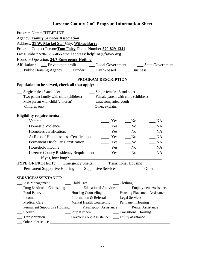| Program Name: <b>HELPLINE</b>                                                                                                                                                                                                                                                          |                                                              |
|----------------------------------------------------------------------------------------------------------------------------------------------------------------------------------------------------------------------------------------------------------------------------------------|--------------------------------------------------------------|
| <b>Agency: Family Services Association</b>                                                                                                                                                                                                                                             |                                                              |
| Address: 31 W. Market St. City: Wilkes-Barre                                                                                                                                                                                                                                           |                                                              |
| Program Contact Person: Tom Foley Phone Number: 570-829-1341                                                                                                                                                                                                                           |                                                              |
| Fax Number: 570-829-5055 email address: helpline@fsawv.org                                                                                                                                                                                                                             |                                                              |
| Hours of Operation: 24/7 Emergency Hotline                                                                                                                                                                                                                                             |                                                              |
| <b>Affiliation:</b>                                                                                                                                                                                                                                                                    | Private non profit Local Government Local State Government   |
| ___ Public Housing Agency ____ Funder ____ Faith- based _____ Business                                                                                                                                                                                                                 |                                                              |
|                                                                                                                                                                                                                                                                                        | PROGRAM DESCRIPTION                                          |
| Population to be served, check all that apply:                                                                                                                                                                                                                                         |                                                              |
| __ Single male, 18 and older                                                                                                                                                                                                                                                           | __ Single female, 18 and older                               |
| __ Two parent family with child (children)                                                                                                                                                                                                                                             | __ Female parent with child (children)                       |
| __ Male parent with child (children)                                                                                                                                                                                                                                                   | __ Unaccompanied youth                                       |
| __Children only                                                                                                                                                                                                                                                                        |                                                              |
| <b>Eligibility requirements:</b>                                                                                                                                                                                                                                                       |                                                              |
| Veteran                                                                                                                                                                                                                                                                                | NA<br>Yes<br>$\mathbf{N}\mathbf{o}$                          |
| Domestic Violence                                                                                                                                                                                                                                                                      | $\frac{1}{1}$ Yes<br>$\_ NA$<br>$\sqrt{N}$                   |
| Homeless certification:                                                                                                                                                                                                                                                                | $\equiv$ Yes<br>$\_NA$<br>N <sub>0</sub>                     |
| At Risk of Homelessness Certification                                                                                                                                                                                                                                                  | NA<br>$\equiv$ Yes<br>$\sqrt{N}$                             |
| <b>Permanent Disability Certification</b>                                                                                                                                                                                                                                              | $\equiv$ Yes<br>$\_ NA$<br>$\sqrt{N}$                        |
| Household Income                                                                                                                                                                                                                                                                       | Yes<br>$\_ NA$<br>No                                         |
| Luzerne County Residency Requirement ________ Yes                                                                                                                                                                                                                                      | $\_ NA$<br>$\sqrt{N}$                                        |
| If yes, how long? $\frac{1}{2}$ [17] $\frac{1}{2}$ [17] $\frac{1}{2}$ [17] $\frac{1}{2}$ [17] $\frac{1}{2}$ [17] $\frac{1}{2}$ [17] $\frac{1}{2}$ [17] $\frac{1}{2}$ [17] $\frac{1}{2}$ [17] $\frac{1}{2}$ [17] $\frac{1}{2}$ [17] $\frac{1}{2}$ [17] $\frac{1}{2}$ [17] $\frac{1}{2}$ |                                                              |
| <b>TYPE OF PROJECT:</b> ___ Emergency Shelter ____ Transitional Housing                                                                                                                                                                                                                |                                                              |
| Permanent Supportive Housing __ Supportive Services                                                                                                                                                                                                                                    | Other                                                        |
| SERVICE/ASSISTANCE:                                                                                                                                                                                                                                                                    |                                                              |
| __ Child Care<br>_Case Management                                                                                                                                                                                                                                                      | $\_\_$ Clothing                                              |
| $\Box$ Drug & Alcohol Counseling                                                                                                                                                                                                                                                       | __ Educational Activities _____ Employment Assistance        |
| Food Pantry                                                                                                                                                                                                                                                                            | __ Housing Counseling _________ Housing Placement Assistance |
| Income                                                                                                                                                                                                                                                                                 | __ Information & Referral _____ Legal Services               |
| <b>Medical Care</b>                                                                                                                                                                                                                                                                    | __ Mental Health Counseling __ Permanent Housing             |
| Permanent Supportive Housing Prescription Assistance                                                                                                                                                                                                                                   | _ Rental Assistance                                          |
| __Soup Kitchen<br>Shelter                                                                                                                                                                                                                                                              | __ Transitional Housing                                      |
| __ Transportation                                                                                                                                                                                                                                                                      | Traveler's Aid Assistance ______ Utility assistance          |
|                                                                                                                                                                                                                                                                                        |                                                              |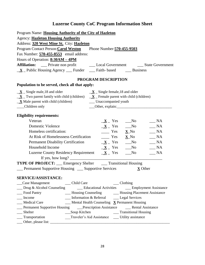| Program Name: Housing Authority of the City of Hazleton                            |                                                                                                                               |  |
|------------------------------------------------------------------------------------|-------------------------------------------------------------------------------------------------------------------------------|--|
| <b>Agency: Hazleton Housing Authority</b>                                          |                                                                                                                               |  |
| Address: 320 West Mine St. City: Hazleton                                          |                                                                                                                               |  |
| Program Contact Person: Carol Weston Phone Number: 570-455-9503                    |                                                                                                                               |  |
| Fax Number: 570-455-8553 email address:                                            |                                                                                                                               |  |
| Hours of Operation: 8:30AM - 4PM                                                   |                                                                                                                               |  |
|                                                                                    | Affiliation: __ Private non profit ___ Local Government ___ State Government                                                  |  |
|                                                                                    | $\underline{\mathbf{X}}$ Public Housing Agency __ Funder __ Faith-based __ Business                                           |  |
|                                                                                    | PROGRAM DESCRIPTION                                                                                                           |  |
| Population to be served, check all that apply:                                     |                                                                                                                               |  |
| $X$ Single male, 18 and older                                                      | $\underline{\mathbf{X}}$ _ Single female, 18 and older                                                                        |  |
|                                                                                    | $\underline{\mathbf{X}}$ Two parent family with child (children) $\underline{\mathbf{X}}$ Female parent with child (children) |  |
| $X$ Male parent with child (children) Unaccompanied youth                          |                                                                                                                               |  |
| __Children only                                                                    |                                                                                                                               |  |
| <b>Eligibility requirements:</b>                                                   |                                                                                                                               |  |
| Veteran                                                                            | $\frac{1}{2}$ NA<br>$\underline{\mathbf{X}}$ Yes $\underline{\mathbf{N}}$ o                                                   |  |
| <b>Domestic Violence</b>                                                           | $\underline{\mathbf{X}}$ Yes $\underline{\mathbf{N}}$ o<br>NA                                                                 |  |
| Homeless certification:                                                            | $\frac{\ }{1}$ Yes $\frac{\ }{1}$ No<br>$\_\_$ NA                                                                             |  |
| At Risk of Homelessness Certification                                              | $\frac{\mathbf{X}}{\mathbf{X}}$ Yes $\frac{\mathbf{X}}{\mathbf{X}}$ No<br>$\_\_$ NA                                           |  |
| <b>Permanent Disability Certification</b>                                          | $\underline{\mathbf{X}}$ Yes $\underline{\mathbf{N}}$ o<br>$\sqrt{A}$                                                         |  |
| Household Income                                                                   | $\underline{\mathbf{X}}$ Yes $\underline{\mathbf{N}}$ o<br>$\_\_$ NA                                                          |  |
| Luzerne County Residency Requirement $X_$ Yes                                      | N <sub>0</sub><br>$\_\_$ NA                                                                                                   |  |
|                                                                                    |                                                                                                                               |  |
|                                                                                    | <b>TYPE OF PROJECT:</b> __ Emergency Shelter ___ Transitional Housing                                                         |  |
| <b>Example 1</b> Permanent Supportive Housing <b>Example 2</b> Supportive Services | <b>X</b> Other                                                                                                                |  |
|                                                                                    |                                                                                                                               |  |
| <b>SERVICE/ASSISTANCE:</b>                                                         | $\Box$ Clothing<br>Child Care                                                                                                 |  |
| _Case Management<br>__ Drug & Alcohol Counseling                                   | __ Educational Activities<br>__ Employment Assistance                                                                         |  |
| - Food Pantry                                                                      | __ Housing Counseling _________ Housing Placement Assistance                                                                  |  |
| Income                                                                             | __ Information & Referral _______ Legal Services                                                                              |  |
| <b>Medical Care</b>                                                                | $\frac{1}{2}$ Mental Health Counseling $\overline{X}$ Permanent Housing                                                       |  |
|                                                                                    |                                                                                                                               |  |
| Shelter                                                                            | __Soup Kitchen<br>__ Transitional Housing                                                                                     |  |
| Transportation                                                                     | Traveler's Aid Assistance<br>_Utility assistance                                                                              |  |
| Other, please list:                                                                |                                                                                                                               |  |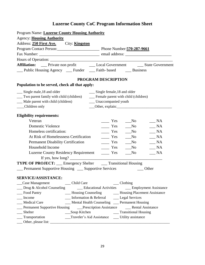| Program Name: Luzerne County Housing Authority                                                                                                                                                                                                                                             |                                                     |                                                               |
|--------------------------------------------------------------------------------------------------------------------------------------------------------------------------------------------------------------------------------------------------------------------------------------------|-----------------------------------------------------|---------------------------------------------------------------|
| <b>Agency: Housing Authority</b>                                                                                                                                                                                                                                                           |                                                     |                                                               |
| Address: 250 First Ave. City: Kingston                                                                                                                                                                                                                                                     |                                                     |                                                               |
| Program Contact Person: Phone Number: 570-287-9661                                                                                                                                                                                                                                         |                                                     |                                                               |
|                                                                                                                                                                                                                                                                                            |                                                     |                                                               |
|                                                                                                                                                                                                                                                                                            |                                                     |                                                               |
| Affiliation: __ Private non profit ________ Local Government _______ State Government                                                                                                                                                                                                      |                                                     |                                                               |
| Public Housing Agency Comparent Funder Comparent Faith- based Business                                                                                                                                                                                                                     |                                                     |                                                               |
|                                                                                                                                                                                                                                                                                            | PROGRAM DESCRIPTION                                 |                                                               |
| Population to be served, check all that apply:                                                                                                                                                                                                                                             |                                                     |                                                               |
| __ Single male, 18 and older                                                                                                                                                                                                                                                               | __ Single female, 18 and older                      |                                                               |
| __ Two parent family with child (children)                                                                                                                                                                                                                                                 | __ Female parent with child (children)              |                                                               |
| __ Male parent with child (children)                                                                                                                                                                                                                                                       | __ Unaccompanied youth                              |                                                               |
| __Children only                                                                                                                                                                                                                                                                            | Other, explain:                                     |                                                               |
| <b>Eligibility requirements:</b>                                                                                                                                                                                                                                                           |                                                     |                                                               |
| Veteran                                                                                                                                                                                                                                                                                    | Yes                                                 | NA<br>$\mathbf{N}\mathbf{o}$                                  |
| Domestic Violence                                                                                                                                                                                                                                                                          | Yes                                                 | NA<br>$\sqrt{N}$                                              |
| Homeless certification:                                                                                                                                                                                                                                                                    | $\equiv$ Yes                                        | NA<br>$\mathbf{N}\mathbf{o}$                                  |
| At Risk of Homelessness Certification                                                                                                                                                                                                                                                      | $\equiv$ Yes                                        | NA<br>$\mathbf{N}\mathbf{o}$                                  |
| <b>Permanent Disability Certification</b>                                                                                                                                                                                                                                                  | $\equiv$ Yes                                        | $\_ NA$<br>$\sqrt{a}$ No                                      |
| Household Income                                                                                                                                                                                                                                                                           | $\equiv$ Yes                                        | $\mathbf{N}\mathbf{o}$<br>NA                                  |
| <b>Luzerne County Residency Requirement</b>                                                                                                                                                                                                                                                | $\overline{\phantom{a}}$ Yes                        | $\_\_$ NA<br>$\sqrt{N}$                                       |
| If yes, how long? $\frac{1}{2}$ and $\frac{1}{2}$ and $\frac{1}{2}$ and $\frac{1}{2}$ and $\frac{1}{2}$ and $\frac{1}{2}$ and $\frac{1}{2}$ and $\frac{1}{2}$ and $\frac{1}{2}$ and $\frac{1}{2}$ and $\frac{1}{2}$ and $\frac{1}{2}$ and $\frac{1}{2}$ and $\frac{1}{2}$ and $\frac{1}{2$ |                                                     |                                                               |
| <b>TYPE OF PROJECT:</b> __ Emergency Shelter ___ Transitional Housing                                                                                                                                                                                                                      |                                                     |                                                               |
| Permanent Supportive Housing __ Supportive Services                                                                                                                                                                                                                                        |                                                     | Other                                                         |
| <b>SERVICE/ASSISTANCE:</b>                                                                                                                                                                                                                                                                 |                                                     |                                                               |
| _Case Management<br>_Child Care                                                                                                                                                                                                                                                            | $\_\_$ Clothing                                     |                                                               |
| Drug & Alcohol Counseling                                                                                                                                                                                                                                                                  |                                                     | Educational Activities ______ Employment Assistance           |
| Food Pantry                                                                                                                                                                                                                                                                                |                                                     | __ Housing Counseling __________ Housing Placement Assistance |
| Income                                                                                                                                                                                                                                                                                     | Information & Referral ______ Legal Services        |                                                               |
| <b>Medical Care</b>                                                                                                                                                                                                                                                                        | __ Mental Health Counseling __ Permanent Housing    |                                                               |
| Permanent Supportive Housing _____Prescription Assistance _____________Rental Assistance                                                                                                                                                                                                   |                                                     |                                                               |
| Shelter<br>___Soup Kitchen                                                                                                                                                                                                                                                                 |                                                     | __ Transitional Housing                                       |
| __ Transportation                                                                                                                                                                                                                                                                          | __Traveler's Aid Assistance ____ Utility assistance |                                                               |
| Other, please list:                                                                                                                                                                                                                                                                        |                                                     |                                                               |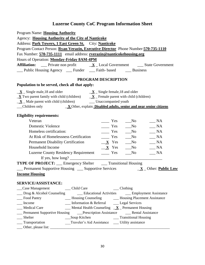| Program Name: Housing Authority                                                                                                                                     |
|---------------------------------------------------------------------------------------------------------------------------------------------------------------------|
| Agency: Housing Authority of the City of Nanticoke                                                                                                                  |
| Address: Park Towers, 1 East Green St. City: Nanticoke                                                                                                              |
| Program Contact Person: Ryan Verazin, Executive Director Phone Number: 570-735-1110                                                                                 |
| Fax Number: 570-735-1111 email address: rverazin@nanticokehousing.org                                                                                               |
| Hours of Operation: Monday-Friday 8AM-4PM                                                                                                                           |
| <b>Affiliation:</b> _____ Private non profit $\underline{\mathbf{X}}$ _ Local Government ______ State Government                                                    |
| __ Public Housing Agency __ Funder __ Faith- based __ Business                                                                                                      |
| PROGRAM DESCRIPTION                                                                                                                                                 |
| Population to be served, check all that apply:                                                                                                                      |
| $X_{\text{}}$ Single male, 18 and older<br>$\underline{\mathbf{X}}$ $\underline{\mathbf{X}}$ Single female, 18 and older                                            |
| $\underline{\mathbf{X}}$ Two parent family with child (children) $\underline{\mathbf{X}}$ Female parent with child (children)                                       |
|                                                                                                                                                                     |
| $\underline{\phantom{a}}$ Children only $\underline{\phantom{a}}$ $\underline{\phantom{a}}$ Other, explain: <b>Disabled adults, senior and near senior citizens</b> |
|                                                                                                                                                                     |
| <b>Eligibility requirements:</b>                                                                                                                                    |
| Veteran<br>$\equiv$ Yes<br>$\sqrt{N}$<br>$\_\_$ NA                                                                                                                  |
| Domestic Violence<br>$\equiv$ Yes<br>$\_ NA$<br>N <sub>0</sub>                                                                                                      |
| Homeless certification:<br>$\frac{1}{\sqrt{1-\frac{1}{c}}}$ Yes $\frac{1}{\sqrt{1-\frac{1}{c}}}$ No<br>$\_\_$ NA                                                    |
| At Risk of Homelessness Certification<br>$\frac{1}{1}$ Yes<br>$\sqrt{N}$<br>$\_\_$ NA                                                                               |
| <b>Permanent Disability Certification</b><br>$X$ Yes<br>$\_\_$ NA<br>N <sub>0</sub>                                                                                 |
| Household Income<br>$\underline{\mathbf{X}}$ Yes<br>$\sqrt{N}$<br>$\_\_$ NA                                                                                         |
| Luzerne County Residency Requirement _________ Yes<br>$\_\_$ NA<br>No                                                                                               |
|                                                                                                                                                                     |
| <b>TYPE OF PROJECT:</b> __ Emergency Shelter ___ Transitional Housing                                                                                               |
|                                                                                                                                                                     |
| <b>Income Housing</b>                                                                                                                                               |
|                                                                                                                                                                     |
| <b>SERVICE/ASSISTANCE:</b>                                                                                                                                          |
| Case Management<br>__ Child Care<br>$\_\_$ Clothing                                                                                                                 |
| __ Employment Assistance<br>__ Drug & Alcohol Counseling<br>__ Educational Activities<br>_ Food Pantry                                                              |
| __ Housing Counseling ________ Housing Placement Assistance<br>__ Information & Referral ______ Legal Services<br>Income                                            |
| $\frac{1}{2}$ Mental Health Counseling $\frac{X}{X}$ Permanent Housing<br><b>Medical Care</b>                                                                       |
|                                                                                                                                                                     |
| Shelter<br>Soup Kitchen<br>__ Transitional Housing                                                                                                                  |
| __ Transportation<br>Traveler's Aid Assistance<br>___ Utility assistance                                                                                            |
|                                                                                                                                                                     |
|                                                                                                                                                                     |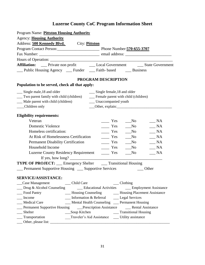| Program Name: Pittston Housing Authority                                                               |  |
|--------------------------------------------------------------------------------------------------------|--|
| <b>Agency: Housing Authority</b>                                                                       |  |
| Address: 500 Kennedy Blvd. City: Pittston                                                              |  |
| Program Contact Person: Phone Number: 570-655-3707                                                     |  |
|                                                                                                        |  |
|                                                                                                        |  |
| Affiliation: __ Private non profit ____ Local Government ____ State Government                         |  |
| __ Public Housing Agency __ Funder __ Faith- based __ Business                                         |  |
| PROGRAM DESCRIPTION                                                                                    |  |
| Population to be served, check all that apply:                                                         |  |
| __ Single male, 18 and older<br>__ Single female, 18 and older                                         |  |
| __ Two parent family with child (children)<br>__ Female parent with child (children)                   |  |
| __ Male parent with child (children)<br>__ Unaccompanied youth                                         |  |
| __Children only<br>Other, explain:                                                                     |  |
| <b>Eligibility requirements:</b>                                                                       |  |
| Veteran<br>Yes<br>$\_ NA$<br>$\mathbf{N}\mathbf{o}$                                                    |  |
| <b>Domestic Violence</b><br>Yes<br>NA<br>$\sqrt{N}$                                                    |  |
| Homeless certification:<br>NA<br>$\equiv$ Yes<br>N <sub>0</sub>                                        |  |
| At Risk of Homelessness Certification<br>NA<br>$\equiv$ Yes<br>$\rm No$                                |  |
| <b>Permanent Disability Certification</b><br>$\_ NA$<br>$\equiv$ Yes<br>N <sub>0</sub>                 |  |
| Household Income<br>$\frac{1}{1}$ Yes<br>N <sub>0</sub><br>NA                                          |  |
| <b>Luzerne County Residency Requirement</b><br>$\_ NA$<br>$\frac{\ }{}$ Yes<br>N <sub>0</sub>          |  |
| If yes, how long? $\sqrt{\frac{2}{1-\frac{1}{2}} + \frac{1}{2-\frac{1}{2}} + \frac{1}{2-\frac{1}{2}}}$ |  |
| TYPE OF PROJECT: __ Emergency Shelter ___ Transitional Housing                                         |  |
| Permanent Supportive Housing __ Supportive Services<br>Other                                           |  |
| <b>SERVICE/ASSISTANCE:</b>                                                                             |  |
| Case Management<br>_Child Care<br>$\_\_$ Clothing                                                      |  |
| Drug & Alcohol Counseling<br>Educational Activities ______ Employment Assistance                       |  |
| Food Pantry<br>__ Housing Counseling __________ Housing Placement Assistance                           |  |
| Income<br>__ Information & Referral _______ Legal Services                                             |  |
| <b>Medical Care</b><br>__ Mental Health Counseling __ Permanent Housing                                |  |
| Permanent Supportive Housing _____Prescription Assistance __________Rental Assistance                  |  |
| Shelter<br>Soup Kitchen<br>__ Transitional Housing                                                     |  |
| Traveler's Aid Assistance ______ Utility assistance<br>__ Transportation                               |  |
|                                                                                                        |  |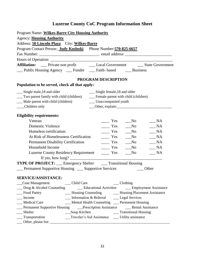| Program Name: Wilkes-Barre City Housing Authority<br><b>Agency: Housing Authority</b>                            |                                                                                                                                                                                                                                |
|------------------------------------------------------------------------------------------------------------------|--------------------------------------------------------------------------------------------------------------------------------------------------------------------------------------------------------------------------------|
| Address: 50 Lincoln Plaza City: Wilkes-Barre<br>Program Contact Person: Judy Kosloski Phone Number: 570-825-6657 |                                                                                                                                                                                                                                |
|                                                                                                                  |                                                                                                                                                                                                                                |
|                                                                                                                  |                                                                                                                                                                                                                                |
|                                                                                                                  | Affiliation: _____ Private non profit __________ Local Government ________ State Government                                                                                                                                    |
| __ Public Housing Agency ___ Funder ___ Faith- based ____ Business                                               |                                                                                                                                                                                                                                |
|                                                                                                                  | PROGRAM DESCRIPTION                                                                                                                                                                                                            |
| Population to be served, check all that apply:                                                                   |                                                                                                                                                                                                                                |
| __ Single male, 18 and older                                                                                     | __ Single female, 18 and older                                                                                                                                                                                                 |
| __ Two parent family with child (children)                                                                       | __ Female parent with child (children)                                                                                                                                                                                         |
| __ Male parent with child (children)                                                                             | __ Unaccompanied youth                                                                                                                                                                                                         |
| __Children only                                                                                                  | Other, explain: Contact Delayer and Delayer and Delayer and Delayer and Delayer and Delayer and Delayer and Delayer and Delayer and Delayer and Delayer and Delayer and Delayer and Delayer and Delayer and Delayer and Delaye |
| <b>Eligibility requirements:</b>                                                                                 |                                                                                                                                                                                                                                |
| Veteran                                                                                                          | Yes<br>N <sub>0</sub><br><b>NA</b>                                                                                                                                                                                             |
| <b>Domestic Violence</b>                                                                                         | $\equiv$ Yes<br>$\_ NA$<br>$\sqrt{N}$                                                                                                                                                                                          |
| Homeless certification:                                                                                          | Yes<br>NA<br>$\mathbf{N}\mathbf{o}$                                                                                                                                                                                            |
| At Risk of Homelessness Certification                                                                            | $\equiv$ Yes<br>N <sub>0</sub><br>NA                                                                                                                                                                                           |
| <b>Permanent Disability Certification</b>                                                                        | $\_ NA$<br>$\equiv$ Yes<br>No                                                                                                                                                                                                  |
| Household Income                                                                                                 | $\_ NA$<br>Yes<br>$N$ o                                                                                                                                                                                                        |
| Luzerne County Residency Requirement ________ Yes                                                                | <b>NA</b><br>N <sub>0</sub>                                                                                                                                                                                                    |
|                                                                                                                  |                                                                                                                                                                                                                                |
| <b>TYPE OF PROJECT:</b> ___ Emergency Shelter ____ Transitional Housing                                          |                                                                                                                                                                                                                                |
| <b>Example 1</b> Permanent Supportive Housing <b>Example 2</b> Supportive Services                               | Other                                                                                                                                                                                                                          |
| SERVICE/ASSISTANCE:                                                                                              |                                                                                                                                                                                                                                |
|                                                                                                                  | $\_\_$ Clothing                                                                                                                                                                                                                |
|                                                                                                                  | __ Drug & Alcohol Counseling _____ Educational Activities _____ Employment Assistance                                                                                                                                          |
| _Food Pantry                                                                                                     | - Housing Counseling - Housing Placement Assistance                                                                                                                                                                            |
| Income                                                                                                           | Information & Referral Legal Services                                                                                                                                                                                          |
| Medical Care                                                                                                     | __ Mental Health Counseling __ Permanent Housing                                                                                                                                                                               |
|                                                                                                                  |                                                                                                                                                                                                                                |
| Shelter<br>Shelter<br>Transportation                                                                             |                                                                                                                                                                                                                                |
|                                                                                                                  | __Traveler's Aid Assistance ____ Utility assistance                                                                                                                                                                            |
|                                                                                                                  |                                                                                                                                                                                                                                |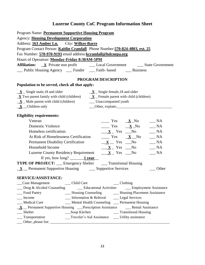| Program Name: Permanent Supportive Housing Program                                                                                                                                                                                                                         |  |
|----------------------------------------------------------------------------------------------------------------------------------------------------------------------------------------------------------------------------------------------------------------------------|--|
| <b>Agency: Housing Development Corporation</b>                                                                                                                                                                                                                             |  |
| Address: 163 Amber Ln. City: Wilkes-Barre                                                                                                                                                                                                                                  |  |
| Program Contact Person: Kaitlin Crandall Phone Number: 570-824-4803, ext. 25                                                                                                                                                                                               |  |
| Fax Number: 570-970-9193 email address: kcrandall@hdcnepa.org                                                                                                                                                                                                              |  |
| Hours of Operation: Monday-Friday 8:30AM-5PM                                                                                                                                                                                                                               |  |
|                                                                                                                                                                                                                                                                            |  |
| __ Public Housing Agency ___ Funder ___ Faith- based ____ Business                                                                                                                                                                                                         |  |
| PROGRAM DESCRIPTION                                                                                                                                                                                                                                                        |  |
| Population to be served, check all that apply:                                                                                                                                                                                                                             |  |
| $\underline{\mathbf{X}}$ _ Single female, 18 and older<br>$\underline{\mathbf{X}}$ _ Single male, 18 and older                                                                                                                                                             |  |
| $\underline{\mathbf{X}}$ Two parent family with child (children) $\underline{\mathbf{X}}$ Female parent with child (children)                                                                                                                                              |  |
|                                                                                                                                                                                                                                                                            |  |
| $\underline{\mathbf{X}}$ _ Children only<br>Other, explain: 0.000 million and 0.000 million and 0.000 million and 0.000 million and 0.000 million and 0.000 million and 0.000 million and 0.000 million and 0.000 million and 0.000 million and 0.000 million and 0.000 mi |  |
| <b>Eligibility requirements:</b>                                                                                                                                                                                                                                           |  |
| Veteran<br>$\frac{\mathbf{x}}{\mathbf{y}} = \frac{\mathbf{x}}{\mathbf{y}}$<br>$\_\_$ NA                                                                                                                                                                                    |  |
| $\frac{\mathbf{x}}{\mathbf{y}} = \frac{\mathbf{x}}{\mathbf{y}}$<br><b>Domestic Violence</b><br>$\_ NA$                                                                                                                                                                     |  |
| Homeless certification:<br>$\underline{\mathbf{X}}$ Yes $\underline{\mathbf{N}}$ o<br>$\_\_$ NA                                                                                                                                                                            |  |
| At Risk of Homelessness Certification<br>$\frac{\mathbf{x}}{\mathbf{y}} = \frac{\mathbf{x}}{\mathbf{y}}$ No<br>$\_\_$ NA                                                                                                                                                   |  |
| $\underline{\mathbf{X}}$ $\underline{\mathbf{X}}$ $\underline{\mathbf{Y}}$ res $\underline{\mathbf{N}}$ o<br>$\_$ NA<br><b>Permanent Disability Certification</b>                                                                                                          |  |
| Household Income<br>$\underline{\mathbf{X}}$ Yes $\underline{\mathbf{N}}$ o<br>$\frac{1}{2}$ NA                                                                                                                                                                            |  |
| <b>Luzerne County Residency Requirement</b><br>$\underline{\mathbf{X}}$ Yes $\underline{\mathbf{N}}$ o<br>$R_{\text{max}}$ NA                                                                                                                                              |  |
| If yes, how long? $\frac{1 \text{ year}}{2}$                                                                                                                                                                                                                               |  |
| <b>TYPE OF PROJECT:</b> Emergency Shelter ______ Transitional Housing                                                                                                                                                                                                      |  |
| $\underline{\mathbf{X}}$ Permanent Supportive Housing $\underline{\mathbf{X}}$ Supportive Services<br>Other                                                                                                                                                                |  |
|                                                                                                                                                                                                                                                                            |  |
| <b>SERVICE/ASSISTANCE:</b>                                                                                                                                                                                                                                                 |  |
| $\_\_$ Clothing<br>_Case Management<br>__ Child Care                                                                                                                                                                                                                       |  |
| $\Box$ Drug & Alcohol Counseling<br><u>Conservational</u> Activities Comployment Assistance                                                                                                                                                                                |  |
| __ Housing Counseling _________ Housing Placement Assistance<br>Food Pantry                                                                                                                                                                                                |  |
| __ Information & Referral _____ Legal Services<br>Income                                                                                                                                                                                                                   |  |
| __ Mental Health Counseling __ Permanent Housing<br>_Medical Care                                                                                                                                                                                                          |  |
| $\underline{\mathbf{X}}$ Permanent Supportive Housing Prescription Assistance Rental Assistance                                                                                                                                                                            |  |
| __ Transitional Housing<br>___Soup Kitchen<br>Shelter<br>Traveler's Aid Assistance ______ Utility assistance<br>__Transportation                                                                                                                                           |  |
|                                                                                                                                                                                                                                                                            |  |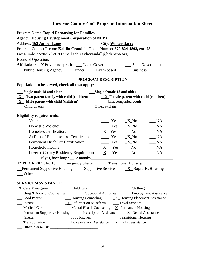| Program Name: Rapid Rehousing for Families                                                                                                                                                                                    |
|-------------------------------------------------------------------------------------------------------------------------------------------------------------------------------------------------------------------------------|
| <b>Agency: Housing Development Corporation of NEPA</b>                                                                                                                                                                        |
| <b>Address: 163 Amber Lane</b><br>City: Wilkes-Barre                                                                                                                                                                          |
| Program Contact Person: Kaitlin Crandall Phone Number: 570-824-4803, ext. 25                                                                                                                                                  |
| Fax Number: 570-970-9193 email address: kcrandall@hdcnepa.org                                                                                                                                                                 |
| Hours of Operation:                                                                                                                                                                                                           |
| <b>Affiliation:</b> X Private nonprofit __ Local Government _______ State Government                                                                                                                                          |
| __ Public Housing Agency __ Funder __ Faith- based ___ Business                                                                                                                                                               |
|                                                                                                                                                                                                                               |
| PROGRAM DESCRIPTION                                                                                                                                                                                                           |
| Population to be served, check all that apply:                                                                                                                                                                                |
| Single male, 18 and older<br>Single female, 18 and older                                                                                                                                                                      |
| $\underline{X}$ Two parent family with child (children) $\underline{X}$ Female parent with child (children)                                                                                                                   |
| $X$ Male parent with child (children) $\qquad \qquad$ Unaccompanied youth<br>Children only                                                                                                                                    |
| Other, explain: Communication of the Communication of the Communication of the Communication of the Communication of the Communication of the Communication of the Communication of the Communication of the Communication of |
|                                                                                                                                                                                                                               |
| Veteran<br>$\frac{1}{1}$ Yes $\frac{1}{1}$ X_No<br>$\_\_$ NA                                                                                                                                                                  |
| Domestic Violence<br>$\frac{X}{N}$ Yes $\frac{X}{N}$ No<br>$\_\_$ NA                                                                                                                                                          |
| Homeless certification:<br>$X$ Yes No<br>$\_\_$ NA                                                                                                                                                                            |
| $\frac{X}{100}$ Yes $\frac{X}{100}$ No<br>At Risk of Homelessness Certification<br>$\_\_$ NA                                                                                                                                  |
| <b>Permanent Disability Certification</b><br>$\frac{X}{N}$ Yes $\frac{X}{N}$ No<br>$\_\_$ NA                                                                                                                                  |
| $X$ Yes No<br>Household Income<br>$\_ NA$                                                                                                                                                                                     |
| Luzerne County Residency Requirement $X$ Yes _No<br>$\_\_$ NA                                                                                                                                                                 |
| If yes, how long? $\_\_12$ months                                                                                                                                                                                             |
| <b>TYPE OF PROJECT:</b> __ Emergency Shelter ___ Transitional Housing                                                                                                                                                         |
| <b>Permanent Supportive Housing <math>\qquad \qquad</math> Supportive Services <math>\qquad \qquad \mathbf{X}</math> Rapid ReHousing</b>                                                                                      |
| Other                                                                                                                                                                                                                         |
|                                                                                                                                                                                                                               |
| SERVICE/ASSISTANCE:                                                                                                                                                                                                           |
| $\underline{X}$ Case Management<br>__ Child Care<br>$\_\_$ Clothing<br><b>Educational Activities</b><br>$\frac{1}{2}$ Drug & Alcohol Counseling<br>__ Employment Assistance                                                   |
| $\frac{X}{X}$ Housing Counseling $\frac{X}{X}$ Housing Placement Assistance<br>Food Pantry                                                                                                                                    |
| $X$ Information & Referral $Z$ Legal Services<br>Income                                                                                                                                                                       |
| $\frac{1}{2}$ Mental Health Counseling $\frac{X}{X}$ Permanent Housing<br><b>Medical Care</b>                                                                                                                                 |
| Permanent Supportive Housing _____Prescription Assistance<br>$X$ Rental Assistance                                                                                                                                            |
| Shelter<br>__Soup Kitchen<br>__ Transitional Housing                                                                                                                                                                          |
| Traveler's Aid Assistance $X$ Utility assistance<br>____ Transportation                                                                                                                                                       |
| Other, please list:                                                                                                                                                                                                           |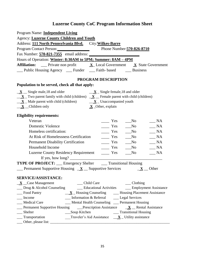| Program Name: Independent Living                                                                                                               |  |
|------------------------------------------------------------------------------------------------------------------------------------------------|--|
| <b>Agency: Luzerne County Children and Youth</b>                                                                                               |  |
| Address: 111 North Pennsylvania Blvd. City: Wilkes-Barre                                                                                       |  |
| Program Contact Person: Phone Number: 570-826-8710                                                                                             |  |
|                                                                                                                                                |  |
| Hours of Operation: Winter: 8:30AM to 5PM; Summer: 8AM - 4PM                                                                                   |  |
| <b>Affiliation:</b> _____ Private non profit $\underline{\mathbf{X}}$ Local Government $\underline{\mathbf{X}}$ State Government               |  |
| __ Public Housing Agency __ Funder __ Faith- based ___ Business                                                                                |  |
|                                                                                                                                                |  |
| <b>PROGRAM DESCRIPTION</b>                                                                                                                     |  |
| Population to be served, check all that apply:                                                                                                 |  |
| $\underline{\mathbf{X}}$ _ Single male, 18 and older<br>$\underline{\mathbf{X}}$ $\underline{\mathbf{X}}$ Single female, 18 and older          |  |
| $\underline{\mathbf{X}}$ Two parent family with child (children) $\underline{\mathbf{X}}$ Female parent with child (children)                  |  |
| $\underline{\mathbf{X}}$ Male parent with child (children) $\underline{\mathbf{X}}$ Unaccompanied youth                                        |  |
| $\underline{\mathbf{X}}$ _ Children only<br>$X$ Other, explain                                                                                 |  |
|                                                                                                                                                |  |
| <b>Eligibility requirements:</b>                                                                                                               |  |
| Veteran<br>$\_\_$ NA<br>Yes<br>$\sqrt{N}$                                                                                                      |  |
| Domestic Violence<br>Yes<br>$\_ NA$<br>$\sqrt{N}$                                                                                              |  |
| Homeless certification:<br>N <sub>0</sub><br>$\equiv$ Yes<br>$\_ NA$                                                                           |  |
| At Risk of Homelessness Certification<br>$\equiv$ Yes<br>$\_\_$ NA<br>$\sqrt{N}$                                                               |  |
| $\equiv$ Yes<br><b>Permanent Disability Certification</b><br>$\_\_$ NA<br>$\sqrt{N}$                                                           |  |
| Household Income<br>$\sqrt{N}$<br>$\_ NA$<br>$\frac{1}{1}$ Yes                                                                                 |  |
| <b>Luzerne County Residency Requirement</b><br>$\_\_$ NA<br>Yes<br>$\sqrt{N}$                                                                  |  |
|                                                                                                                                                |  |
| <b>TYPE OF PROJECT:</b> __ Emergency Shelter ___ Transitional Housing                                                                          |  |
| Permanent Supportive Housing $\underline{\mathbf{X}}$ Supportive Services $\underline{\mathbf{X}}$ Other                                       |  |
|                                                                                                                                                |  |
| <b>SERVICE/ASSISTANCE:</b>                                                                                                                     |  |
| $X$ _Case Management<br>Child Care<br>$\_\_$ Clothing                                                                                          |  |
| Drug & Alcohol Counseling<br><b>Educational Activities</b><br>__ Employment Assistance                                                         |  |
| $\underline{\mathbf{X}}$ Housing Counseling — Housing Placement Assistance<br>Food Pantry                                                      |  |
| __ Information & Referral _______ Legal Services<br>Income                                                                                     |  |
| <b>Medical Care</b><br>Mental Health Counseling __ Permanent Housing                                                                           |  |
| $\textcircled{1}$ Permanent Supportive Housing $\textcircled{2}$ Prescription Assistance $\textcircled{1}$ $\textcircled{1}$ Rental Assistance |  |
| Shelter<br>__Soup Kitchen                                                                                                                      |  |
| Traveler's Aid Assistance $\underline{\mathbf{X}}$ Utility assistance<br>Transportation                                                        |  |
|                                                                                                                                                |  |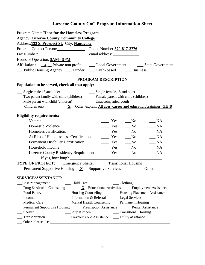| Program Name: Hope for the Homeless Program                                                                                                                                                                                                                                            |
|----------------------------------------------------------------------------------------------------------------------------------------------------------------------------------------------------------------------------------------------------------------------------------------|
| <b>Agency: Luzerne County Community College</b>                                                                                                                                                                                                                                        |
| Address: 133 S. Prospect St. City: Nanticoke                                                                                                                                                                                                                                           |
| Program Contact Person: Phone Number: 570-817-2776                                                                                                                                                                                                                                     |
| Fax Number:                                                                                                                                                                                                                                                                            |
| Hours of Operation: <b>8AM - 9PM</b>                                                                                                                                                                                                                                                   |
| <b>Affiliation:</b> $\underline{\mathbf{X}}$ Private non profit $\underline{\mathbf{L}}$ Local Government $\underline{\mathbf{S}}$ State Government                                                                                                                                    |
| __ Public Housing Agency __ Funder __ Faith- based __ Business                                                                                                                                                                                                                         |
|                                                                                                                                                                                                                                                                                        |
| PROGRAM DESCRIPTION                                                                                                                                                                                                                                                                    |
| Population to be served, check all that apply:                                                                                                                                                                                                                                         |
| __ Single male, 18 and older<br>Single female, 18 and older                                                                                                                                                                                                                            |
| __ Two parent family with child (children) ______ Female parent with child (children)                                                                                                                                                                                                  |
| __ Male parent with child (children) _______ Unaccompanied youth                                                                                                                                                                                                                       |
| $\underline{\mathbf{X}}$ Children only $\underline{\mathbf{X}}$ Other, explain: All ages, career and education/trainings, G.E.D                                                                                                                                                        |
|                                                                                                                                                                                                                                                                                        |
| <b>Eligibility requirements:</b>                                                                                                                                                                                                                                                       |
| Veteran<br>$\equiv$ Yes<br>N <sub>0</sub><br>$\frac{1}{2}NA$                                                                                                                                                                                                                           |
| $\frac{\ }{\ }$ Yes $\frac{\ }{\ }$ No<br><b>Domestic Violence</b><br>$\_\_$ NA                                                                                                                                                                                                        |
| Homeless certification:<br>No Nes No<br>$\_ NA$                                                                                                                                                                                                                                        |
| At Risk of Homelessness Certification<br>$\frac{1}{1}$ Yes<br>$\frac{1}{2}$ NA<br>$\sqrt{N}$                                                                                                                                                                                           |
| Permanent Disability Certification<br>$\equiv$ Yes<br>$\_\_$ NA<br>N <sub>0</sub>                                                                                                                                                                                                      |
| Household Income<br>$\equiv$ Yes<br>No<br>$\_ NA$                                                                                                                                                                                                                                      |
| Luzerne County Residency Requirement ________ Yes<br>$\sqrt{N}$<br>$\_\_$ NA                                                                                                                                                                                                           |
| If yes, how long? $\frac{1}{2}$ [17] $\frac{1}{2}$ [17] $\frac{1}{2}$ [17] $\frac{1}{2}$ [17] $\frac{1}{2}$ [17] $\frac{1}{2}$ [17] $\frac{1}{2}$ [17] $\frac{1}{2}$ [17] $\frac{1}{2}$ [17] $\frac{1}{2}$ [17] $\frac{1}{2}$ [17] $\frac{1}{2}$ [17] $\frac{1}{2}$ [17] $\frac{1}{2}$ |
| <b>TYPE OF PROJECT:</b> __ Emergency Shelter ___ Transitional Housing                                                                                                                                                                                                                  |
| <b>Example 1</b> Permanent Supportive Housing $X$ Supportive Services $\qquad \qquad$ Other                                                                                                                                                                                            |
|                                                                                                                                                                                                                                                                                        |
| <b>SERVICE/ASSISTANCE:</b>                                                                                                                                                                                                                                                             |
| _Case Management<br>__ Child Care<br>$\_\_$ Clothing<br>$\Box$ Drug & Alcohol Counseling $\Box X$ Educational Activities $\Box$ Employment Assistance                                                                                                                                  |
| __ Housing Counseling _________ Housing Placement Assistance<br>Food Pantry                                                                                                                                                                                                            |
| Income<br>Information & Referral _______ Legal Services                                                                                                                                                                                                                                |
| Medical Care<br>__ Mental Health Counseling __ Permanent Housing                                                                                                                                                                                                                       |
|                                                                                                                                                                                                                                                                                        |
| __Soup Kitchen<br>Shelter<br>__ Transitional Housing                                                                                                                                                                                                                                   |
| Traveler's Aid Assistance ______ Utility assistance<br>_Transportation                                                                                                                                                                                                                 |
|                                                                                                                                                                                                                                                                                        |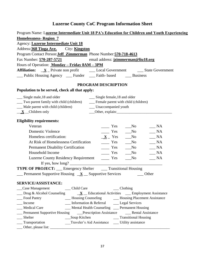| Program Name: Luzerne Intermediate Unit 18 PA's Education for Children and Youth Experiencing                                                                                                                                                                              |  |  |
|----------------------------------------------------------------------------------------------------------------------------------------------------------------------------------------------------------------------------------------------------------------------------|--|--|
| <b>Homelessness-Region 7</b>                                                                                                                                                                                                                                               |  |  |
| Agency: Luzerne Intermediate Unit 18                                                                                                                                                                                                                                       |  |  |
| Address: 368 Tioga Ave. City: Kingston                                                                                                                                                                                                                                     |  |  |
| Program Contact Person: Jeff Zimmerman Phone Number: 570-718-4613                                                                                                                                                                                                          |  |  |
| Fax Number: 570-287-5721<br>email address: jzimmerman@liu18.org                                                                                                                                                                                                            |  |  |
| Hours of Operation: Monday - Friday 8AM - 3PM                                                                                                                                                                                                                              |  |  |
| <b>Affiliation:</b> $X$ Private non profit $\qquad \qquad$ Local Government $\qquad \qquad$ State Government                                                                                                                                                               |  |  |
| _Public Housing Agency __ Funder __ Faith- based __ Business                                                                                                                                                                                                               |  |  |
| PROGRAM DESCRIPTION                                                                                                                                                                                                                                                        |  |  |
| Population to be served, check all that apply:                                                                                                                                                                                                                             |  |  |
| __ Single female, 18 and older<br>__ Single male, 18 and older                                                                                                                                                                                                             |  |  |
| Two parent family with child (children)<br>__ Female parent with child (children)                                                                                                                                                                                          |  |  |
| __ Male parent with child (children)<br>__ Unaccompanied youth                                                                                                                                                                                                             |  |  |
| $\underline{\mathbf{X}}$ _ Children only<br>Other, explain: 0.000 million and 0.000 million and 0.000 million and 0.000 million and 0.000 million and 0.000 million and 0.000 million and 0.000 million and 0.000 million and 0.000 million and 0.000 million and 0.000 mi |  |  |
| <b>Eligibility requirements:</b>                                                                                                                                                                                                                                           |  |  |
| Veteran<br>Yes<br>N <sub>0</sub><br>$\_$ NA                                                                                                                                                                                                                                |  |  |
| <b>Domestic Violence</b><br>$\frac{1}{1}$ Yes<br>NA<br>N <sub>0</sub>                                                                                                                                                                                                      |  |  |
| Homeless certification:<br>$X$ Yes<br>$\_ NA$<br>$\sqrt{N}$                                                                                                                                                                                                                |  |  |
| At Risk of Homelessness Certification<br>$\equiv$ Yes<br>$\_ NA$<br>$\sqrt{N}$                                                                                                                                                                                             |  |  |
| Permanent Disability Certification<br>$\frac{1}{1}$ Yes<br>$\sqrt{N}$<br>$\_ NA$                                                                                                                                                                                           |  |  |
| Household Income<br>$\equiv$ Yes<br>No<br>$\blacksquare$ NA                                                                                                                                                                                                                |  |  |
| Luzerne County Residency Requirement _______ Yes<br>$\sqrt{N}$<br>$\_\_$ NA                                                                                                                                                                                                |  |  |
|                                                                                                                                                                                                                                                                            |  |  |
| <b>TYPE OF PROJECT:</b> ___ Emergency Shelter ____ Transitional Housing                                                                                                                                                                                                    |  |  |
| $\frac{1}{2}$ Permanent Supportive Housing $\frac{X}{X}$ Supportive Services<br>Other                                                                                                                                                                                      |  |  |
|                                                                                                                                                                                                                                                                            |  |  |
| <b>SERVICE/ASSISTANCE:</b>                                                                                                                                                                                                                                                 |  |  |
| _Case Management<br>__ Child Care<br>$\_\_$ Clothing                                                                                                                                                                                                                       |  |  |
| $\Box$ Drug & Alcohol Counseling<br>$\underline{\mathbf{X}}$ Educational Activities __ Employment Assistance                                                                                                                                                               |  |  |
| __ Housing Counseling ________ Housing Placement Assistance<br>Food Pantry                                                                                                                                                                                                 |  |  |
| __ Information & Referral _______ Legal Services<br>Income                                                                                                                                                                                                                 |  |  |
| __ Mental Health Counseling __ Permanent Housing<br>Medical Care                                                                                                                                                                                                           |  |  |
|                                                                                                                                                                                                                                                                            |  |  |
| __Soup Kitchen<br>__ Transitional Housing<br>Shelter                                                                                                                                                                                                                       |  |  |
| Traveler's Aid Assistance ______ Utility assistance<br>Transportation                                                                                                                                                                                                      |  |  |
|                                                                                                                                                                                                                                                                            |  |  |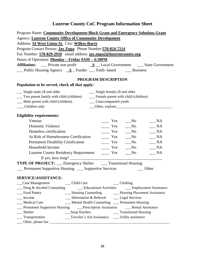| Program Name: Community Development Block Grant and Emergency Solutions Grant                                  |  |  |
|----------------------------------------------------------------------------------------------------------------|--|--|
| Agency: Luzerne County Office of Community Development                                                         |  |  |
| Address: 54 West Union St. City: Wilkes-Barre                                                                  |  |  |
| Program Contact Person: <b>Jay Zupa</b> Phone Number: 570-824-7214                                             |  |  |
| Fax Number: 570-829-2910 email address: jay.zupa2@luzernecounty.org                                            |  |  |
| Hours of Operation: Monday - Friday 9AM - 4:30PM                                                               |  |  |
| <b>Affiliation:</b> Private non profit $\underline{\mathbf{X}}$ Local Government ___ State Government          |  |  |
| $\angle$ Public Housing Agency $\angle X$ Funder $\angle$ Faith-based $\angle$ Business                        |  |  |
|                                                                                                                |  |  |
| PROGRAM DESCRIPTION                                                                                            |  |  |
| Population to be served, check all that apply:                                                                 |  |  |
| __ Single male, 18 and older<br>__ Single female, 18 and older                                                 |  |  |
| __ Female parent with child (children)<br>__ Two parent family with child (children)                           |  |  |
| __ Male parent with child (children)<br>__ Unaccompanied youth                                                 |  |  |
| __Children only                                                                                                |  |  |
|                                                                                                                |  |  |
| <b>Eligibility requirements:</b>                                                                               |  |  |
| Veteran<br>Yes<br>$\_ NA$<br>$\sqrt{N}$                                                                        |  |  |
| Domestic Violence<br>$\equiv$ Yes<br>$\_ NA$<br>$\sqrt{N}$                                                     |  |  |
| Homeless certification:<br>Yes<br>$\_ NA$<br>$\sqrt{N}$                                                        |  |  |
| At Risk of Homelessness Certification<br>$\equiv$ Yes<br>$\_ NA$<br>$\sqrt{N}$                                 |  |  |
| <b>Permanent Disability Certification</b><br>NA<br>$\equiv$ Yes<br>$\sqrt{N}$                                  |  |  |
| Household Income<br>$\frac{1}{1}$ Yes<br>$\_ NA$<br>$\sqrt{N}$                                                 |  |  |
| $-NA$<br>Luzerne County Residency Requirement _________ Yes<br>$\sqrt{N}$                                      |  |  |
|                                                                                                                |  |  |
| <b>TYPE OF PROJECT:</b> __ Emergency Shelter ___ Transitional Housing                                          |  |  |
| Permanent Supportive Housing __ Supportive Services<br>Other                                                   |  |  |
|                                                                                                                |  |  |
| SERVICE/ASSISTANCE:                                                                                            |  |  |
| _Case Management<br>__ Child Care<br>$\_\_$ Clothing                                                           |  |  |
| $\Box$ Drug & Alcohol Counseling<br><u>Conservational</u> Activities <b>Conservation</b> Employment Assistance |  |  |
| __ Housing Counseling ________ Housing Placement Assistance<br>_Food Pantry                                    |  |  |
| Income<br>Information & Referral Legal Services<br>Medical Care                                                |  |  |
| __ Mental Health Counseling __ Permanent Housing                                                               |  |  |
| Shelter<br>__Soup Kitchen<br>__ Transitional Housing                                                           |  |  |
| Traveler's Aid Assistance ______ Utility assistance<br>__ Transportation                                       |  |  |
|                                                                                                                |  |  |
|                                                                                                                |  |  |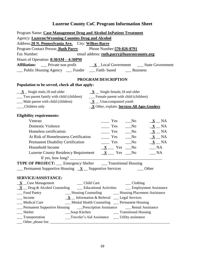| Program Name: Case Management Drug and Alcohol InPatient Treatment                                                                                                        |
|---------------------------------------------------------------------------------------------------------------------------------------------------------------------------|
| Agency: Luzerne/Wyoming Counties Drug and Alcohol                                                                                                                         |
| Address: 20 N. Pennsylvania Ave. City: Wilkes-Barre                                                                                                                       |
| Program Contact Person: Ruth Parry Phone Number: 570-826-8791                                                                                                             |
| Fax Number:<br>email address: ruth.parry@luzernecounty.org                                                                                                                |
| Hours of Operation: $8:30AM - 4:30PM$                                                                                                                                     |
| <b>Affiliation:</b> Private non profit $\underline{\mathbf{X}}$ Local Government ___ State Government                                                                     |
| __ Public Housing Agency ___ Funder ___ Faith- based ____ Business                                                                                                        |
| PROGRAM DESCRIPTION                                                                                                                                                       |
| Population to be served, check all that apply:                                                                                                                            |
| $\underline{\mathbf{X}}$ – Single male, 18 and older<br>$\underline{\mathbf{X}}$ Single female, 18 and older                                                              |
| __ Two parent family with child (children) _______ Female parent with child (children)                                                                                    |
| $\underline{\mathbf{X}}$ Male parent with child (children) $\underline{\mathbf{X}}$ Unaccompanied youth                                                                   |
| __Children only<br><b>X</b> Other, explain: Services All Ages-Genders                                                                                                     |
| <b>Eligibility requirements:</b>                                                                                                                                          |
| Veteran<br>$\mathbf{Yes}$<br>$\sqrt{N_0}$<br>$\underline{\mathbf{X}}$ $\underline{\mathbf{N}}$ $A$                                                                        |
| <b>Domestic Violence</b><br>$\frac{1}{1}$ Yes<br>$\sqrt{N}$<br>$\underline{\mathbf{X}}$ $\underline{\mathbf{N}}$ $A$                                                      |
| Homeless certification:<br>$\equiv$ Yes<br>$\sqrt{N}$<br>$\underline{\mathbf{X}}$ $\underline{\mathbf{N}}$ $A$                                                            |
| At Risk of Homelessness Certification<br>$\underline{\mathbf{X}}$ $\underline{\mathbf{N}}$ A<br>$\frac{1}{1}$ Yes<br>$\sqrt{N}$                                           |
| $\frac{1}{1}$ Yes<br><b>Permanent Disability Certification</b><br>$\underline{\mathbf{X}}$ $\underline{\mathbf{N}}$ $A$<br>$\overline{\phantom{1}}$ No                    |
| Household Income<br>$\underline{\mathbf{X}}$ $\underline{\mathbf{X}}$ $\underline{\mathbf{Y}}$ Pes $\underline{\mathbf{N}}$ No<br>$\mathbf{M}$                            |
| $\underline{\mathbf{X}}$ $\underline{\mathbf{X}}$ $\underline{\mathbf{Y}}$ res $\underline{\mathbf{N}}$ No<br><b>Luzerne County Residency Requirement</b><br>$\mathbf{M}$ |
|                                                                                                                                                                           |
| <b>TYPE OF PROJECT:</b> __ Emergency Shelter ___ Transitional Housing                                                                                                     |
| $\frac{1}{2}$ Permanent Supportive Housing $\frac{X}{X}$ Supportive Services<br>Other                                                                                     |
| SERVICE/ASSISTANCE:                                                                                                                                                       |
| $\underline{\mathbf{X}}$ _ Case Management<br>__ Child Care<br>$\_\_$ Clothing                                                                                            |
|                                                                                                                                                                           |
| Food Pantry<br>__ Housing Counseling _________ Housing Placement Assistance                                                                                               |
| $X$ Information & Referral $\qquad$ Legal Services<br>Income                                                                                                              |
| __ Mental Health Counseling __ Permanent Housing<br>_Medical Care                                                                                                         |
|                                                                                                                                                                           |
| $\equiv$ Shelter<br>__Soup Kitchen<br>__ Transitional Housing                                                                                                             |
| Traveler's Aid Assistance ______ Utility assistance<br>__ Transportation                                                                                                  |
|                                                                                                                                                                           |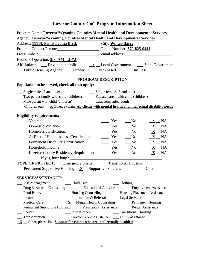| Program Name: Luzerne/Wyoming Counties Mental Health and Developmental Services                                                  |  |  |
|----------------------------------------------------------------------------------------------------------------------------------|--|--|
| Agency: Luzerne/Wyoming Counties Mental Health and Developmental Services                                                        |  |  |
| Address: 111 N. Pennsylvania Blvd.<br><b>City: Wilkes-Barre</b>                                                                  |  |  |
| Program Contact Person: Phone Number: 570-825-9441                                                                               |  |  |
|                                                                                                                                  |  |  |
| Hours of Operation: 8:30AM - 5PM                                                                                                 |  |  |
| <b>Affiliation:</b> Private non profit $\underline{\mathbf{X}}$ Local Government _____ State Government                          |  |  |
| __ Public Housing Agency __ Funder __ Faith- based ___ Business                                                                  |  |  |
| PROGRAM DESCRIPTION                                                                                                              |  |  |
| Population to be served, check all that apply:                                                                                   |  |  |
| __ Single male, 18 and older<br>Single female, 18 and older                                                                      |  |  |
| __ Two parent family with child (children) __ Female parent with child (children)                                                |  |  |
| __ Male parent with child (children) _______ Unaccompanied youth                                                                 |  |  |
| $\Box$ Children only $\chi$ Other, explain: All clients with mental health and intellectual disability needs                     |  |  |
|                                                                                                                                  |  |  |
| <b>Eligibility requirements:</b>                                                                                                 |  |  |
| Veteran<br>$\equiv$ Yes<br>$\underline{\mathbf{X}}$ $\underline{\mathbf{N}}$ NA<br>$\rm No$                                      |  |  |
| $\underline{\mathbf{X}}$ $\underline{\mathbf{N}}$ $A$<br>Domestic Violence<br>$\equiv$ Yes<br>$\sqrt{N}$                         |  |  |
| Homeless certification:<br>$\frac{\ }{\ }$ Yes $\frac{\ }{\ }$ No<br>$\underline{\mathbf{X}}$ $\underline{\mathbf{N}}$           |  |  |
| At Risk of Homelessness Certification<br>$\underline{\mathbf{X}}$ $\underline{\mathbf{N}}$<br>N <sub>0</sub><br>$\equiv$ Yes     |  |  |
| $\underline{\mathbf{X}}$ $\underline{\mathbf{N}}$<br><b>Permanent Disability Certification</b><br>$\equiv$ Yes<br>$\sqrt{N}$     |  |  |
| Household Income<br>$\sqrt{N}$<br>$\underline{\mathbf{X}}$ $\underline{\mathbf{N}}$<br>$\frac{1}{1}$ Yes                         |  |  |
| <b>Luzerne County Residency Requirement</b><br>$\sqrt{N_0}$<br>$\underline{\mathbf{X}}$ $\underline{\mathbf{N}}$<br>$\equiv$ Yes |  |  |
|                                                                                                                                  |  |  |
| <b>TYPE OF PROJECT:</b> __ Emergency Shelter ___ Transitional Housing                                                            |  |  |
| Permanent Supportive Housing $X$ Supportive Services $\qquad \qquad$ Other                                                       |  |  |
| <b>SERVICE/ASSISTANCE:</b>                                                                                                       |  |  |
| __ Child Care<br>$\_\_$ Clothing<br>_Case Management                                                                             |  |  |
| <b>Educational Activities Employment Assistance</b><br>$\Box$ Drug & Alcohol Counseling                                          |  |  |
| __ Housing Counseling __________ Housing Placement Assistance<br>_Food Pantry                                                    |  |  |
| Income<br>__ Information & Referral _______ Legal Services                                                                       |  |  |
| Medical Care<br>$\underline{\mathbf{X}}$ Mental Health Counseling Dermanent Housing                                              |  |  |
| _Permanent Supportive Housing ____Prescription Assistance ________Rental Assistance                                              |  |  |
| __Soup Kitchen<br>__ Transitional Housing<br>Shelter                                                                             |  |  |
| Traveler's Aid Assistance ______ Utility assistance<br>__ Transportation                                                         |  |  |
| $\underline{\mathbf{X}}$ $\underline{\mathbf{X}}$ Other, please list: Support for clients who are intellectually disabled        |  |  |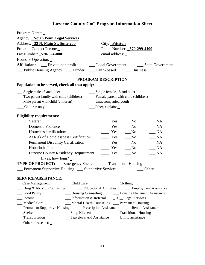| <b>Agency: North Penn Legal Services</b><br>Address: 33 N. Main St. Suite 200<br>City: Pittston<br>Program Contact Person:<br>Phone Number: 570-299-4100<br>Fax Number: 570-824-0001<br>email address: _<br>Hours of Operation: _<br>Affiliation: __ Private non profit _______ Local Government ______ State Government<br>Public Housing Agency ___ Funder ___ Faith- based ___ Business<br>PROGRAM DESCRIPTION<br>Population to be served, check all that apply:<br>__ Single male, 18 and older<br>__ Single female, 18 and older<br>__ Two parent family with child (children)<br>__ Female parent with child (children)<br>__ Male parent with child (children)<br>__ Unaccompanied youth<br>__Children only<br>__Other, explain:<br><b>Eligibility requirements:</b><br>Veteran<br><b>NA</b><br>Yes<br>N <sub>0</sub><br><b>Domestic Violence</b><br>$\overline{\phantom{a}}$ Yes<br>$\mathbb{N}$ A<br>No<br>Homeless certification:<br>$\equiv$ Yes<br>NA<br>$\sqrt{N}$<br>At Risk of Homelessness Certification<br>$\frac{1}{1}$ Yes<br>NA<br>$\sqrt{N}$<br><b>Permanent Disability Certification</b><br>NA<br>$\frac{1}{1}$ Yes<br>No<br>Household Income<br>Yes<br><b>NA</b><br>No<br><b>Luzerne County Residency Requirement</b><br>Yes<br><b>NA</b><br>N <sub>0</sub><br>If yes, how long? $\overline{\phantom{a}}$<br><b>TYPE OF PROJECT:</b> ___ Emergency Shelter ____ Transitional Housing<br>Permanent Supportive Housing __ Supportive Services<br>Other<br><b>SERVICE/ASSISTANCE:</b><br>__Case Management _______ Child Care<br>$\_\_$ Clothing<br>$\Box$ Drug & Alcohol Counseling<br><u>Conservational</u> Activities Conservation Employment Assistance<br>_Food Pantry<br>__ Housing Counseling _________ Housing Placement Assistance<br>$\frac{1}{2}$ Information & Referral $\frac{X}{X}$ Legal Services<br>Income<br>__ Mental Health Counseling __ Permanent Housing<br>Medical Care<br>Permanent Supportive Housing Density Prescription Assistance Dental Assistance<br>Shelter | Program Name: _                                 |  |
|-----------------------------------------------------------------------------------------------------------------------------------------------------------------------------------------------------------------------------------------------------------------------------------------------------------------------------------------------------------------------------------------------------------------------------------------------------------------------------------------------------------------------------------------------------------------------------------------------------------------------------------------------------------------------------------------------------------------------------------------------------------------------------------------------------------------------------------------------------------------------------------------------------------------------------------------------------------------------------------------------------------------------------------------------------------------------------------------------------------------------------------------------------------------------------------------------------------------------------------------------------------------------------------------------------------------------------------------------------------------------------------------------------------------------------------------------------------------------------------------------------------------------------------------------------------------------------------------------------------------------------------------------------------------------------------------------------------------------------------------------------------------------------------------------------------------------------------------------------------------------------------------------------------------------------------------------------------------------------------------------------------------|-------------------------------------------------|--|
|                                                                                                                                                                                                                                                                                                                                                                                                                                                                                                                                                                                                                                                                                                                                                                                                                                                                                                                                                                                                                                                                                                                                                                                                                                                                                                                                                                                                                                                                                                                                                                                                                                                                                                                                                                                                                                                                                                                                                                                                                 |                                                 |  |
|                                                                                                                                                                                                                                                                                                                                                                                                                                                                                                                                                                                                                                                                                                                                                                                                                                                                                                                                                                                                                                                                                                                                                                                                                                                                                                                                                                                                                                                                                                                                                                                                                                                                                                                                                                                                                                                                                                                                                                                                                 |                                                 |  |
|                                                                                                                                                                                                                                                                                                                                                                                                                                                                                                                                                                                                                                                                                                                                                                                                                                                                                                                                                                                                                                                                                                                                                                                                                                                                                                                                                                                                                                                                                                                                                                                                                                                                                                                                                                                                                                                                                                                                                                                                                 |                                                 |  |
|                                                                                                                                                                                                                                                                                                                                                                                                                                                                                                                                                                                                                                                                                                                                                                                                                                                                                                                                                                                                                                                                                                                                                                                                                                                                                                                                                                                                                                                                                                                                                                                                                                                                                                                                                                                                                                                                                                                                                                                                                 |                                                 |  |
|                                                                                                                                                                                                                                                                                                                                                                                                                                                                                                                                                                                                                                                                                                                                                                                                                                                                                                                                                                                                                                                                                                                                                                                                                                                                                                                                                                                                                                                                                                                                                                                                                                                                                                                                                                                                                                                                                                                                                                                                                 |                                                 |  |
|                                                                                                                                                                                                                                                                                                                                                                                                                                                                                                                                                                                                                                                                                                                                                                                                                                                                                                                                                                                                                                                                                                                                                                                                                                                                                                                                                                                                                                                                                                                                                                                                                                                                                                                                                                                                                                                                                                                                                                                                                 |                                                 |  |
|                                                                                                                                                                                                                                                                                                                                                                                                                                                                                                                                                                                                                                                                                                                                                                                                                                                                                                                                                                                                                                                                                                                                                                                                                                                                                                                                                                                                                                                                                                                                                                                                                                                                                                                                                                                                                                                                                                                                                                                                                 |                                                 |  |
|                                                                                                                                                                                                                                                                                                                                                                                                                                                                                                                                                                                                                                                                                                                                                                                                                                                                                                                                                                                                                                                                                                                                                                                                                                                                                                                                                                                                                                                                                                                                                                                                                                                                                                                                                                                                                                                                                                                                                                                                                 |                                                 |  |
|                                                                                                                                                                                                                                                                                                                                                                                                                                                                                                                                                                                                                                                                                                                                                                                                                                                                                                                                                                                                                                                                                                                                                                                                                                                                                                                                                                                                                                                                                                                                                                                                                                                                                                                                                                                                                                                                                                                                                                                                                 |                                                 |  |
|                                                                                                                                                                                                                                                                                                                                                                                                                                                                                                                                                                                                                                                                                                                                                                                                                                                                                                                                                                                                                                                                                                                                                                                                                                                                                                                                                                                                                                                                                                                                                                                                                                                                                                                                                                                                                                                                                                                                                                                                                 |                                                 |  |
|                                                                                                                                                                                                                                                                                                                                                                                                                                                                                                                                                                                                                                                                                                                                                                                                                                                                                                                                                                                                                                                                                                                                                                                                                                                                                                                                                                                                                                                                                                                                                                                                                                                                                                                                                                                                                                                                                                                                                                                                                 |                                                 |  |
|                                                                                                                                                                                                                                                                                                                                                                                                                                                                                                                                                                                                                                                                                                                                                                                                                                                                                                                                                                                                                                                                                                                                                                                                                                                                                                                                                                                                                                                                                                                                                                                                                                                                                                                                                                                                                                                                                                                                                                                                                 |                                                 |  |
|                                                                                                                                                                                                                                                                                                                                                                                                                                                                                                                                                                                                                                                                                                                                                                                                                                                                                                                                                                                                                                                                                                                                                                                                                                                                                                                                                                                                                                                                                                                                                                                                                                                                                                                                                                                                                                                                                                                                                                                                                 |                                                 |  |
|                                                                                                                                                                                                                                                                                                                                                                                                                                                                                                                                                                                                                                                                                                                                                                                                                                                                                                                                                                                                                                                                                                                                                                                                                                                                                                                                                                                                                                                                                                                                                                                                                                                                                                                                                                                                                                                                                                                                                                                                                 |                                                 |  |
|                                                                                                                                                                                                                                                                                                                                                                                                                                                                                                                                                                                                                                                                                                                                                                                                                                                                                                                                                                                                                                                                                                                                                                                                                                                                                                                                                                                                                                                                                                                                                                                                                                                                                                                                                                                                                                                                                                                                                                                                                 |                                                 |  |
|                                                                                                                                                                                                                                                                                                                                                                                                                                                                                                                                                                                                                                                                                                                                                                                                                                                                                                                                                                                                                                                                                                                                                                                                                                                                                                                                                                                                                                                                                                                                                                                                                                                                                                                                                                                                                                                                                                                                                                                                                 |                                                 |  |
|                                                                                                                                                                                                                                                                                                                                                                                                                                                                                                                                                                                                                                                                                                                                                                                                                                                                                                                                                                                                                                                                                                                                                                                                                                                                                                                                                                                                                                                                                                                                                                                                                                                                                                                                                                                                                                                                                                                                                                                                                 |                                                 |  |
|                                                                                                                                                                                                                                                                                                                                                                                                                                                                                                                                                                                                                                                                                                                                                                                                                                                                                                                                                                                                                                                                                                                                                                                                                                                                                                                                                                                                                                                                                                                                                                                                                                                                                                                                                                                                                                                                                                                                                                                                                 |                                                 |  |
|                                                                                                                                                                                                                                                                                                                                                                                                                                                                                                                                                                                                                                                                                                                                                                                                                                                                                                                                                                                                                                                                                                                                                                                                                                                                                                                                                                                                                                                                                                                                                                                                                                                                                                                                                                                                                                                                                                                                                                                                                 |                                                 |  |
|                                                                                                                                                                                                                                                                                                                                                                                                                                                                                                                                                                                                                                                                                                                                                                                                                                                                                                                                                                                                                                                                                                                                                                                                                                                                                                                                                                                                                                                                                                                                                                                                                                                                                                                                                                                                                                                                                                                                                                                                                 |                                                 |  |
|                                                                                                                                                                                                                                                                                                                                                                                                                                                                                                                                                                                                                                                                                                                                                                                                                                                                                                                                                                                                                                                                                                                                                                                                                                                                                                                                                                                                                                                                                                                                                                                                                                                                                                                                                                                                                                                                                                                                                                                                                 |                                                 |  |
|                                                                                                                                                                                                                                                                                                                                                                                                                                                                                                                                                                                                                                                                                                                                                                                                                                                                                                                                                                                                                                                                                                                                                                                                                                                                                                                                                                                                                                                                                                                                                                                                                                                                                                                                                                                                                                                                                                                                                                                                                 |                                                 |  |
|                                                                                                                                                                                                                                                                                                                                                                                                                                                                                                                                                                                                                                                                                                                                                                                                                                                                                                                                                                                                                                                                                                                                                                                                                                                                                                                                                                                                                                                                                                                                                                                                                                                                                                                                                                                                                                                                                                                                                                                                                 |                                                 |  |
|                                                                                                                                                                                                                                                                                                                                                                                                                                                                                                                                                                                                                                                                                                                                                                                                                                                                                                                                                                                                                                                                                                                                                                                                                                                                                                                                                                                                                                                                                                                                                                                                                                                                                                                                                                                                                                                                                                                                                                                                                 |                                                 |  |
|                                                                                                                                                                                                                                                                                                                                                                                                                                                                                                                                                                                                                                                                                                                                                                                                                                                                                                                                                                                                                                                                                                                                                                                                                                                                                                                                                                                                                                                                                                                                                                                                                                                                                                                                                                                                                                                                                                                                                                                                                 |                                                 |  |
|                                                                                                                                                                                                                                                                                                                                                                                                                                                                                                                                                                                                                                                                                                                                                                                                                                                                                                                                                                                                                                                                                                                                                                                                                                                                                                                                                                                                                                                                                                                                                                                                                                                                                                                                                                                                                                                                                                                                                                                                                 |                                                 |  |
|                                                                                                                                                                                                                                                                                                                                                                                                                                                                                                                                                                                                                                                                                                                                                                                                                                                                                                                                                                                                                                                                                                                                                                                                                                                                                                                                                                                                                                                                                                                                                                                                                                                                                                                                                                                                                                                                                                                                                                                                                 |                                                 |  |
|                                                                                                                                                                                                                                                                                                                                                                                                                                                                                                                                                                                                                                                                                                                                                                                                                                                                                                                                                                                                                                                                                                                                                                                                                                                                                                                                                                                                                                                                                                                                                                                                                                                                                                                                                                                                                                                                                                                                                                                                                 |                                                 |  |
|                                                                                                                                                                                                                                                                                                                                                                                                                                                                                                                                                                                                                                                                                                                                                                                                                                                                                                                                                                                                                                                                                                                                                                                                                                                                                                                                                                                                                                                                                                                                                                                                                                                                                                                                                                                                                                                                                                                                                                                                                 |                                                 |  |
|                                                                                                                                                                                                                                                                                                                                                                                                                                                                                                                                                                                                                                                                                                                                                                                                                                                                                                                                                                                                                                                                                                                                                                                                                                                                                                                                                                                                                                                                                                                                                                                                                                                                                                                                                                                                                                                                                                                                                                                                                 |                                                 |  |
|                                                                                                                                                                                                                                                                                                                                                                                                                                                                                                                                                                                                                                                                                                                                                                                                                                                                                                                                                                                                                                                                                                                                                                                                                                                                                                                                                                                                                                                                                                                                                                                                                                                                                                                                                                                                                                                                                                                                                                                                                 |                                                 |  |
|                                                                                                                                                                                                                                                                                                                                                                                                                                                                                                                                                                                                                                                                                                                                                                                                                                                                                                                                                                                                                                                                                                                                                                                                                                                                                                                                                                                                                                                                                                                                                                                                                                                                                                                                                                                                                                                                                                                                                                                                                 |                                                 |  |
| Traveler's Aid Assistance _____ Utility assistance                                                                                                                                                                                                                                                                                                                                                                                                                                                                                                                                                                                                                                                                                                                                                                                                                                                                                                                                                                                                                                                                                                                                                                                                                                                                                                                                                                                                                                                                                                                                                                                                                                                                                                                                                                                                                                                                                                                                                              | __ Transportation                               |  |
|                                                                                                                                                                                                                                                                                                                                                                                                                                                                                                                                                                                                                                                                                                                                                                                                                                                                                                                                                                                                                                                                                                                                                                                                                                                                                                                                                                                                                                                                                                                                                                                                                                                                                                                                                                                                                                                                                                                                                                                                                 | $\frac{1}{2}$ Other, please list: $\frac{1}{2}$ |  |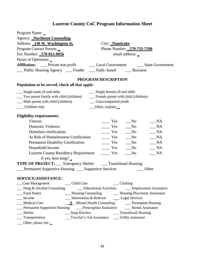| Program Name: _                                                         |                                                                                            |
|-------------------------------------------------------------------------|--------------------------------------------------------------------------------------------|
| <b>Agency: Northeast Counseling</b>                                     |                                                                                            |
| Address: 130 W. Washington St.                                          | City: <b>Nanticoke</b>                                                                     |
| Program Contact Person:                                                 | Phone Number: 570-735-7590                                                                 |
| Fax Number: 570-812-0056                                                | email address: _                                                                           |
| Hours of Operation: _                                                   |                                                                                            |
|                                                                         | Affiliation: __ Private non profit ___ Local Government ___ State Government               |
| Public Housing Agency ___ Funder ___ Faith- based ___ Business          |                                                                                            |
|                                                                         | PROGRAM DESCRIPTION                                                                        |
| Population to be served, check all that apply:                          |                                                                                            |
| __ Single male, 18 and older                                            | __ Single female, 18 and older                                                             |
| __ Two parent family with child (children)                              | __ Female parent with child (children)                                                     |
| __ Male parent with child (children)                                    | __ Unaccompanied youth                                                                     |
| __Children only                                                         | ___Other, explain:                                                                         |
| <b>Eligibility requirements:</b>                                        |                                                                                            |
| Veteran                                                                 | <b>NA</b><br>Yes<br>N <sub>0</sub>                                                         |
| <b>Domestic Violence</b>                                                | $\frac{\ }{}$ Yes<br>$\mathbb{N}$ A<br>$\sqrt{N}$                                          |
| Homeless certification:                                                 | $\equiv$ Yes<br>NA<br>$\sqrt{N}$                                                           |
| At Risk of Homelessness Certification                                   | $\frac{1}{1}$ Yes<br>NA<br>$\sqrt{N}$                                                      |
| <b>Permanent Disability Certification</b>                               | NA<br>$\frac{1}{1}$ Yes<br>No                                                              |
| Household Income                                                        | Yes<br><b>NA</b><br>No                                                                     |
| <b>Luzerne County Residency Requirement</b>                             | Yes<br><b>NA</b><br>N <sub>0</sub>                                                         |
| If yes, how long? $\overline{\phantom{a}}$                              |                                                                                            |
| <b>TYPE OF PROJECT:</b> ___ Emergency Shelter ____ Transitional Housing |                                                                                            |
| Permanent Supportive Housing __ Supportive Services                     | Other                                                                                      |
| <b>SERVICE/ASSISTANCE:</b>                                              |                                                                                            |
| __Case Management _______ Child Care                                    | $\_\_$ Clothing                                                                            |
|                                                                         | __ Drug & Alcohol Counseling ________ Educational Activities _______ Employment Assistance |
| _Food Pantry                                                            | __ Housing Counseling _________ Housing Placement Assistance                               |
| Income                                                                  | Information & Referral ______ Legal Services                                               |
| Medical Care                                                            | $\underline{\mathbf{X}}$ Mental Health Counseling Dermanent Housing                        |
|                                                                         | Permanent Supportive Housing _____Prescription Assistance ____________Rental Assistance    |
| Shelter                                                                 |                                                                                            |
| __ Transportation                                                       | Traveler's Aid Assistance _____ Utility assistance                                         |
| __ Other, please list: _                                                |                                                                                            |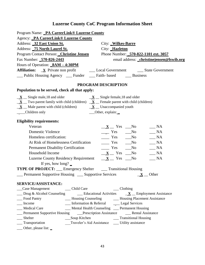| Program Name: PA CareerLink® Luzerne County                                                                                   |                                                                                  |                                          |
|-------------------------------------------------------------------------------------------------------------------------------|----------------------------------------------------------------------------------|------------------------------------------|
| Agency: PA CareerLink® Luzerne County                                                                                         |                                                                                  |                                          |
| Address: 32 East Union St.                                                                                                    | City: Wilkes-Barre                                                               |                                          |
| Address: 75 North Laurel St.                                                                                                  | City: Hazleton                                                                   |                                          |
| Program Contact Person: Christine Jensen                                                                                      |                                                                                  | Phone Number: 570-822-1101 ext. 3057     |
| Fax Number: 570-826-2443                                                                                                      |                                                                                  | email address: christinejensen@lswib.org |
| Hours of Operation: <b>8AM - 4:30PM</b>                                                                                       |                                                                                  |                                          |
|                                                                                                                               |                                                                                  |                                          |
| __ Public Housing Agency __ Funder __ Faith- based ___ Business                                                               |                                                                                  |                                          |
|                                                                                                                               |                                                                                  |                                          |
| Population to be served, check all that apply:                                                                                | PROGRAM DESCRIPTION                                                              |                                          |
| $\underline{\mathbf{X}}$ _ Single male, 18 and older                                                                          | $\underline{\mathbf{X}}$ _ Single female, 18 and older                           |                                          |
| $\underline{\mathbf{X}}$ Two parent family with child (children) $\underline{\mathbf{X}}$ Female parent with child (children) |                                                                                  |                                          |
| $\underline{\mathbf{X}}$ Male parent with child (children) $\underline{\mathbf{X}}$ Unaccompanied youth                       |                                                                                  |                                          |
| Children only                                                                                                                 | __Other, explain:                                                                |                                          |
|                                                                                                                               |                                                                                  |                                          |
| <b>Eligibility requirements:</b>                                                                                              |                                                                                  |                                          |
| Veteran                                                                                                                       | $X$ Yes No                                                                       | $\_\_$ NA                                |
| <b>Domestic Violence</b>                                                                                                      | $\frac{1}{\sqrt{1-\frac{1}{2}}}$ Yes $\frac{1}{\sqrt{1-\frac{1}{2}}}$ No         | $\mathbf{A}$                             |
| Homeless certification:                                                                                                       | $\frac{1}{\sqrt{1-\frac{1}{2}}}$ Yes $\frac{1}{\sqrt{1-\frac{1}{2}}}$ No         | $\sqrt{\phantom{a}}$ NA                  |
| At Risk of Homelessness Certification                                                                                         | $\frac{1}{\sqrt{1-\frac{1}{2}}}$ Yes $\frac{1}{\sqrt{1-\frac{1}{2}}}$ No         | $\_\_$ NA                                |
| <b>Permanent Disability Certification</b>                                                                                     | $\frac{1}{\sqrt{1-\frac{1}{2}}}$ Yes $\frac{1}{\sqrt{1-\frac{1}{2}}}$ No         | $\_ NA$                                  |
| Household Income                                                                                                              | $X = Yes$ No                                                                     | $\_\_$ NA                                |
| <b>Luzerne County Residency Requirement</b>                                                                                   | $\underline{\mathbf{X}}$ $\underline{\mathbf{Y}}$ Pes $\underline{\mathbf{N}}$ o | $\_ NA$                                  |
| If yes, how long? $\overline{\phantom{a}}$                                                                                    |                                                                                  |                                          |
| <b>TYPE OF PROJECT:</b> __ Emergency Shelter ___ Transitional Housing                                                         |                                                                                  |                                          |
| __ Permanent Supportive Housing __ Supportive Services                                                                        |                                                                                  | $X$ Other                                |
|                                                                                                                               |                                                                                  |                                          |
| SERVICE/ASSISTANCE:                                                                                                           |                                                                                  |                                          |
| Case Management<br>__ Child Care                                                                                              | $\_\_$ Clothing                                                                  |                                          |
| $\Box$ Drug & Alcohol Counseling $\Box$ Educational Activities $\Box$ Employment Assistance                                   |                                                                                  |                                          |
| Food Pantry                                                                                                                   | __ Housing Counseling ________ Housing Placement Assistance                      |                                          |
| Income                                                                                                                        | Information & Referral Legal Services                                            |                                          |
| <b>Medical Care</b>                                                                                                           | __ Mental Health Counseling __ Permanent Housing                                 |                                          |
|                                                                                                                               |                                                                                  |                                          |
| Shelter                                                                                                                       |                                                                                  |                                          |
| _Transportation                                                                                                               | Traveler's Aid Assistance ______ Utility assistance                              |                                          |
| $\_\_$ Other, please list: $\_\$                                                                                              |                                                                                  |                                          |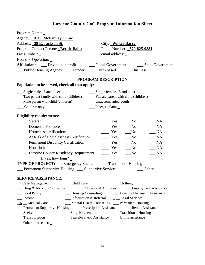| Program Name:                                                           |                                                                                            |
|-------------------------------------------------------------------------|--------------------------------------------------------------------------------------------|
| Agency: <b>RHC McKinney Clinic</b>                                      |                                                                                            |
| Address: 39 E. Jackson St.                                              | City: Wilkes-Barre                                                                         |
| Program Contact Person: Bernie Balut                                    | Phone Number: 570-825-0881                                                                 |
| Fax Number: _                                                           | email address: _                                                                           |
| Hours of Operation: _                                                   |                                                                                            |
| <b>Affiliation:</b>                                                     | __ Private non profit _________ Local Government _______ State Government                  |
| _Public Housing Agency __ Funder __ Faith- based __ Business            |                                                                                            |
|                                                                         | <b>PROGRAM DESCRIPTION</b>                                                                 |
| Population to be served, check all that apply:                          |                                                                                            |
| __ Single male, 18 and older                                            | __ Single female, 18 and older                                                             |
| __ Two parent family with child (children)                              | __ Female parent with child (children)                                                     |
| Male parent with child (children)                                       | __ Unaccompanied youth                                                                     |
| __Children only                                                         | __Other, explain:                                                                          |
| <b>Eligibility requirements:</b>                                        |                                                                                            |
| Veteran                                                                 | <b>NA</b><br>Yes<br>N <sub>0</sub>                                                         |
| <b>Domestic Violence</b>                                                | $\frac{\ }{}$ Yes<br>$\_NA$<br>No_                                                         |
| Homeless certification:                                                 | Yes<br>NA<br>$\sqrt{N}$                                                                    |
| At Risk of Homelessness Certification                                   | $\frac{\ }{2}$ Yes<br>NA<br>$\sqrt{N}$                                                     |
| <b>Permanent Disability Certification</b>                               | $\frac{1}{1}$ Yes<br>$\_NA$<br>No                                                          |
| Household Income                                                        | Yes<br><b>NA</b><br>No                                                                     |
| <b>Luzerne County Residency Requirement</b>                             | Yes<br>NA<br>N <sub>0</sub>                                                                |
| If yes, how long? $\overline{\phantom{a}}$                              |                                                                                            |
| <b>TYPE OF PROJECT:</b> ___ Emergency Shelter ____ Transitional Housing |                                                                                            |
| Permanent Supportive Housing __ Supportive Services                     | Other                                                                                      |
|                                                                         |                                                                                            |
| <b>SERVICE/ASSISTANCE:</b>                                              |                                                                                            |
| __Case Management ________ Child Care                                   | ___ Clothing                                                                               |
|                                                                         | __ Drug & Alcohol Counseling ________ Educational Activities _______ Employment Assistance |
| __ Food Pantry                                                          | - Housing Counseling - Housing Placement Assistance                                        |
| __ Income                                                               | __ Information & Referral _______ Legal Services                                           |
| $\mathbf{X}$ Medical Care                                               | __ Mental Health Counseling __ Permanent Housing                                           |
|                                                                         | __ Permanent Supportive Housing ______ Prescription Assistance _______ Rental Assistance   |
| __ Shelter                                                              |                                                                                            |
| ___ Transportation                                                      | Traveler's Aid Assistance _____ Utility assistance                                         |
| $\frac{1}{2}$ Other, please list:                                       |                                                                                            |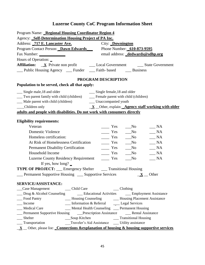| Program Name: Regional Housing Coordinator Region 4                                                                                  |                                                                                  |  |
|--------------------------------------------------------------------------------------------------------------------------------------|----------------------------------------------------------------------------------|--|
| Agency: Self-Determination Housing Project of PA Inc.                                                                                |                                                                                  |  |
| Address: 717 E. Lancaster Ave.<br>City: <b>Downington</b>                                                                            |                                                                                  |  |
| Program Contact Person: Dawn Edwards Phone Number: 610-873-9595                                                                      |                                                                                  |  |
| Fax Number:<br>email address: _dedwards@sdhp.org                                                                                     |                                                                                  |  |
| Hours of Operation: _                                                                                                                |                                                                                  |  |
|                                                                                                                                      |                                                                                  |  |
| __ Public Housing Agency __ Funder __ Faith- based __ Business                                                                       |                                                                                  |  |
| PROGRAM DESCRIPTION                                                                                                                  |                                                                                  |  |
| Population to be served, check all that apply:                                                                                       |                                                                                  |  |
| __ Single male, 18 and older<br>Single female, 18 and older                                                                          |                                                                                  |  |
| __ Two parent family with child (children) __ Female parent with child (children)                                                    |                                                                                  |  |
| __ Male parent with child (children) _______ Unaccompanied youth                                                                     |                                                                                  |  |
| Children only                                                                                                                        | $\underline{\mathbf{X}}$ _Other, explain: <b>Agency staff working with older</b> |  |
| adults and people with disabilities. Do not work with consumers directly                                                             |                                                                                  |  |
|                                                                                                                                      |                                                                                  |  |
| <b>Eligibility requirements:</b>                                                                                                     |                                                                                  |  |
| Veteran<br>$\frac{1}{1}$ Yes<br>$\sqrt{N}$                                                                                           | $\_ NA$                                                                          |  |
| <b>Domestic Violence</b><br>$\frac{1}{\sqrt{1-\frac{1}{2}}}$ Yes $\frac{1}{\sqrt{1-\frac{1}{2}}}$ No                                 | $\sqrt{\phantom{a}}$ NA                                                          |  |
| $\frac{1}{\sqrt{1-\frac{1}{2}}}\text{Yes}$<br>Homeless certification:                                                                | $\frac{1}{2}$ NA<br>N <sub>0</sub>                                               |  |
| $\frac{1}{\sqrt{1-\frac{1}{2}}}$ Yes $\frac{1}{\sqrt{1-\frac{1}{2}}}$ No<br>$\frac{1}{2}NA$<br>At Risk of Homelessness Certification |                                                                                  |  |
| <b>Permanent Disability Certification</b><br>$\frac{1}{1}$ Yes<br>N <sub>0</sub><br>$\_\_$ NA                                        |                                                                                  |  |
| Household Income<br>$\equiv$ Yes<br>N <sub>0</sub><br>$\_\_$ NA                                                                      |                                                                                  |  |
| Luzerne County Residency Requirement _______ Yes<br>N <sub>0</sub>                                                                   | $\_ NA$                                                                          |  |
| If yes, how long? $\overline{\phantom{a}}$                                                                                           |                                                                                  |  |
| <b>TYPE OF PROJECT:</b> __ Emergency Shelter ____ Transitional Housing                                                               |                                                                                  |  |
| <b>Example 1</b> Permanent Supportive Housing <b>Example 2</b> Supportive Services                                                   | $\mathbf{X}$ Other                                                               |  |
| <b>SERVICE/ASSISTANCE:</b>                                                                                                           |                                                                                  |  |
| $\_\_$ Clothing                                                                                                                      |                                                                                  |  |
| __ Drug & Alcohol Counseling ________ Educational Activities _______ Employment Assistance                                           |                                                                                  |  |
| __ Housing Counseling ________ Housing Placement Assistance<br>__ Food Pantry                                                        |                                                                                  |  |
| __ Information & Referral _______ Legal Services<br>Income                                                                           |                                                                                  |  |
| __ Mental Health Counseling __ Permanent Housing<br>Medical Care                                                                     |                                                                                  |  |
| Permanent Supportive Housing _____Prescription Assistance _________Rental Assistance                                                 |                                                                                  |  |
|                                                                                                                                      |                                                                                  |  |
|                                                                                                                                      |                                                                                  |  |
| $\underline{\mathbf{X}}$ Other, please list: Connections & explanation of housing & housing supportive services                      |                                                                                  |  |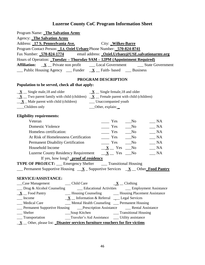| Program Name: The Salvation Army                                                                                                                                                                                                                  |
|---------------------------------------------------------------------------------------------------------------------------------------------------------------------------------------------------------------------------------------------------|
| <b>Agency:</b> The Salvation Army                                                                                                                                                                                                                 |
| Address: 17 S. Pennsylvania Ave.<br>City: _Wilkes-Barre                                                                                                                                                                                           |
| Program Contact Person: Lt. Oziel Urbaez Phone Number: 570-824-8741                                                                                                                                                                               |
| Fax Number: 570-824-1774 email address: Oziel.Urbaez@USE.salvationarmy.org                                                                                                                                                                        |
| Hours of Operation: Tuesday - Thursday 9AM - 12PM (Appointment Required)                                                                                                                                                                          |
|                                                                                                                                                                                                                                                   |
| $\frac{1}{\sqrt{2}}$ Public Housing Agency $\frac{1}{\sqrt{2}}$ Funder $\frac{1}{\sqrt{2}}$ Faith-based $\frac{1}{\sqrt{2}}$ Business                                                                                                             |
| PROGRAM DESCRIPTION                                                                                                                                                                                                                               |
| Population to be served, check all that apply:                                                                                                                                                                                                    |
|                                                                                                                                                                                                                                                   |
| $\underline{\mathbf{X}}$ _ Single male, 18 and older<br>$\underline{\mathbf{X}}$ _ Single female, 18 and older                                                                                                                                    |
| $\underline{\mathbf{X}}$ Two parent family with child (children) $\underline{\mathbf{X}}$ Female parent with child (children)<br>$\underline{\mathbf{X}}$ Male parent with child (children) Unaccompanied youth                                   |
| __Children only<br>___Other, explain:                                                                                                                                                                                                             |
|                                                                                                                                                                                                                                                   |
| <b>Eligibility requirements:</b>                                                                                                                                                                                                                  |
| Veteran<br>$\frac{1}{1}$ Yes<br>$\_ NA$<br>$\sqrt{N}$                                                                                                                                                                                             |
| Domestic Violence<br>$\frac{1}{1}$ Yes<br>NA<br>$\sqrt{N}$                                                                                                                                                                                        |
| Homeless certification:<br>$\frac{1}{1}$ Yes<br>$\_ NA$<br>$\sqrt{N}$                                                                                                                                                                             |
| At Risk of Homelessness Certification<br>$\frac{1}{1}$ Yes<br>$\_ NA$<br>$\sqrt{a}$ No                                                                                                                                                            |
| $\equiv$ Yes<br><b>Permanent Disability Certification</b><br>NA<br>$\rm No$                                                                                                                                                                       |
| Household Income<br>$\underline{\mathbf{X}}$ $\underline{\mathbf{X}}$ Yes $\underline{\mathbf{N}}$ o<br>$\_\_$ NA                                                                                                                                 |
| Luzerne County Residency Requirement $X_1$ Yes _ No<br>$\_\_$ NA                                                                                                                                                                                  |
| If yes, how long? proof of residency                                                                                                                                                                                                              |
| <b>TYPE OF PROJECT:</b> __ Emergency Shelter ___ Transitional Housing                                                                                                                                                                             |
| <b>Example 1</b> Permanent Supportive Housing $\underline{\mathbf{X}}$ _ Supportive Services $\underline{\mathbf{X}}$ _ Other Food Pantry                                                                                                         |
|                                                                                                                                                                                                                                                   |
| <b>SERVICE/ASSISTANCE:</b>                                                                                                                                                                                                                        |
| $\underline{\mathbf{X}}$ _ Clothing<br>_Case Management<br>__ Child Care                                                                                                                                                                          |
| __ Drug & Alcohol Counseling _______ Educational Activities ______ Employment Assistance                                                                                                                                                          |
| __ Housing Counseling _______ Housing Placement Assistance<br>$\underline{\mathbf{X}}$ Food Pantry                                                                                                                                                |
| $\underline{\mathbf{X}}$ Information & Referral __ Legal Services<br>__ Income                                                                                                                                                                    |
| __ Mental Health Counseling __ Permanent Housing<br>__ Medical Care                                                                                                                                                                               |
| __ Permanent Supportive Housing ______ Prescription Assistance _______ Rental Assistance                                                                                                                                                          |
| $S$ helter<br>Soup Kitchen <b>Communist Communist Communist</b> Communist Communist Communist Communist Communist Communist Communist Communist Communist Communist Communist Communist Communist Communist Communist Communist Communist Communi |
| Traveler's Aid Assistance ____ Utility assistance<br>__ Transportation                                                                                                                                                                            |
| $\underline{\mathbf{X}}$ Other, please list: Disaster services furniture vouchers for fire victims                                                                                                                                                |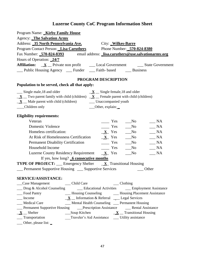| Program Name: <b>Kirby Family House</b>                                                                                                             |
|-----------------------------------------------------------------------------------------------------------------------------------------------------|
| Agency: The Salvation Army                                                                                                                          |
| Address: 35 North Pennsylvania Ave.<br>City: Wilkes-Barre                                                                                           |
| Program Contact Person: Lisa Caruthers<br>Phone Number: 570-824-8380                                                                                |
| Fax Number: 570-824-8393 email address: lisa.caruthers@use.salvationarmy.org                                                                        |
| Hours of Operation: 24/7                                                                                                                            |
| <b>Affiliation:</b> <u>X</u> Private non profit<br>Local Government State Government                                                                |
| __ Public Housing Agency ___ Funder ___ Faith- based ____ Business                                                                                  |
| <b>PROGRAM DESCRIPTION</b>                                                                                                                          |
| Population to be served, check all that apply:                                                                                                      |
| __ Single male, 18 and older<br>$\underline{\mathbf{X}}$ _ Single female, 18 and older                                                              |
| $\underline{\mathbf{X}}$ Two parent family with child (children) $\underline{\mathbf{X}}$ Female parent with child (children)                       |
| $\underline{\mathbf{X}}$ $\underline{\mathbf{M}}$ Male parent with child (children)<br>__ Unaccompanied youth                                       |
| Children only<br>__Other, explain:                                                                                                                  |
| <b>Eligibility requirements:</b>                                                                                                                    |
| Veteran<br>Yes<br>NA<br>N <sub>0</sub>                                                                                                              |
| <b>Domestic Violence</b><br>$\equiv$ Yes<br>$\_ NA$<br>$\sqrt{\ }$                                                                                  |
| Homeless certification:<br>$X$ Yes<br>$\_ NA$<br>$\sqrt{N}$                                                                                         |
| At Risk of Homelessness Certification<br>$\underline{\mathbf{X}}$ Yes<br>$\_ NA$<br>$\sqrt{N}$                                                      |
| <b>Permanent Disability Certification</b><br>$\equiv$ Yes<br>$\_ NA$<br>$\sqrt{\ }$                                                                 |
| Household Income<br>$\frac{\ }{}$ Yes<br>$\_ NA$<br>No                                                                                              |
| Luzerne County Residency Requirement $X$ Yes<br>$N_A$<br>$\sqrt{N}$                                                                                 |
| If yes, how long? 6 consecutive months                                                                                                              |
| <b>TYPE OF PROJECT:</b> __ Emergency Shelter __ <b>X</b> _ Transitional Housing                                                                     |
| __ Permanent Supportive Housing __ Supportive Services<br>Other                                                                                     |
| <b>SERVICE/ASSISTANCE:</b>                                                                                                                          |
| __Case Management ________ Child Care<br>___ Clothing                                                                                               |
| __ Drug & Alcohol Counseling _______ Educational Activities ______ Employment Assistance                                                            |
| __ Housing Counseling _______ Housing Placement Assistance<br>__ Food Pantry                                                                        |
| Income<br>$\underline{\mathbf{X}}$ Information & Referral $\underline{\mathbf{L}}$ Legal Services                                                   |
| __ Mental Health Counseling __ Permanent Housing<br>__ Medical Care                                                                                 |
| <b>Example 1</b> Permanent Supportive Housing <b>Example 2 Prescription Assistance Example 2 Permanent Supportive Housing </b> Benefield Assistance |
| $X$ <sub>_</sub> Shelter<br>$\frac{\mathbf{X}}{\mathbf{X}}$ Transitional Housing                                                                    |
| ___ Transportation<br>Traveler's Aid Assistance _____ Utility assistance                                                                            |
| $\frac{1}{2}$ Other, please list: $\frac{1}{2}$                                                                                                     |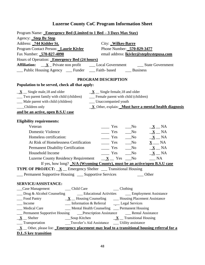| Program Name: Emergency Bed (Limited to 1 Bed - 3 Days Max Stay)<br>Agency: Step By Step<br>Address: 744 Kidder St.<br>City: Wilkes-Barre                                                                                                                                                                                                                                   |
|-----------------------------------------------------------------------------------------------------------------------------------------------------------------------------------------------------------------------------------------------------------------------------------------------------------------------------------------------------------------------------|
| Program Contact Person: Laurie Kivler<br>Phone Number: 570-829-3477                                                                                                                                                                                                                                                                                                         |
| Fax Number: 570-827-4090<br>email address: lkivler@stepbystepusa.com                                                                                                                                                                                                                                                                                                        |
| Hours of Operation: Emergency Bed (24 hours)                                                                                                                                                                                                                                                                                                                                |
| <b>Affiliation:</b> <u>X</u> Private non profit ________ Local Government ___________ State Government                                                                                                                                                                                                                                                                      |
| __ Public Housing Agency __ Funder __ Faith- based ___ Business                                                                                                                                                                                                                                                                                                             |
| PROGRAM DESCRIPTION                                                                                                                                                                                                                                                                                                                                                         |
| Population to be served, check all that apply:                                                                                                                                                                                                                                                                                                                              |
| $\underline{\mathbf{X}}$ _ Single male, 18 and older<br>$\underline{\mathbf{X}}$ _ Single female, 18 and older<br>__ Two parent family with child (children)<br>__ Female parent with child (children)<br>__ Male parent with child (children)<br>__ Unaccompanied youth<br>__Children only<br>$\underline{\mathbf{X}}$ Other, explain: Must have a mental health diagnosis |
| and be an active, open B.S.U case                                                                                                                                                                                                                                                                                                                                           |
| <b>Eligibility requirements:</b>                                                                                                                                                                                                                                                                                                                                            |
| Veteran<br>Yes<br>N <sub>0</sub><br>$\underline{\mathbf{X}}$ $\underline{\mathbf{N}}$                                                                                                                                                                                                                                                                                       |
| <b>Domestic Violence</b><br>$\equiv$ Yes<br>$\underline{\mathbf{X}}$ $\underline{\mathbf{N}}$ A<br>N <sub>0</sub>                                                                                                                                                                                                                                                           |
| $\underline{\mathbf{X}}$ $\underline{\mathbf{N}}$<br>Homeless certification:<br>$\frac{1}{\sqrt{1-\frac{1}{2}}}$ Yes $\frac{1}{\sqrt{1-\frac{1}{2}}}$ No                                                                                                                                                                                                                    |
| $\underline{\mathbf{X}}$ $\underline{\mathbf{N}}$ $\mathbf{N}$ $\mathbf{A}$<br>At Risk of Homelessness Certification<br>$\overline{\phantom{a}}$ Yes<br>$\sqrt{N}$                                                                                                                                                                                                          |
| <b>Permanent Disability Certification</b><br>$\frac{1}{1}$ Yes<br>$X$ NA<br>N <sub>0</sub>                                                                                                                                                                                                                                                                                  |
| $\underline{\mathbf{X}}$ $\underline{\mathbf{N}}$<br>Household Income<br>$\equiv$ Yes<br>N <sub>0</sub>                                                                                                                                                                                                                                                                     |
| $R_{\text{max}}$<br>Luzerne County Residency Requirement $X_$ Yes Mo                                                                                                                                                                                                                                                                                                        |
| If yes, how long? N/A (Wyoming County), must be an active/open B.S.U case                                                                                                                                                                                                                                                                                                   |
| <b>TYPE OF PROJECT:</b> $\underline{\mathbf{X}}$ Emergency Shelter __ Transitional Housing                                                                                                                                                                                                                                                                                  |
| __ Permanent Supportive Housing __ Supportive Services<br>Other                                                                                                                                                                                                                                                                                                             |
| <b>SERVICE/ASSISTANCE:</b>                                                                                                                                                                                                                                                                                                                                                  |
|                                                                                                                                                                                                                                                                                                                                                                             |
| __ Drug & Alcohol Counseling _______ Educational Activities ______ Employment Assistance                                                                                                                                                                                                                                                                                    |
| $\underline{\mathbf{X}}$ Housing Counseling $\underline{\mathbf{X}}$ Housing Placement Assistance<br>Food Pantry                                                                                                                                                                                                                                                            |
| __ Information & Referral _______ Legal Services<br>__ Income                                                                                                                                                                                                                                                                                                               |
| __ Mental Health Counseling __ Permanent Housing<br><b>Medical Care</b>                                                                                                                                                                                                                                                                                                     |
| <b>Example 1</b> Permanent Supportive Housing <b>Example 2 Prescription Assistance Fig. 2</b> Rental Assistance                                                                                                                                                                                                                                                             |
| $X$ <sub>_</sub> Shelter<br>$\frac{\mathbf{X}}{\mathbf{X}}$ Transitional Housing                                                                                                                                                                                                                                                                                            |
| __ Transportation<br>__Traveler's Aid Assistance ____ Utility assistance                                                                                                                                                                                                                                                                                                    |
| $\underline{\mathbf{X}}$ $\underline{\mathbf{X}}$ $\underline{\mathbf{X}}$ Other, please list: <b>Emergency placement may lead to a transitional housing referral for a</b>                                                                                                                                                                                                 |
| <b>D.L.S key transition</b>                                                                                                                                                                                                                                                                                                                                                 |
|                                                                                                                                                                                                                                                                                                                                                                             |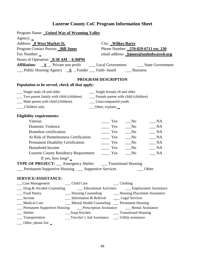| Program Name: <u>United Way of Wyoming Valley</u>                                                                                                |                                                             |                                                         |
|--------------------------------------------------------------------------------------------------------------------------------------------------|-------------------------------------------------------------|---------------------------------------------------------|
| Agency: $\overline{\phantom{a}}$                                                                                                                 |                                                             |                                                         |
| Address: 8 West Market St.                                                                                                                       | City: Wilkes-Barre                                          |                                                         |
| Program Contact Person: Bill Jones                                                                                                               |                                                             | Phone Number: 570-829-6711 ext. 230                     |
| Fax Number: _                                                                                                                                    |                                                             | email address: <i>bjones@unitedwaywb.org</i>            |
| Hours of Operation: 8:30 AM - 4:30PM                                                                                                             |                                                             |                                                         |
|                                                                                                                                                  |                                                             |                                                         |
| $\frac{1}{\sqrt{2}}$ Public Housing Agency $\frac{\mathbf{X}}{\mathbf{X}}$ Funder $\frac{1}{\sqrt{2}}$ Faith-based $\frac{1}{\sqrt{2}}$ Business |                                                             |                                                         |
|                                                                                                                                                  | PROGRAM DESCRIPTION                                         |                                                         |
| Population to be served, check all that apply:                                                                                                   |                                                             |                                                         |
| __ Single male, 18 and older                                                                                                                     | __ Single female, 18 and older                              |                                                         |
| __ Two parent family with child (children)                                                                                                       | __ Female parent with child (children)                      |                                                         |
| __ Male parent with child (children)                                                                                                             | __ Unaccompanied youth                                      |                                                         |
| Children only                                                                                                                                    | __Other, explain:                                           |                                                         |
| <b>Eligibility requirements:</b>                                                                                                                 |                                                             |                                                         |
| Veteran                                                                                                                                          | Yes                                                         | NA<br>$\sqrt{N}$                                        |
| <b>Domestic Violence</b>                                                                                                                         | $\equiv$ Yes                                                | NA<br>$\sqrt{N}$                                        |
| Homeless certification:                                                                                                                          | $\frac{\ }{}$ Yes                                           | $\_ NA$<br>$\sqrt{N}$                                   |
| At Risk of Homelessness Certification                                                                                                            | Yes                                                         | $\_ NA$<br>$\sqrt{N}$                                   |
| Permanent Disability Certification                                                                                                               | $\equiv$ Yes                                                | NA<br>$\sqrt{N}$                                        |
| Household Income                                                                                                                                 | Yes                                                         | $\_ NA$<br>$\sqrt{a}$ No                                |
| <b>Luzerne County Residency Requirement</b>                                                                                                      | $\equiv$ Yes                                                | $\_ NA$<br>$\sqrt{N}$                                   |
| If yes, how long? $\overline{\phantom{a}}$                                                                                                       |                                                             |                                                         |
| <b>TYPE OF PROJECT:</b> ___ Emergency Shelter ____ Transitional Housing                                                                          |                                                             |                                                         |
| Permanent Supportive Housing __ Supportive Services                                                                                              |                                                             | Other                                                   |
| <b>SERVICE/ASSISTANCE:</b>                                                                                                                       |                                                             |                                                         |
| __Case Management<br>__ Child Care                                                                                                               | $\_\_$ Clothing                                             |                                                         |
| __ Drug & Alcohol Counseling                                                                                                                     |                                                             | <u>Conservational</u> Activities Comployment Assistance |
| _Food Pantry                                                                                                                                     | __ Housing Counseling ________ Housing Placement Assistance |                                                         |
| Income                                                                                                                                           | __ Information & Referral ____ Legal Services               |                                                         |
| Medical Care                                                                                                                                     | __ Mental Health Counseling __ Permanent Housing            |                                                         |
|                                                                                                                                                  |                                                             |                                                         |
| $S$ helter<br>___Soup Kitchen                                                                                                                    |                                                             | __ Transitional Housing                                 |
| __ Transportation                                                                                                                                | Traveler's Aid Assistance ______ Utility assistance         |                                                         |
| __ Other, please list: _                                                                                                                         |                                                             |                                                         |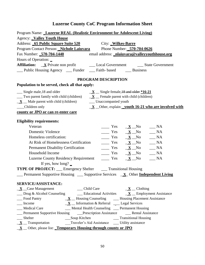| Program Name: Luzerne REAL (Realistic Environment for Adolescent Living)                                                                                                            |  |  |
|-------------------------------------------------------------------------------------------------------------------------------------------------------------------------------------|--|--|
| <b>Agency: Valley Youth House</b>                                                                                                                                                   |  |  |
| Address: 65 Public Square Suite 520 City: Wilkes-Barre                                                                                                                              |  |  |
| Program Contact Person: Nichole Laiuvara Phone Number: 570-704-0626                                                                                                                 |  |  |
| Fax Number: 570-704-1440<br>email address: nlaiuvara@valleyyouthhouse.org                                                                                                           |  |  |
| Hours of Operation: _                                                                                                                                                               |  |  |
|                                                                                                                                                                                     |  |  |
| __ Public Housing Agency __ Funder __ Faith- based __ Business                                                                                                                      |  |  |
| PROGRAM DESCRIPTION                                                                                                                                                                 |  |  |
| Population to be served, check all that apply:                                                                                                                                      |  |  |
| __ Single male, 18 and older<br>$\underline{\mathbf{X}}$ _ Single female, 18 and older $*16-21$                                                                                     |  |  |
| $\frac{1}{\sqrt{2}}$ Two parent family with child (children) $\frac{X}{X}$ Female parent with child (children)                                                                      |  |  |
| __ Unaccompanied youth<br>$\underline{\mathbf{X}}$ $\underline{\mathbf{M}}$ Male parent with child (children)                                                                       |  |  |
| __Children only<br>$\underline{\mathbf{X}}$ _Other, explain: youth 16-21 who are involved with                                                                                      |  |  |
| county or JPO or can re-enter care                                                                                                                                                  |  |  |
|                                                                                                                                                                                     |  |  |
| <b>Eligibility requirements:</b>                                                                                                                                                    |  |  |
| Veteran<br>$\frac{\mathbf{x}}{\mathbf{y}} = \frac{\mathbf{x}}{\mathbf{y}}$<br>$\_\_$ NA                                                                                             |  |  |
| $\frac{\mathbf{x}}{\mathbf{y}} = \mathbf{y}$ $\frac{\mathbf{x}}{\mathbf{y}} = \mathbf{y}$ $\frac{\mathbf{x}}{\mathbf{y}} = \mathbf{y}$<br><b>Domestic Violence</b>                  |  |  |
| $\frac{\mathbf{v}}{\mathbf{v}}$ Yes $\frac{\mathbf{X}}{\mathbf{v}}$ No $\frac{\mathbf{v}}{\mathbf{v}}$ NA<br>Homeless certification:                                                |  |  |
| At Risk of Homelessness Certification<br>$\frac{\mathbf{v}}{\mathbf{v}}$ Yes $\frac{\mathbf{X}}{\mathbf{v}}$ No $\frac{\mathbf{v}}{\mathbf{v}}$ NA                                  |  |  |
| $\frac{\mathbf{x}}{\mathbf{y}} = \mathbf{y}$ $\frac{\mathbf{x}}{\mathbf{y}} = \mathbf{y}$ $\frac{\mathbf{x}}{\mathbf{y}} = \mathbf{y}$<br><b>Permanent Disability Certification</b> |  |  |
| $\frac{\mathbf{x}}{\mathbf{y}} = \mathbf{y}$ $\frac{\mathbf{x}}{\mathbf{y}} = \mathbf{y}$ NA<br>Household Income                                                                    |  |  |
| <b>Luzerne County Residency Requirement</b><br>$\underline{\mathbf{X}}$ $\underline{\mathbf{N}}$ o<br>$\_\_$ NA<br>$\equiv$ Yes                                                     |  |  |
| If yes, how long? $\overline{\phantom{a}}$                                                                                                                                          |  |  |
| <b>TYPE OF PROJECT:</b> ___ Emergency Shelter ____ Transitional Housing                                                                                                             |  |  |
| <b>Example 1</b> Permanent Supportive Housing <u>Comportive Services X</u> Other Independent Living                                                                                 |  |  |
| <b>SERVICE/ASSISTANCE:</b>                                                                                                                                                          |  |  |
| $\underline{\mathbf{X}}$ _ Case Management<br>Child Care<br>$\underline{\mathbf{X}}$ _ Clothing                                                                                     |  |  |
| $\Box$ Drug & Alcohol Counseling $\Box$ Educational Activities $\Box$ Employment Assistance                                                                                         |  |  |
| __ Food Pantry<br>$\underline{\mathbf{X}}$ Housing Counseling — Housing Placement Assistance                                                                                        |  |  |
| $\underline{\mathbf{X}}$ Information & Referral ___ Legal Services<br>Income                                                                                                        |  |  |
| __ Mental Health Counseling __ Permanent Housing<br><b>Medical Care</b>                                                                                                             |  |  |
| <b>Example 1</b> Permanent Supportive Housing <b>Example 2 Prescription Assistance Example 2 Permanent Supportive Housing Example 2 Prescription Assistance</b>                     |  |  |
| $\_\_$ Shelter                                                                                                                                                                      |  |  |
| $\underline{\mathbf{X}}$ Transportation Traveler's Aid Assistance ___ Utility assistance                                                                                            |  |  |
| $\underline{\mathbf{X}}$ Other, please list: Temporary Housing through county or JPO                                                                                                |  |  |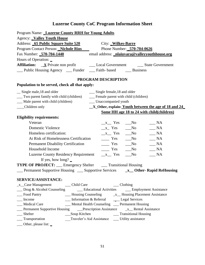| Program Name: Luzerne County RRH for Young Adults                     |                                                                                                                                                                                                                                                |
|-----------------------------------------------------------------------|------------------------------------------------------------------------------------------------------------------------------------------------------------------------------------------------------------------------------------------------|
| <b>Agency: Valley Youth House</b>                                     |                                                                                                                                                                                                                                                |
| Address: 65 Public Square Suite 520                                   | City: Wilkes-Barre                                                                                                                                                                                                                             |
| Program Contact Person: Nichole Rios                                  | Phone Number: 570-704-0626                                                                                                                                                                                                                     |
| Fax Number: 570-704-1440                                              | email address: nlaiuvara@valleyyouthhouse.org                                                                                                                                                                                                  |
| Hours of Operation: _                                                 |                                                                                                                                                                                                                                                |
|                                                                       |                                                                                                                                                                                                                                                |
| __ Public Housing Agency __ Funder __ Faith- based __ Business        |                                                                                                                                                                                                                                                |
|                                                                       |                                                                                                                                                                                                                                                |
|                                                                       | PROGRAM DESCRIPTION                                                                                                                                                                                                                            |
| Population to be served, check all that apply:                        |                                                                                                                                                                                                                                                |
| _ Single male, 18 and older                                           | __ Single female, 18 and older                                                                                                                                                                                                                 |
| __ Two parent family with child (children)                            | __ Female parent with child (children)                                                                                                                                                                                                         |
| __ Male parent with child (children)                                  | __ Unaccompanied youth                                                                                                                                                                                                                         |
| __Children only                                                       | _X_Other, explain: Youth between the age of 18 and 24                                                                                                                                                                                          |
|                                                                       | Some HH age 18 to 24 with child(children)                                                                                                                                                                                                      |
| <b>Eligibility requirements:</b>                                      |                                                                                                                                                                                                                                                |
| Veteran                                                               | $\_\_$ NA<br>$x$ Yes<br>$\sqrt{N_0}$                                                                                                                                                                                                           |
| <b>Domestic Violence</b>                                              | $x$ Yes<br>$\_\_$ NA<br>$\sqrt{N}$                                                                                                                                                                                                             |
| Homeless certification:                                               | $x$ Yes<br>$\_ NA$<br>$\sqrt{N}$                                                                                                                                                                                                               |
| At Risk of Homelessness Certification                                 | $\equiv$ Yes<br>$\_ NA$<br>$\overline{\phantom{1}}$ No                                                                                                                                                                                         |
| <b>Permanent Disability Certification</b>                             | $\_ NA$<br>$\equiv$ Yes<br>$\sqrt{N}$                                                                                                                                                                                                          |
| Household Income                                                      | $\equiv$ Yes<br>$\_\_$ NA<br>$\sqrt{N}$                                                                                                                                                                                                        |
| <b>Luzerne County Residency Requirement</b>                           | $x$ Yes<br>$\_ NA$<br>$\sqrt{N_0}$                                                                                                                                                                                                             |
| If yes, how long? $\blacksquare$                                      |                                                                                                                                                                                                                                                |
| <b>TYPE OF PROJECT:</b> __ Emergency Shelter ___ Transitional Housing |                                                                                                                                                                                                                                                |
|                                                                       | <b>Example 1</b> Permanent Supportive Housing <b>Example 2</b> Supportive Services <b>Example 2 Support 2 Supportive 2 Supportive 3 Supportive 3 Supportive 3 Supportive 3 Supportive 3 Supportive 3 Supportive 3 Supportive 3 Supportive </b> |
|                                                                       |                                                                                                                                                                                                                                                |
| SERVICE/ASSISTANCE:                                                   |                                                                                                                                                                                                                                                |
| _____ Child Care<br>$\mathbf{x}\_\mathbf{Case}$ Management            | $\_\_$ Clothing                                                                                                                                                                                                                                |
|                                                                       | __ Drug & Alcohol Counseling ____ Educational Activities ___ Employment Assistance                                                                                                                                                             |
| Food Pantry                                                           |                                                                                                                                                                                                                                                |
| Income                                                                | __ Information & Referral ______ Legal Services                                                                                                                                                                                                |
| Medical Care                                                          | __ Mental Health Counseling __ Permanent Housing<br>Permanent Supportive Housing Density Prescription Assistance Assume 2x Rental Assistance                                                                                                   |
| Shelter                                                               |                                                                                                                                                                                                                                                |
| ____ Transportation                                                   | Traveler's Aid Assistance ______ Utility assistance                                                                                                                                                                                            |
| $\frac{1}{2}$ Other, please list: $\frac{1}{2}$                       |                                                                                                                                                                                                                                                |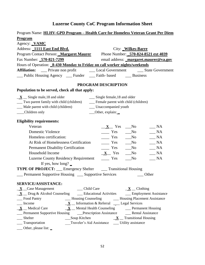| Program Name: HLHV-GPD Program - Health Care for Homeless Veteran Grant Per Diem        |                                                                          |                                                                     |
|-----------------------------------------------------------------------------------------|--------------------------------------------------------------------------|---------------------------------------------------------------------|
| <b>Program</b>                                                                          |                                                                          |                                                                     |
| Agency: VAMC                                                                            |                                                                          |                                                                     |
| Address: 1111 East End Blvd.                                                            |                                                                          | City: Wilkes-Barre                                                  |
| Program Contact Person: Margaret Maurer Phone Number: 570-824-8521 ext 4039             |                                                                          |                                                                     |
| Fax Number: 570-821-7299                                                                |                                                                          | email address: margaret.maurer@va.gov                               |
| Hours of Operation: 8-430 Monday to Friday on call worker nights/weekends               |                                                                          |                                                                     |
| <b>Affiliation:</b><br>__ Private non profit                                            |                                                                          |                                                                     |
| ___ Public Housing Agency ____ Funder ____ Faith- based _____ Business                  |                                                                          |                                                                     |
|                                                                                         | PROGRAM DESCRIPTION                                                      |                                                                     |
| Population to be served, check all that apply:                                          |                                                                          |                                                                     |
| $\underline{\mathbf{X}}$ _ Single male, 18 and older                                    | __ Single female, 18 and older                                           |                                                                     |
| __ Two parent family with child (children)                                              | __ Female parent with child (children)                                   |                                                                     |
| __ Male parent with child (children)                                                    | __ Unaccompanied youth                                                   |                                                                     |
| Children only                                                                           | __Other, explain:                                                        |                                                                     |
| <b>Eligibility requirements:</b>                                                        |                                                                          |                                                                     |
| Veteran                                                                                 | $\mathbf{X}$ Yes                                                         | NA<br>$\rm No$                                                      |
| <b>Domestic Violence</b>                                                                | $\equiv$ Yes                                                             | $\_ NA$<br>$\sqrt{N}$                                               |
| Homeless certification:                                                                 | $\frac{1}{1}$ Yes                                                        | $\_ NA$<br>$\sqrt{N}$                                               |
| At Risk of Homelessness Certification                                                   | $\frac{1}{\sqrt{1-\frac{1}{c}}}$ Yes $\frac{1}{\sqrt{1-\frac{1}{c}}}$ No | NA                                                                  |
| <b>Permanent Disability Certification</b>                                               | $\equiv$ Yes                                                             | $\_ NA$<br>$\sqrt{N}$                                               |
| Household Income                                                                        | $X$ Yes                                                                  | $\overline{\mathsf{N}}$ A<br>$\sqrt{N}$                             |
| <b>Luzerne County Residency Requirement</b>                                             | $\equiv$ Yes                                                             | $\_ NA$<br>$\sqrt{N}$                                               |
| If yes, how long? $\overline{\phantom{a}}$                                              |                                                                          |                                                                     |
| <b>TYPE OF PROJECT:</b> __ Emergency Shelter ___ Transitional Housing                   |                                                                          |                                                                     |
| Permanent Supportive Housing __ Supportive Services                                     |                                                                          | Other                                                               |
| <b>SERVICE/ASSISTANCE:</b>                                                              |                                                                          |                                                                     |
| $\mathbf{X}$ _ Case Management<br>__ Child Care                                         |                                                                          | $\underline{\mathbf{X}}$ _ Clothing                                 |
| $\underline{\mathbf{X}}$ _ Drug & Alcohol Counseling                                    | __ Educational Activities                                                | __ Employment Assistance                                            |
| __ Food Pantry                                                                          |                                                                          | - Housing Counseling - Housing Placement Assistance                 |
| $\underline{\mathbf{X}}$ Information & Referral __ Legal Services<br>__ Income          |                                                                          |                                                                     |
| $\underline{\mathbf{X}}$ _ Medical Care                                                 |                                                                          | $\underline{\mathbf{X}}$ Mental Health Counseling Dermanent Housing |
| __ Permanent Supportive Housing _____Prescription Assistance ________ Rental Assistance |                                                                          |                                                                     |
| $\frac{\mathbf{X}}{\mathbf{X}}$ Transitional Housing<br>$S$ helter                      |                                                                          |                                                                     |
| Traveler's Aid Assistance _____ Utility assistance<br>__ Transportation                 |                                                                          |                                                                     |
| __ Other, please list: _                                                                |                                                                          |                                                                     |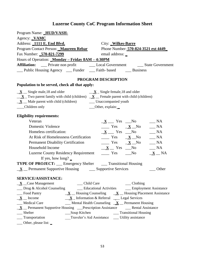| Program Name: HUD/VASH-                                                                                                       |                                                                                                                                   |
|-------------------------------------------------------------------------------------------------------------------------------|-----------------------------------------------------------------------------------------------------------------------------------|
| Agency: <b>VAMC</b>                                                                                                           |                                                                                                                                   |
| Address: 1111 E. End Blvd.                                                                                                    | City: Wilkes-Barre                                                                                                                |
| Program Contact Person: Maureen Rebar                                                                                         | Phone Number: 570-824-3521 ext 4449                                                                                               |
| Fax Number: 570-821-7299                                                                                                      | email address: _                                                                                                                  |
| Hours of Operation: Monday - Friday 8AM - 4:30PM                                                                              |                                                                                                                                   |
|                                                                                                                               | Affiliation: __ Private non profit _______ Local Government ______ State Government                                               |
| __ Public Housing Agency __ Funder __ Faith- based ___ Business                                                               |                                                                                                                                   |
|                                                                                                                               | PROGRAM DESCRIPTION                                                                                                               |
| Population to be served, check all that apply:                                                                                |                                                                                                                                   |
| $\underline{\mathbf{X}}$ _ Single male, 18 and older                                                                          | $\underline{\mathbf{X}}$ $\underline{\mathbf{X}}$ $\underline{\mathbf{S}}$ ingle female, 18 and older                             |
| $\underline{\mathbf{X}}$ Two parent family with child (children) $\underline{\mathbf{X}}$ Female parent with child (children) |                                                                                                                                   |
| $\underline{\mathbf{X}}$ Male parent with child (children) Unaccompanied youth                                                |                                                                                                                                   |
| ___Children only                                                                                                              | ___Other, explain:                                                                                                                |
| <b>Eligibility requirements:</b>                                                                                              |                                                                                                                                   |
| Veteran                                                                                                                       | $\_ NA$<br>$\underline{\mathbf{X}}$ $\underline{\mathbf{X}}$ $\underline{\mathbf{Y}}$ es $\underline{\mathbf{N}}$ No              |
| <b>Domestic Violence</b>                                                                                                      | $\frac{\mathbf{x}}{\mathbf{y}} = \frac{\mathbf{x}}{\mathbf{y}}$<br>$\_\_$ NA                                                      |
| Homeless certification:                                                                                                       | $\underline{\mathbf{X}}$ Yes $\underline{\mathbf{N}}$ o<br>$\_\_$ NA                                                              |
| At Risk of Homelessness Certification                                                                                         | $\frac{\mathbf{x}}{\mathbf{y}} = \frac{\mathbf{x}}{\mathbf{y}}$<br>$\_ NA$                                                        |
| Permanent Disability Certification                                                                                            | $\frac{\mathbf{x}}{\mathbf{y}} = \frac{\mathbf{x}}{\mathbf{y}}$<br>$\sqrt{\phantom{a}}$ NA                                        |
| Household Income                                                                                                              | $\underline{\mathbf{X}}$ $\underline{\mathbf{X}}$ $\underline{\mathbf{Y}}$ res $\underline{\mathbf{N}}$ No<br>$\_\_$ NA           |
| <b>Luzerne County Residency Requirement</b>                                                                                   | $\frac{1}{\sqrt{1-\frac{1}{2}}}$ Yes $\frac{1}{\sqrt{1-\frac{1}{2}}}$ No<br>$\underline{\mathbf{X}}$ $\underline{\mathbf{N}}$ $A$ |
| If yes, how long? $\overline{\phantom{a}}$                                                                                    |                                                                                                                                   |
| <b>TYPE OF PROJECT:</b> __ Emergency Shelter ___ Transitional Housing                                                         |                                                                                                                                   |
| $\underline{\mathbf{X}}$ Permanent Supportive Housing $\underline{\mathbf{X}}$ Supportive Services                            | Other                                                                                                                             |
| <b>SERVICE/ASSISTANCE:</b>                                                                                                    |                                                                                                                                   |
| __ Child Care<br>$\underline{\mathbf{X}}$ _ Case Management                                                                   | $\_\_$ Clothing                                                                                                                   |
|                                                                                                                               | __ Drug & Alcohol Counseling _______ Educational Activities ______ Employment Assistance                                          |
| Food Pantry                                                                                                                   | $\underline{\mathbf{X}}$ Housing Counseling $\underline{\mathbf{X}}$ Housing Placement Assistance                                 |
| $\mathbf{X}$ _ Income                                                                                                         | $X$ Information & Referral $\_\_\_\$ Legal Services                                                                               |
| __ Medical Care                                                                                                               | $\frac{1}{2}$ Mental Health Counseling $\frac{X}{X}$ Permanent Housing                                                            |
| <u>X</u> Permanent Supportive Housing Prescription Assistance Mental Assistance                                               |                                                                                                                                   |
| Shelter<br>__Soup Kitchen                                                                                                     | __ Transitional Housing                                                                                                           |
| <sub>__</sub> Transportation                                                                                                  | Traveler's Aid Assistance ____ Utility assistance                                                                                 |

\_\_\_ Other, please list: **\_**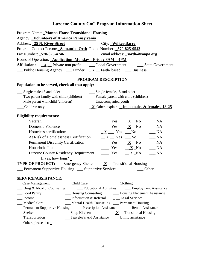| Program Name: Manna House Transitional Housing                                                                                        |                                                                                                                                        |
|---------------------------------------------------------------------------------------------------------------------------------------|----------------------------------------------------------------------------------------------------------------------------------------|
| Agency: <b>Volunteers of America Pennsylvania</b>                                                                                     |                                                                                                                                        |
| Address: 25 N. River Street                                                                                                           | City: Wilkes-Barre                                                                                                                     |
| Program Contact Person: Samantha Orth Phone Number: 570-825-0542                                                                      |                                                                                                                                        |
| Fax Number: 570-825-4746                                                                                                              | email address: _sorth@voapa.org                                                                                                        |
| Hours of Operation: <b>Application: Monday - Friday 8AM - 4PM</b>                                                                     |                                                                                                                                        |
|                                                                                                                                       | <b>Affiliation:</b> <u>X</u> Private non profit ________ Local Government _________ State Government                                   |
| $\frac{1}{\sqrt{2}}$ Public Housing Agency $\frac{1}{\sqrt{2}}$ Funder $\frac{1}{\sqrt{2}}$ Faith-based $\frac{1}{\sqrt{2}}$ Business |                                                                                                                                        |
|                                                                                                                                       | PROGRAM DESCRIPTION                                                                                                                    |
| Population to be served, check all that apply:                                                                                        |                                                                                                                                        |
| __ Single male, 18 and older                                                                                                          | __ Single female, 18 and older                                                                                                         |
| __ Two parent family with child (children) _______ Female parent with child (children)                                                |                                                                                                                                        |
| __ Male parent with child (children)                                                                                                  | __ Unaccompanied youth                                                                                                                 |
| __Children only                                                                                                                       | $\underline{\mathbf{X}}$ Other, explain: single males & females, 18-25                                                                 |
| <b>Eligibility requirements:</b>                                                                                                      |                                                                                                                                        |
| Veteran                                                                                                                               | $\frac{\mathbf{x}}{\mathbf{y}} = \frac{\mathbf{x}}{\mathbf{y}}$<br>$\_\_$ NA                                                           |
| <b>Domestic Violence</b>                                                                                                              | $\frac{\mathbf{Y}}{\mathbf{X}}$ $\frac{\mathbf{X}}{\mathbf{X}}$ No<br>$\_\_$ NA                                                        |
| Homeless certification:                                                                                                               | $\underline{\mathbf{X}}$ Yes No $\underline{\mathbf{N}}$ NA                                                                            |
| At Risk of Homelessness Certification                                                                                                 | $\underline{\mathbf{X}}$ Yes $\underline{\mathbf{N}}$ No $\underline{\mathbf{N}}$ NA                                                   |
| <b>Permanent Disability Certification</b>                                                                                             | $\frac{\mathbf{x}}{\mathbf{y}} = \mathbf{y}$ $\frac{\mathbf{x}}{\mathbf{y}} = \mathbf{y}$ $\frac{\mathbf{x}}{\mathbf{y}} = \mathbf{y}$ |
| Household Income                                                                                                                      | $\frac{\mathbf{x}}{\mathbf{y}} = \frac{\mathbf{x}}{\mathbf{y}}$<br>$\_ NA$                                                             |
| Luzerne County Residency Requirement $\underline{\hspace{1cm}}$ Yes $\underline{\hspace{1cm}}$ No                                     | $\_\_$ NA                                                                                                                              |
| If yes, how long? $\overline{\phantom{a}}$                                                                                            |                                                                                                                                        |
| <b>TYPE OF PROJECT:</b> __ Emergency Shelter $\underline{\mathbf{X}}$ _ Transitional Housing                                          |                                                                                                                                        |
| __ Permanent Supportive Housing __ Supportive Services                                                                                | Other                                                                                                                                  |
| <b>SERVICE/ASSISTANCE:</b>                                                                                                            |                                                                                                                                        |
| __ Child Care<br>Case Management                                                                                                      | $\_\_$ Clothing                                                                                                                        |
| $\Box$ Drug & Alcohol Counseling                                                                                                      | <u>Conservational</u> Activities Comployment Assistance                                                                                |
| _Food Pantry                                                                                                                          | __ Housing Counseling ________ Housing Placement Assistance                                                                            |
| Information & Referral<br>Income                                                                                                      | __ Legal Services                                                                                                                      |
| _Medical Care                                                                                                                         | __ Mental Health Counseling __ Permanent Housing                                                                                       |
| Permanent Supportive Housing Density Prescription Assistance Dental Assistance                                                        |                                                                                                                                        |
| Shelter                                                                                                                               | $\frac{\mathbf{X}}{\mathbf{X}}$ Transitional Housing                                                                                   |
| Transportation                                                                                                                        | Traveler's Aid Assistance ______ Utility assistance                                                                                    |
| Other, please list:                                                                                                                   |                                                                                                                                        |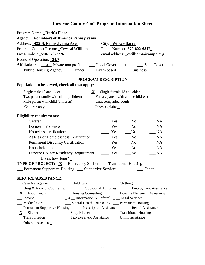| Program Name: <b>Ruth's Place</b><br>Agency: <b>Volunteers of America Pennsylvania</b>                          |                                                                                       |
|-----------------------------------------------------------------------------------------------------------------|---------------------------------------------------------------------------------------|
| Address: 425 N. Pennsylvania Ave.                                                                               | City: Wilkes-Barre                                                                    |
| Program Contact Person: Crystal Williams                                                                        | Phone Number: 570-822-6817                                                            |
| Fax Number: 570-970-7776                                                                                        | email address: _cwilliams@voapa.org                                                   |
| Hours of Operation: 24/7                                                                                        |                                                                                       |
|                                                                                                                 |                                                                                       |
| __ Public Housing Agency __ Funder __ Faith- based ___ Business                                                 |                                                                                       |
|                                                                                                                 | PROGRAM DESCRIPTION                                                                   |
| Population to be served, check all that apply:                                                                  |                                                                                       |
| __ Single male, 18 and older                                                                                    | $X$ Single female, 18 and older                                                       |
| __ Two parent family with child (children)                                                                      | __ Female parent with child (children)                                                |
| __ Male parent with child (children)                                                                            | ___ Unaccompanied youth                                                               |
| Children only                                                                                                   | __Other, explain:                                                                     |
| <b>Eligibility requirements:</b>                                                                                |                                                                                       |
| Veteran                                                                                                         | $\equiv$ Yes<br>$\_ NA$<br>$\mathbf{N}\mathbf{o}$                                     |
| Domestic Violence                                                                                               | $\frac{1}{1}$ Yes<br>NA<br>$\sqrt{N}$                                                 |
| Homeless certification:                                                                                         | $\frac{1}{1}$ Yes<br>NA<br>$\sqrt{N}$                                                 |
| At Risk of Homelessness Certification                                                                           | $\_ NA$<br>$\equiv$ Yes<br>$\sqrt{N}$                                                 |
| <b>Permanent Disability Certification</b>                                                                       | $\overline{\phantom{a}}$ Yes<br>$\_ NA$<br>$\sqrt{N}$                                 |
| Household Income                                                                                                | $\_ NA$<br>$\equiv$ Yes<br>$\sqrt{N}$                                                 |
| <b>Luzerne County Residency Requirement</b>                                                                     | NA<br>$\equiv$ Yes<br>$\sqrt{N}$                                                      |
| If yes, how long? $\overline{\phantom{a}}$                                                                      |                                                                                       |
| <b>TYPE OF PROJECT:</b> $\underline{\mathbf{X}}$ Emergency Shelter __ Transitional Housing                      |                                                                                       |
| Permanent Supportive Housing __ Supportive Services                                                             | Other                                                                                 |
| SERVICE/ASSISTANCE:                                                                                             |                                                                                       |
|                                                                                                                 | $\_\_$ Clothing                                                                       |
|                                                                                                                 | __ Drug & Alcohol Counseling _____ Educational Activities _____ Employment Assistance |
| $\underline{\mathbf{X}}$ Food Pantry                                                                            | __ Housing Counseling _________ Housing Placement Assistance                          |
| __ Income                                                                                                       | $\underline{\mathbf{X}}$ Information & Referral ___ Legal Services                    |
| __ Medical Care                                                                                                 | __ Mental Health Counseling __ Permanent Housing                                      |
| <b>Example 1</b> Permanent Supportive Housing <b>Example 2 Prescription Assistance Fig. 2</b> Rental Assistance |                                                                                       |
| $\underline{\mathbf{X}}$ Shelter                                                                                |                                                                                       |
| __ Transportation                                                                                               | Traveler's Aid Assistance ____ Utility assistance                                     |
| ___ Other, please list: _                                                                                       |                                                                                       |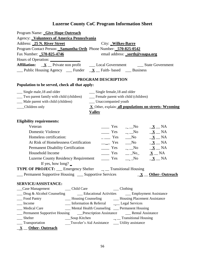| Program Name: Give Hope Outreach<br>Agency: Volunteers of America Pennsylvania<br>Address: 25 N. River Street<br>City: Wilkes-Barre<br>Program Contact Person: Samantha Orth Phone Number: 570-825-0542<br>Fax Number: 570-825-4746<br>email address: _sorth@voapa.org<br>Hours of Operation:<br><b>Affiliation:</b> $\underline{\mathbf{X}}$ Private non profit $\underline{\qquad}$ Local Government $\underline{\qquad}$ State Government<br>$\frac{1}{\sqrt{2}}$ Public Housing Agency $\frac{1}{\sqrt{2}}$ Funder $\frac{1}{\sqrt{2}}$ Faith-based $\frac{1}{\sqrt{2}}$ Business |
|---------------------------------------------------------------------------------------------------------------------------------------------------------------------------------------------------------------------------------------------------------------------------------------------------------------------------------------------------------------------------------------------------------------------------------------------------------------------------------------------------------------------------------------------------------------------------------------|
| PROGRAM DESCRIPTION                                                                                                                                                                                                                                                                                                                                                                                                                                                                                                                                                                   |
| Population to be served, check all that apply:                                                                                                                                                                                                                                                                                                                                                                                                                                                                                                                                        |
| __ Single male, 18 and older<br>__ Single female, 18 and older<br>__ Two parent family with child (children)<br>__ Female parent with child (children)<br>__ Male parent with child (children)<br>___ Unaccompanied youth<br>X_Other, explain: all populations on streets- Wyoming<br>__Children only<br><b>Valley</b>                                                                                                                                                                                                                                                                |
| <b>Eligibility requirements:</b>                                                                                                                                                                                                                                                                                                                                                                                                                                                                                                                                                      |
| Veteran<br>$\frac{\ }{1}$ Yes $\frac{\ }{1}$ No $\frac{\ }{1}$ NA                                                                                                                                                                                                                                                                                                                                                                                                                                                                                                                     |
| $\frac{\ }{\ }$ Yes $\frac{\ }{2}$ No $\frac{\ }{2}$ NA<br>Domestic Violence                                                                                                                                                                                                                                                                                                                                                                                                                                                                                                          |
| $\underline{\mathbf{X}}$ $\underline{\mathbf{N}}$ NA<br>$\frac{1}{1}$ Yes $\frac{1}{1}$ No<br>Homeless certification:                                                                                                                                                                                                                                                                                                                                                                                                                                                                 |
| $\frac{\mathbf{X}}{\mathbf{X}}$ Yes $\frac{\mathbf{X}}{\mathbf{X}}$ NA<br>At Risk of Homelessness Certification                                                                                                                                                                                                                                                                                                                                                                                                                                                                       |
| $\frac{\ }{\ }$ Yes $\frac{\ }{}$ No $\frac{\ }{ \ }\frac{\ }{ \ }\frac{ \ }{ \ }\frac{ \ }{ \ }\frac{ \ }{ \ }\frac{ \ }{ \ }\frac{ \ }{ \ }\frac{ \ }{ \ }\frac{ \ }{ \ }\frac{ \ }{ \ }\frac{ \ }{ \ }\frac{ \ }{ \ }\frac{ \ }{ \ }\frac{ \ }{ \ }\frac{ \ }{ \ }\frac{ \ }{ \ }\frac{ \ }{ \ }\frac{ \ }{ \ }\frac{ \ }{ \ }\frac{ \ }{ \ }\frac{ \ }{ \ }\frac{ \ }{ \ }\frac{ \ }{ \ }\frac{ \ }{ \ }\frac{ \ }{ \ }\frac{ \ }{ \ }\frac{ \ }{ \ }\frac{ \ }{ \ }\frac$<br><b>Permanent Disability Certification</b>                                                           |
| $\frac{\ }{\ }$ Yes $\frac{\ }{2N}N_0$ $\frac{X}{N}N_A$<br>Household Income                                                                                                                                                                                                                                                                                                                                                                                                                                                                                                           |
| $\frac{\ }{\ }$ Yes $\frac{\ }{2}$ No $\frac{\ }{2}$ NA<br><b>Luzerne County Residency Requirement</b>                                                                                                                                                                                                                                                                                                                                                                                                                                                                                |
| If yes, how long? $\overline{\phantom{a}}$                                                                                                                                                                                                                                                                                                                                                                                                                                                                                                                                            |
| <b>TYPE OF PROJECT:</b> __ Emergency Shelter __ _ Transitional Housing                                                                                                                                                                                                                                                                                                                                                                                                                                                                                                                |
| __ Permanent Supportive Housing __ Supportive Services<br>$\underline{\mathbf{X}}$ <u>Other-Outreach</u>                                                                                                                                                                                                                                                                                                                                                                                                                                                                              |
| <b>SERVICE/ASSISTANCE:</b>                                                                                                                                                                                                                                                                                                                                                                                                                                                                                                                                                            |
| __ Child Care<br>$\_\_$ Clothing<br>Case Management                                                                                                                                                                                                                                                                                                                                                                                                                                                                                                                                   |
| <b>Educational Activities Employment Assistance</b><br>$\Box$ Drug & Alcohol Counseling                                                                                                                                                                                                                                                                                                                                                                                                                                                                                               |
| Food Pantry<br>__ Housing Counseling ________ Housing Placement Assistance                                                                                                                                                                                                                                                                                                                                                                                                                                                                                                            |
| __ Information & Referral ______ Legal Services<br>$\blacksquare$ Income                                                                                                                                                                                                                                                                                                                                                                                                                                                                                                              |
| __ Medical Care<br>Mental Health Counseling __ Permanent Housing                                                                                                                                                                                                                                                                                                                                                                                                                                                                                                                      |
| <b>Example 1</b> Permanent Supportive Housing <b>Example 2 Prescription Assistance Example 2 Permanent Supportive Housing Example 2 Prescription Assistance</b>                                                                                                                                                                                                                                                                                                                                                                                                                       |
| __ Shelter                                                                                                                                                                                                                                                                                                                                                                                                                                                                                                                                                                            |
| __ Transportation<br>Traveler's Aid Assistance ______ Utility assistance                                                                                                                                                                                                                                                                                                                                                                                                                                                                                                              |
| $\underline{\mathbf{X}}$ _ Other- Outreach                                                                                                                                                                                                                                                                                                                                                                                                                                                                                                                                            |